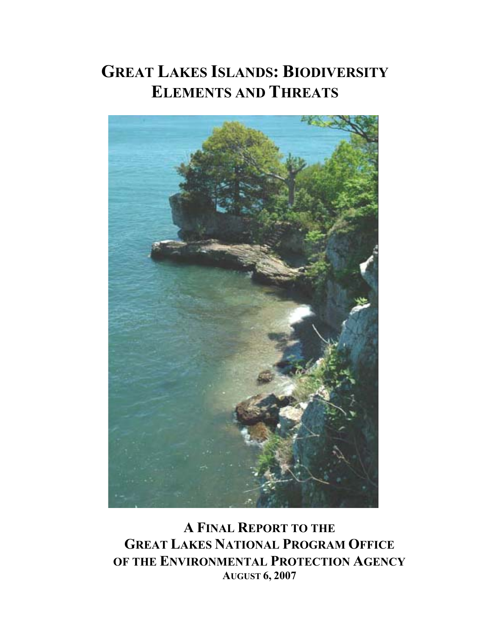# **GREAT LAKES ISLANDS: BIODIVERSITY ELEMENTS AND THREATS**



**A FINAL REPORT TO THE GREAT LAKES NATIONAL PROGRAM OFFICE OF THE ENVIRONMENTAL PROTECTION AGENCY AUGUST 6, 2007**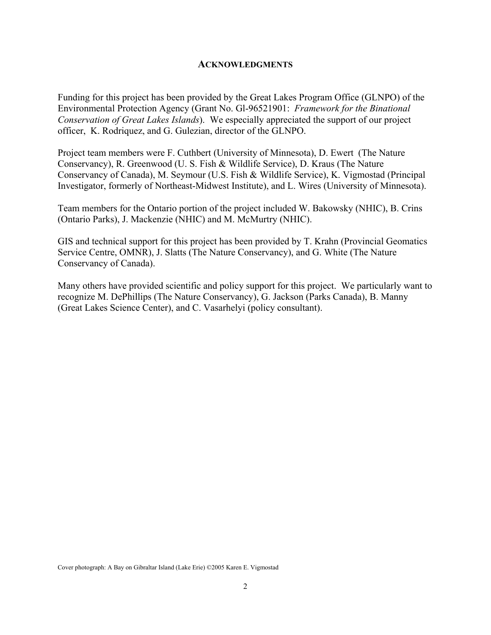### **ACKNOWLEDGMENTS**

Funding for this project has been provided by the Great Lakes Program Office (GLNPO) of the Environmental Protection Agency (Grant No. Gl-96521901: *Framework for the Binational Conservation of Great Lakes Islands*). We especially appreciated the support of our project officer, K. Rodriquez, and G. Gulezian, director of the GLNPO.

Project team members were F. Cuthbert (University of Minnesota), D. Ewert (The Nature Conservancy), R. Greenwood (U. S. Fish & Wildlife Service), D. Kraus (The Nature Conservancy of Canada), M. Seymour (U.S. Fish & Wildlife Service), K. Vigmostad (Principal Investigator, formerly of Northeast-Midwest Institute), and L. Wires (University of Minnesota).

Team members for the Ontario portion of the project included W. Bakowsky (NHIC), B. Crins (Ontario Parks), J. Mackenzie (NHIC) and M. McMurtry (NHIC).

GIS and technical support for this project has been provided by T. Krahn (Provincial Geomatics Service Centre, OMNR), J. Slatts (The Nature Conservancy), and G. White (The Nature Conservancy of Canada).

Many others have provided scientific and policy support for this project. We particularly want to recognize M. DePhillips (The Nature Conservancy), G. Jackson (Parks Canada), B. Manny (Great Lakes Science Center), and C. Vasarhelyi (policy consultant).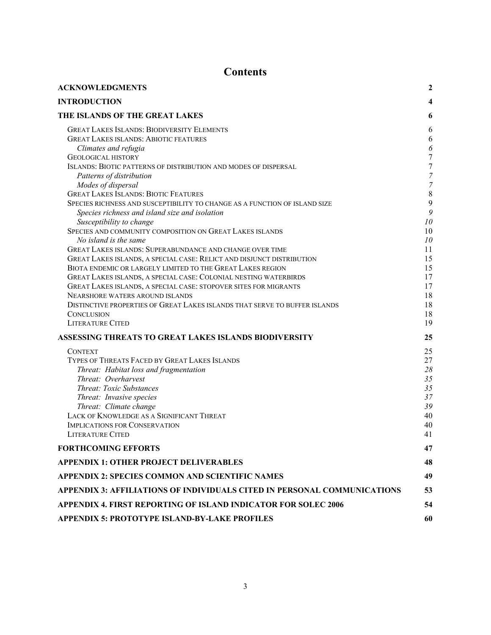# **Contents**

| <b>ACKNOWLEDGMENTS</b>                                                                                                                                                                                                                                                                                                                                                                                                                                                                                                                                                                                                                                                                                                                                                                                                                                                                                                                                                                                                                                                                  | $\boldsymbol{2}$                                                                                                       |
|-----------------------------------------------------------------------------------------------------------------------------------------------------------------------------------------------------------------------------------------------------------------------------------------------------------------------------------------------------------------------------------------------------------------------------------------------------------------------------------------------------------------------------------------------------------------------------------------------------------------------------------------------------------------------------------------------------------------------------------------------------------------------------------------------------------------------------------------------------------------------------------------------------------------------------------------------------------------------------------------------------------------------------------------------------------------------------------------|------------------------------------------------------------------------------------------------------------------------|
| <b>INTRODUCTION</b>                                                                                                                                                                                                                                                                                                                                                                                                                                                                                                                                                                                                                                                                                                                                                                                                                                                                                                                                                                                                                                                                     | 4                                                                                                                      |
| THE ISLANDS OF THE GREAT LAKES                                                                                                                                                                                                                                                                                                                                                                                                                                                                                                                                                                                                                                                                                                                                                                                                                                                                                                                                                                                                                                                          | 6                                                                                                                      |
| <b>GREAT LAKES ISLANDS: BIODIVERSITY ELEMENTS</b><br><b>GREAT LAKES ISLANDS: ABIOTIC FEATURES</b><br>Climates and refugia<br><b>GEOLOGICAL HISTORY</b><br>ISLANDS: BIOTIC PATTERNS OF DISTRIBUTION AND MODES OF DISPERSAL<br>Patterns of distribution<br>Modes of dispersal<br><b>GREAT LAKES ISLANDS: BIOTIC FEATURES</b><br>SPECIES RICHNESS AND SUSCEPTIBILITY TO CHANGE AS A FUNCTION OF ISLAND SIZE<br>Species richness and island size and isolation<br>Susceptibility to change<br>SPECIES AND COMMUNITY COMPOSITION ON GREAT LAKES ISLANDS<br>No island is the same<br>GREAT LAKES ISLANDS: SUPERABUNDANCE AND CHANGE OVER TIME<br>GREAT LAKES ISLANDS, A SPECIAL CASE: RELICT AND DISJUNCT DISTRIBUTION<br>BIOTA ENDEMIC OR LARGELY LIMITED TO THE GREAT LAKES REGION<br>GREAT LAKES ISLANDS, A SPECIAL CASE: COLONIAL NESTING WATERBIRDS<br>GREAT LAKES ISLANDS, A SPECIAL CASE: STOPOVER SITES FOR MIGRANTS<br>NEARSHORE WATERS AROUND ISLANDS<br>DISTINCTIVE PROPERTIES OF GREAT LAKES ISLANDS THAT SERVE TO BUFFER ISLANDS<br><b>CONCLUSION</b><br><b>LITERATURE CITED</b> | 6<br>6<br>6<br>7<br>7<br>7<br>7<br>8<br>9<br>9<br>10<br>10<br>10<br>11<br>15<br>15<br>17<br>17<br>18<br>18<br>18<br>19 |
| ASSESSING THREATS TO GREAT LAKES ISLANDS BIODIVERSITY                                                                                                                                                                                                                                                                                                                                                                                                                                                                                                                                                                                                                                                                                                                                                                                                                                                                                                                                                                                                                                   | 25                                                                                                                     |
| <b>CONTEXT</b><br>TYPES OF THREATS FACED BY GREAT LAKES ISLANDS<br>Threat: Habitat loss and fragmentation<br>Threat: Overharvest<br><b>Threat: Toxic Substances</b><br>Threat: Invasive species<br>Threat: Climate change<br>LACK OF KNOWLEDGE AS A SIGNIFICANT THREAT<br><b>IMPLICATIONS FOR CONSERVATION</b><br><b>LITERATURE CITED</b>                                                                                                                                                                                                                                                                                                                                                                                                                                                                                                                                                                                                                                                                                                                                               | 25<br>27<br>28<br>35<br>35<br>37<br>39<br>40<br>40<br>41                                                               |
| <b>FORTHCOMING EFFORTS</b>                                                                                                                                                                                                                                                                                                                                                                                                                                                                                                                                                                                                                                                                                                                                                                                                                                                                                                                                                                                                                                                              | 47                                                                                                                     |
| <b>APPENDIX 1: OTHER PROJECT DELIVERABLES</b>                                                                                                                                                                                                                                                                                                                                                                                                                                                                                                                                                                                                                                                                                                                                                                                                                                                                                                                                                                                                                                           | 48                                                                                                                     |
| APPENDIX 2: SPECIES COMMON AND SCIENTIFIC NAMES                                                                                                                                                                                                                                                                                                                                                                                                                                                                                                                                                                                                                                                                                                                                                                                                                                                                                                                                                                                                                                         | 49                                                                                                                     |
| APPENDIX 3: AFFILIATIONS OF INDIVIDUALS CITED IN PERSONAL COMMUNICATIONS                                                                                                                                                                                                                                                                                                                                                                                                                                                                                                                                                                                                                                                                                                                                                                                                                                                                                                                                                                                                                | 53                                                                                                                     |
| <b>APPENDIX 4. FIRST REPORTING OF ISLAND INDICATOR FOR SOLEC 2006</b>                                                                                                                                                                                                                                                                                                                                                                                                                                                                                                                                                                                                                                                                                                                                                                                                                                                                                                                                                                                                                   | 54                                                                                                                     |
| APPENDIX 5: PROTOTYPE ISLAND-BY-LAKE PROFILES                                                                                                                                                                                                                                                                                                                                                                                                                                                                                                                                                                                                                                                                                                                                                                                                                                                                                                                                                                                                                                           | 60                                                                                                                     |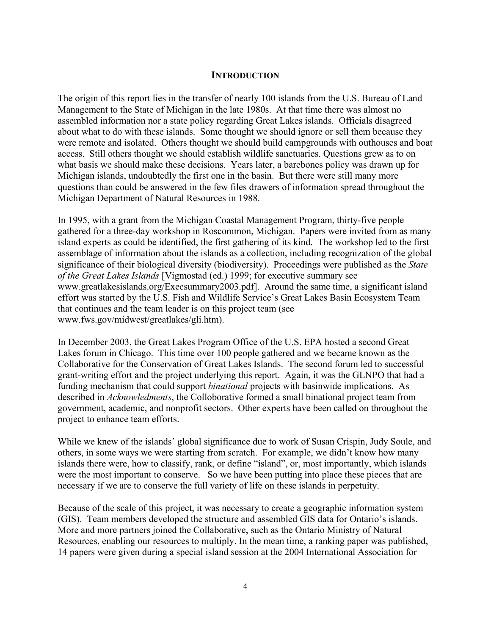### **INTRODUCTION**

The origin of this report lies in the transfer of nearly 100 islands from the U.S. Bureau of Land Management to the State of Michigan in the late 1980s. At that time there was almost no assembled information nor a state policy regarding Great Lakes islands. Officials disagreed about what to do with these islands. Some thought we should ignore or sell them because they were remote and isolated. Others thought we should build campgrounds with outhouses and boat access. Still others thought we should establish wildlife sanctuaries. Questions grew as to on what basis we should make these decisions. Years later, a barebones policy was drawn up for Michigan islands, undoubtedly the first one in the basin. But there were still many more questions than could be answered in the few files drawers of information spread throughout the Michigan Department of Natural Resources in 1988.

In 1995, with a grant from the Michigan Coastal Management Program, thirty-five people gathered for a three-day workshop in Roscommon, Michigan. Papers were invited from as many island experts as could be identified, the first gathering of its kind. The workshop led to the first assemblage of information about the islands as a collection, including recognization of the global significance of their biological diversity (biodiversity). Proceedings were published as the *State of the Great Lakes Islands* [Vigmostad (ed.) 1999; for executive summary see www.greatlakesislands.org/Execsummary2003.pdf]. Around the same time, a significant island effort was started by the U.S. Fish and Wildlife Service's Great Lakes Basin Ecosystem Team that continues and the team leader is on this project team (see www.fws.gov/midwest/greatlakes/gli.htm).

In December 2003, the Great Lakes Program Office of the U.S. EPA hosted a second Great Lakes forum in Chicago. This time over 100 people gathered and we became known as the Collaborative for the Conservation of Great Lakes Islands. The second forum led to successful grant-writing effort and the project underlying this report. Again, it was the GLNPO that had a funding mechanism that could support *binational* projects with basinwide implications. As described in *Acknowledments*, the Colloborative formed a small binational project team from government, academic, and nonprofit sectors. Other experts have been called on throughout the project to enhance team efforts.

While we knew of the islands' global significance due to work of Susan Crispin, Judy Soule, and others, in some ways we were starting from scratch. For example, we didn't know how many islands there were, how to classify, rank, or define "island", or, most importantly, which islands were the most important to conserve. So we have been putting into place these pieces that are necessary if we are to conserve the full variety of life on these islands in perpetuity.

Because of the scale of this project, it was necessary to create a geographic information system (GIS). Team members developed the structure and assembled GIS data for Ontario's islands. More and more partners joined the Collaborative, such as the Ontario Ministry of Natural Resources, enabling our resources to multiply. In the mean time, a ranking paper was published, 14 papers were given during a special island session at the 2004 International Association for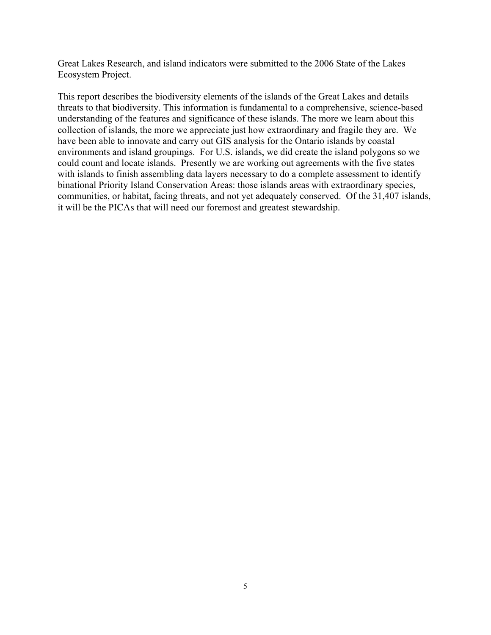Great Lakes Research, and island indicators were submitted to the 2006 State of the Lakes Ecosystem Project.

This report describes the biodiversity elements of the islands of the Great Lakes and details threats to that biodiversity. This information is fundamental to a comprehensive, science-based understanding of the features and significance of these islands. The more we learn about this collection of islands, the more we appreciate just how extraordinary and fragile they are. We have been able to innovate and carry out GIS analysis for the Ontario islands by coastal environments and island groupings. For U.S. islands, we did create the island polygons so we could count and locate islands. Presently we are working out agreements with the five states with islands to finish assembling data layers necessary to do a complete assessment to identify binational Priority Island Conservation Areas: those islands areas with extraordinary species, communities, or habitat, facing threats, and not yet adequately conserved. Of the 31,407 islands, it will be the PICAs that will need our foremost and greatest stewardship.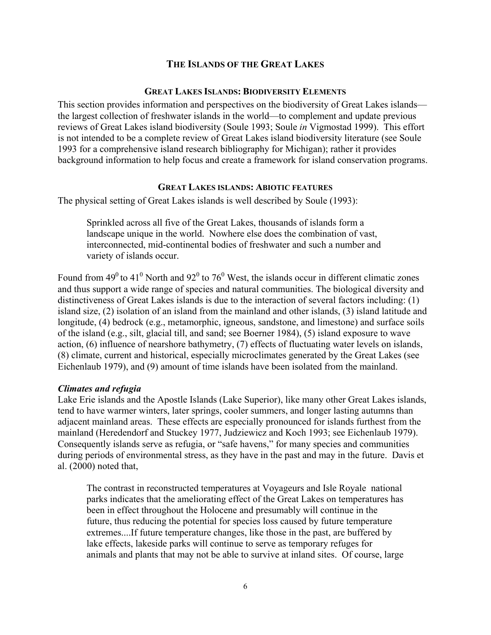### **THE ISLANDS OF THE GREAT LAKES**

#### **GREAT LAKES ISLANDS: BIODIVERSITY ELEMENTS**

This section provides information and perspectives on the biodiversity of Great Lakes islands the largest collection of freshwater islands in the world—to complement and update previous reviews of Great Lakes island biodiversity (Soule 1993; Soule *in* Vigmostad 1999). This effort is not intended to be a complete review of Great Lakes island biodiversity literature (see Soule 1993 for a comprehensive island research bibliography for Michigan); rather it provides background information to help focus and create a framework for island conservation programs.

### **GREAT LAKES ISLANDS: ABIOTIC FEATURES**

The physical setting of Great Lakes islands is well described by Soule (1993):

Sprinkled across all five of the Great Lakes, thousands of islands form a landscape unique in the world. Nowhere else does the combination of vast, interconnected, mid-continental bodies of freshwater and such a number and variety of islands occur.

Found from 49<sup>0</sup> to 41<sup>0</sup> North and 92<sup>0</sup> to 76<sup>0</sup> West, the islands occur in different climatic zones and thus support a wide range of species and natural communities. The biological diversity and distinctiveness of Great Lakes islands is due to the interaction of several factors including: (1) island size, (2) isolation of an island from the mainland and other islands, (3) island latitude and longitude, (4) bedrock (e.g., metamorphic, igneous, sandstone, and limestone) and surface soils of the island (e.g., silt, glacial till, and sand; see Boerner 1984), (5) island exposure to wave action, (6) influence of nearshore bathymetry, (7) effects of fluctuating water levels on islands, (8) climate, current and historical, especially microclimates generated by the Great Lakes (see Eichenlaub 1979), and (9) amount of time islands have been isolated from the mainland.

#### *Climates and refugia*

Lake Erie islands and the Apostle Islands (Lake Superior), like many other Great Lakes islands, tend to have warmer winters, later springs, cooler summers, and longer lasting autumns than adjacent mainland areas. These effects are especially pronounced for islands furthest from the mainland (Heredendorf and Stuckey 1977, Judziewicz and Koch 1993; see Eichenlaub 1979). Consequently islands serve as refugia, or "safe havens," for many species and communities during periods of environmental stress, as they have in the past and may in the future. Davis et al. (2000) noted that,

The contrast in reconstructed temperatures at Voyageurs and Isle Royale national parks indicates that the ameliorating effect of the Great Lakes on temperatures has been in effect throughout the Holocene and presumably will continue in the future, thus reducing the potential for species loss caused by future temperature extremes....If future temperature changes, like those in the past, are buffered by lake effects, lakeside parks will continue to serve as temporary refuges for animals and plants that may not be able to survive at inland sites. Of course, large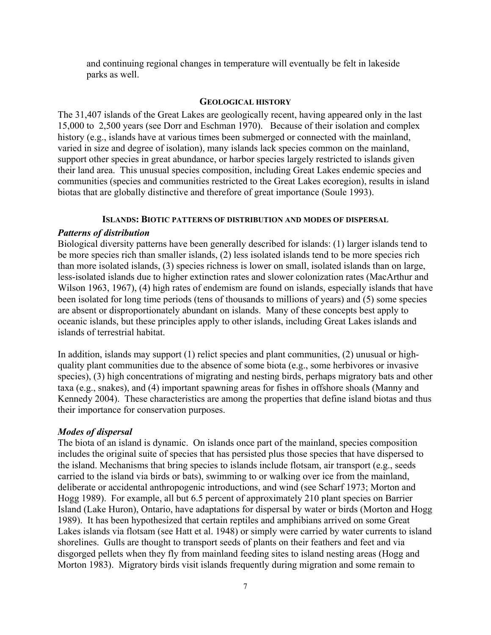and continuing regional changes in temperature will eventually be felt in lakeside parks as well.

#### **GEOLOGICAL HISTORY**

The 31,407 islands of the Great Lakes are geologically recent, having appeared only in the last 15,000 to 2,500 years (see Dorr and Eschman 1970). Because of their isolation and complex history (e.g., islands have at various times been submerged or connected with the mainland, varied in size and degree of isolation), many islands lack species common on the mainland, support other species in great abundance, or harbor species largely restricted to islands given their land area. This unusual species composition, including Great Lakes endemic species and communities (species and communities restricted to the Great Lakes ecoregion), results in island biotas that are globally distinctive and therefore of great importance (Soule 1993).

#### **ISLANDS: BIOTIC PATTERNS OF DISTRIBUTION AND MODES OF DISPERSAL**

#### *Patterns of distribution*

Biological diversity patterns have been generally described for islands: (1) larger islands tend to be more species rich than smaller islands, (2) less isolated islands tend to be more species rich than more isolated islands, (3) species richness is lower on small, isolated islands than on large, less-isolated islands due to higher extinction rates and slower colonization rates (MacArthur and Wilson 1963, 1967), (4) high rates of endemism are found on islands, especially islands that have been isolated for long time periods (tens of thousands to millions of years) and (5) some species are absent or disproportionately abundant on islands. Many of these concepts best apply to oceanic islands, but these principles apply to other islands, including Great Lakes islands and islands of terrestrial habitat.

In addition, islands may support (1) relict species and plant communities, (2) unusual or highquality plant communities due to the absence of some biota (e.g., some herbivores or invasive species), (3) high concentrations of migrating and nesting birds, perhaps migratory bats and other taxa (e.g., snakes), and (4) important spawning areas for fishes in offshore shoals (Manny and Kennedy 2004). These characteristics are among the properties that define island biotas and thus their importance for conservation purposes.

#### *Modes of dispersal*

The biota of an island is dynamic. On islands once part of the mainland, species composition includes the original suite of species that has persisted plus those species that have dispersed to the island. Mechanisms that bring species to islands include flotsam, air transport (e.g., seeds carried to the island via birds or bats), swimming to or walking over ice from the mainland, deliberate or accidental anthropogenic introductions, and wind (see Scharf 1973; Morton and Hogg 1989). For example, all but 6.5 percent of approximately 210 plant species on Barrier Island (Lake Huron), Ontario, have adaptations for dispersal by water or birds (Morton and Hogg 1989). It has been hypothesized that certain reptiles and amphibians arrived on some Great Lakes islands via flotsam (see Hatt et al. 1948) or simply were carried by water currents to island shorelines. Gulls are thought to transport seeds of plants on their feathers and feet and via disgorged pellets when they fly from mainland feeding sites to island nesting areas (Hogg and Morton 1983). Migratory birds visit islands frequently during migration and some remain to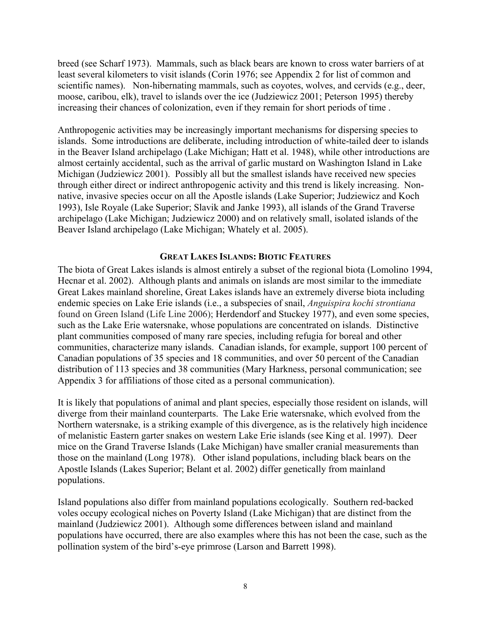breed (see Scharf 1973). Mammals, such as black bears are known to cross water barriers of at least several kilometers to visit islands (Corin 1976; see Appendix 2 for list of common and scientific names). Non-hibernating mammals, such as coyotes, wolves, and cervids (e.g., deer, moose, caribou, elk), travel to islands over the ice (Judziewicz 2001; Peterson 1995) thereby increasing their chances of colonization, even if they remain for short periods of time .

Anthropogenic activities may be increasingly important mechanisms for dispersing species to islands. Some introductions are deliberate, including introduction of white-tailed deer to islands in the Beaver Island archipelago (Lake Michigan; Hatt et al. 1948), while other introductions are almost certainly accidental, such as the arrival of garlic mustard on Washington Island in Lake Michigan (Judziewicz 2001). Possibly all but the smallest islands have received new species through either direct or indirect anthropogenic activity and this trend is likely increasing. Nonnative, invasive species occur on all the Apostle islands (Lake Superior; Judziewicz and Koch 1993), Isle Royale (Lake Superior; Slavik and Janke 1993), all islands of the Grand Traverse archipelago (Lake Michigan; Judziewicz 2000) and on relatively small, isolated islands of the Beaver Island archipelago (Lake Michigan; Whately et al. 2005).

#### **GREAT LAKES ISLANDS: BIOTIC FEATURES**

The biota of Great Lakes islands is almost entirely a subset of the regional biota (Lomolino 1994, Hecnar et al. 2002). Although plants and animals on islands are most similar to the immediate Great Lakes mainland shoreline, Great Lakes islands have an extremely diverse biota including endemic species on Lake Erie islands (i.e., a subspecies of snail, *Anguispira kochi strontiana* found on Green Island (Life Line 2006); Herdendorf and Stuckey 1977), and even some species, such as the Lake Erie watersnake, whose populations are concentrated on islands. Distinctive plant communities composed of many rare species, including refugia for boreal and other communities, characterize many islands. Canadian islands, for example, support 100 percent of Canadian populations of 35 species and 18 communities, and over 50 percent of the Canadian distribution of 113 species and 38 communities (Mary Harkness, personal communication; see Appendix 3 for affiliations of those cited as a personal communication).

It is likely that populations of animal and plant species, especially those resident on islands, will diverge from their mainland counterparts. The Lake Erie watersnake, which evolved from the Northern watersnake, is a striking example of this divergence, as is the relatively high incidence of melanistic Eastern garter snakes on western Lake Erie islands (see King et al. 1997). Deer mice on the Grand Traverse Islands (Lake Michigan) have smaller cranial measurements than those on the mainland (Long 1978). Other island populations, including black bears on the Apostle Islands (Lakes Superior; Belant et al. 2002) differ genetically from mainland populations.

Island populations also differ from mainland populations ecologically. Southern red-backed voles occupy ecological niches on Poverty Island (Lake Michigan) that are distinct from the mainland (Judziewicz 2001). Although some differences between island and mainland populations have occurred, there are also examples where this has not been the case, such as the pollination system of the bird's-eye primrose (Larson and Barrett 1998).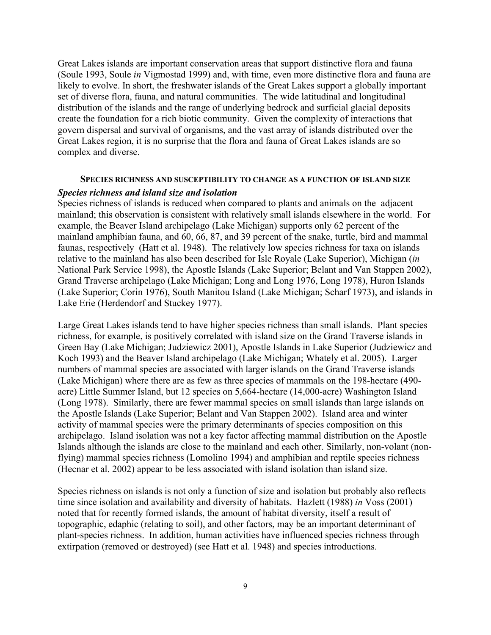Great Lakes islands are important conservation areas that support distinctive flora and fauna (Soule 1993, Soule *in* Vigmostad 1999) and, with time, even more distinctive flora and fauna are likely to evolve. In short, the freshwater islands of the Great Lakes support a globally important set of diverse flora, fauna, and natural communities. The wide latitudinal and longitudinal distribution of the islands and the range of underlying bedrock and surficial glacial deposits create the foundation for a rich biotic community. Given the complexity of interactions that govern dispersal and survival of organisms, and the vast array of islands distributed over the Great Lakes region, it is no surprise that the flora and fauna of Great Lakes islands are so complex and diverse.

# **SPECIES RICHNESS AND SUSCEPTIBILITY TO CHANGE AS A FUNCTION OF ISLAND SIZE**

### *Species richness and island size and isolation*

Species richness of islands is reduced when compared to plants and animals on the adjacent mainland; this observation is consistent with relatively small islands elsewhere in the world. For example, the Beaver Island archipelago (Lake Michigan) supports only 62 percent of the mainland amphibian fauna, and 60, 66, 87, and 39 percent of the snake, turtle, bird and mammal faunas, respectively (Hatt et al. 1948). The relatively low species richness for taxa on islands relative to the mainland has also been described for Isle Royale (Lake Superior), Michigan (*in*  National Park Service 1998), the Apostle Islands (Lake Superior; Belant and Van Stappen 2002), Grand Traverse archipelago (Lake Michigan; Long and Long 1976, Long 1978), Huron Islands (Lake Superior; Corin 1976), South Manitou Island (Lake Michigan; Scharf 1973), and islands in Lake Erie (Herdendorf and Stuckey 1977).

Large Great Lakes islands tend to have higher species richness than small islands. Plant species richness, for example, is positively correlated with island size on the Grand Traverse islands in Green Bay (Lake Michigan; Judziewicz 2001), Apostle Islands in Lake Superior (Judziewicz and Koch 1993) and the Beaver Island archipelago (Lake Michigan; Whately et al. 2005). Larger numbers of mammal species are associated with larger islands on the Grand Traverse islands (Lake Michigan) where there are as few as three species of mammals on the 198-hectare (490 acre) Little Summer Island, but 12 species on 5,664-hectare (14,000-acre) Washington Island (Long 1978). Similarly, there are fewer mammal species on small islands than large islands on the Apostle Islands (Lake Superior; Belant and Van Stappen 2002). Island area and winter activity of mammal species were the primary determinants of species composition on this archipelago. Island isolation was not a key factor affecting mammal distribution on the Apostle Islands although the islands are close to the mainland and each other. Similarly, non-volant (nonflying) mammal species richness (Lomolino 1994) and amphibian and reptile species richness (Hecnar et al. 2002) appear to be less associated with island isolation than island size.

Species richness on islands is not only a function of size and isolation but probably also reflects time since isolation and availability and diversity of habitats. Hazlett (1988) *in* Voss (2001) noted that for recently formed islands, the amount of habitat diversity, itself a result of topographic, edaphic (relating to soil), and other factors, may be an important determinant of plant-species richness. In addition, human activities have influenced species richness through extirpation (removed or destroyed) (see Hatt et al. 1948) and species introductions.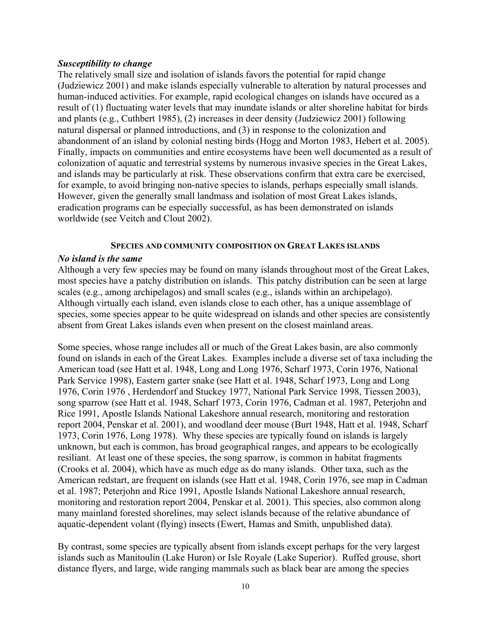### *Susceptibility to change*

The relatively small size and isolation of islands favors the potential for rapid change (Judziewicz 2001) and make islands especially vulnerable to alteration by natural processes and human-induced activities. For example, rapid ecological changes on islands have occured as a result of (1) fluctuating water levels that may inundate islands or alter shoreline habitat for birds and plants (e.g., Cuthbert 1985), (2) increases in deer density (Judziewicz 2001) following natural dispersal or planned introductions, and (3) in response to the colonization and abandonment of an island by colonial nesting birds (Hogg and Morton 1983, Hebert et al. 2005). Finally, impacts on communities and entire ecosystems have been well documented as a result of colonization of aquatic and terrestrial systems by numerous invasive species in the Great Lakes, and islands may be particularly at risk. These observations confirm that extra care be exercised, for example, to avoid bringing non-native species to islands, perhaps especially small islands. However, given the generally small landmass and isolation of most Great Lakes islands, eradication programs can be especially successful, as has been demonstrated on islands worldwide (see Veitch and Clout 2002).

#### **SPECIES AND COMMUNITY COMPOSITION ON GREAT LAKES ISLANDS**

#### *No island is the same*

Although a very few species may be found on many islands throughout most of the Great Lakes, most species have a patchy distribution on islands. This patchy distribution can be seen at large scales (e.g., among archipelagos) and small scales (e.g., islands within an archipelago). Although virtually each island, even islands close to each other, has a unique assemblage of species, some species appear to be quite widespread on islands and other species are consistently absent from Great Lakes islands even when present on the closest mainland areas.

Some species, whose range includes all or much of the Great Lakes basin, are also commonly found on islands in each of the Great Lakes. Examples include a diverse set of taxa including the American toad (see Hatt et al. 1948, Long and Long 1976, Scharf 1973, Corin 1976, National Park Service 1998), Eastern garter snake (see Hatt et al. 1948, Scharf 1973, Long and Long 1976, Corin 1976 , Herdendorf and Stuckey 1977, National Park Service 1998, Tiessen 2003), song sparrow (see Hatt et al. 1948, Scharf 1973, Corin 1976, Cadman et al. 1987, Peterjohn and Rice 1991, Apostle Islands National Lakeshore annual research, monitoring and restoration report 2004, Penskar et al. 2001), and woodland deer mouse (Burt 1948, Hatt et al. 1948, Scharf 1973, Corin 1976, Long 1978). Why these species are typically found on islands is largely unknown, but each is common, has broad geographical ranges, and appears to be ecologically resiliant. At least one of these species, the song sparrow, is common in habitat fragments (Crooks et al. 2004), which have as much edge as do many islands. Other taxa, such as the American redstart, are frequent on islands (see Hatt et al. 1948, Corin 1976, see map in Cadman et al. 1987; Peterjohn and Rice 1991, Apostle Islands National Lakeshore annual research, monitoring and restoration report 2004, Penskar et al. 2001). This species, also common along many mainland forested shorelines, may select islands because of the relative abundance of aquatic-dependent volant (flying) insects (Ewert, Hamas and Smith, unpublished data).

By contrast, some species are typically absent from islands except perhaps for the very largest islands such as Manitoulin (Lake Huron) or Isle Royale (Lake Superior). Ruffed grouse, short distance flyers, and large, wide ranging mammals such as black bear are among the species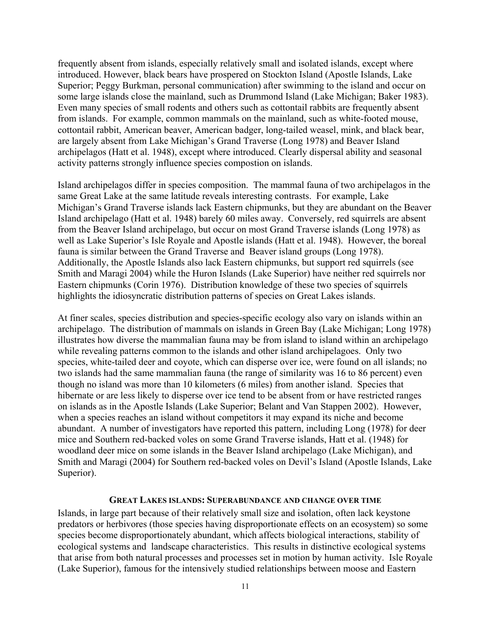frequently absent from islands, especially relatively small and isolated islands, except where introduced. However, black bears have prospered on Stockton Island (Apostle Islands, Lake Superior; Peggy Burkman, personal communication) after swimming to the island and occur on some large islands close the mainland, such as Drummond Island (Lake Michigan; Baker 1983). Even many species of small rodents and others such as cottontail rabbits are frequently absent from islands. For example, common mammals on the mainland, such as white-footed mouse, cottontail rabbit, American beaver, American badger, long-tailed weasel, mink, and black bear, are largely absent from Lake Michigan's Grand Traverse (Long 1978) and Beaver Island archipelagos (Hatt et al. 1948), except where introduced. Clearly dispersal ability and seasonal activity patterns strongly influence species compostion on islands.

Island archipelagos differ in species composition. The mammal fauna of two archipelagos in the same Great Lake at the same latitude reveals interesting contrasts. For example, Lake Michigan's Grand Traverse islands lack Eastern chipmunks, but they are abundant on the Beaver Island archipelago (Hatt et al. 1948) barely 60 miles away. Conversely, red squirrels are absent from the Beaver Island archipelago, but occur on most Grand Traverse islands (Long 1978) as well as Lake Superior's Isle Royale and Apostle islands (Hatt et al. 1948). However, the boreal fauna is similar between the Grand Traverse and Beaver island groups (Long 1978). Additionally, the Apostle Islands also lack Eastern chipmunks, but support red squirrels (see Smith and Maragi 2004) while the Huron Islands (Lake Superior) have neither red squirrels nor Eastern chipmunks (Corin 1976). Distribution knowledge of these two species of squirrels highlights the idiosyncratic distribution patterns of species on Great Lakes islands.

At finer scales, species distribution and species-specific ecology also vary on islands within an archipelago. The distribution of mammals on islands in Green Bay (Lake Michigan; Long 1978) illustrates how diverse the mammalian fauna may be from island to island within an archipelago while revealing patterns common to the islands and other island archipelagoes. Only two species, white-tailed deer and coyote, which can disperse over ice, were found on all islands; no two islands had the same mammalian fauna (the range of similarity was 16 to 86 percent) even though no island was more than 10 kilometers (6 miles) from another island. Species that hibernate or are less likely to disperse over ice tend to be absent from or have restricted ranges on islands as in the Apostle Islands (Lake Superior; Belant and Van Stappen 2002). However, when a species reaches an island without competitors it may expand its niche and become abundant. A number of investigators have reported this pattern, including Long (1978) for deer mice and Southern red-backed voles on some Grand Traverse islands, Hatt et al. (1948) for woodland deer mice on some islands in the Beaver Island archipelago (Lake Michigan), and Smith and Maragi (2004) for Southern red-backed voles on Devil's Island (Apostle Islands, Lake Superior).

#### **GREAT LAKES ISLANDS: SUPERABUNDANCE AND CHANGE OVER TIME**

Islands, in large part because of their relatively small size and isolation, often lack keystone predators or herbivores (those species having disproportionate effects on an ecosystem) so some species become disproportionately abundant, which affects biological interactions, stability of ecological systems and landscape characteristics. This results in distinctive ecological systems that arise from both natural processes and processes set in motion by human activity. Isle Royale (Lake Superior), famous for the intensively studied relationships between moose and Eastern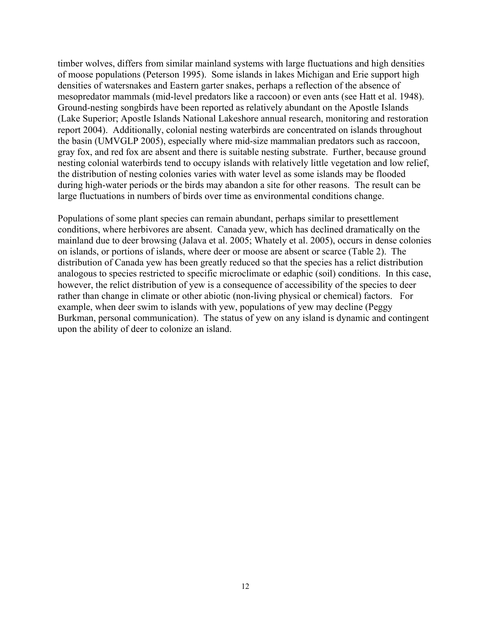timber wolves, differs from similar mainland systems with large fluctuations and high densities of moose populations (Peterson 1995). Some islands in lakes Michigan and Erie support high densities of watersnakes and Eastern garter snakes, perhaps a reflection of the absence of mesopredator mammals (mid-level predators like a raccoon) or even ants (see Hatt et al. 1948). Ground-nesting songbirds have been reported as relatively abundant on the Apostle Islands (Lake Superior; Apostle Islands National Lakeshore annual research, monitoring and restoration report 2004). Additionally, colonial nesting waterbirds are concentrated on islands throughout the basin (UMVGLP 2005), especially where mid-size mammalian predators such as raccoon, gray fox, and red fox are absent and there is suitable nesting substrate. Further, because ground nesting colonial waterbirds tend to occupy islands with relatively little vegetation and low relief, the distribution of nesting colonies varies with water level as some islands may be flooded during high-water periods or the birds may abandon a site for other reasons. The result can be large fluctuations in numbers of birds over time as environmental conditions change.

Populations of some plant species can remain abundant, perhaps similar to presettlement conditions, where herbivores are absent. Canada yew, which has declined dramatically on the mainland due to deer browsing (Jalava et al. 2005; Whately et al. 2005), occurs in dense colonies on islands, or portions of islands, where deer or moose are absent or scarce (Table 2). The distribution of Canada yew has been greatly reduced so that the species has a relict distribution analogous to species restricted to specific microclimate or edaphic (soil) conditions. In this case, however, the relict distribution of yew is a consequence of accessibility of the species to deer rather than change in climate or other abiotic (non-living physical or chemical) factors. For example, when deer swim to islands with yew, populations of yew may decline (Peggy Burkman, personal communication). The status of yew on any island is dynamic and contingent upon the ability of deer to colonize an island.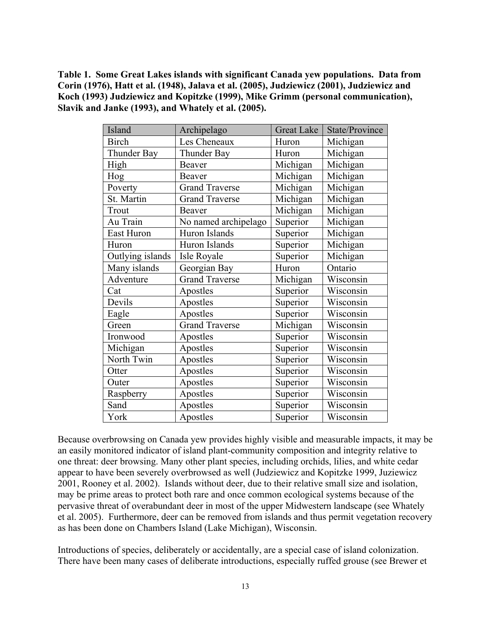**Table 1. Some Great Lakes islands with significant Canada yew populations. Data from Corin (1976), Hatt et al. (1948), Jalava et al. (2005), Judziewicz (2001), Judziewicz and Koch (1993) Judziewicz and Kopitzke (1999), Mike Grimm (personal communication), Slavik and Janke (1993), and Whately et al. (2005).** 

| Island           | Archipelago           | <b>Great Lake</b> | State/Province |
|------------------|-----------------------|-------------------|----------------|
| <b>Birch</b>     | Les Cheneaux          | Huron             | Michigan       |
| Thunder Bay      | Thunder Bay           | Huron             | Michigan       |
| High             | <b>Beaver</b>         | Michigan          | Michigan       |
| Hog              | <b>Beaver</b>         | Michigan          | Michigan       |
| Poverty          | <b>Grand Traverse</b> | Michigan          | Michigan       |
| St. Martin       | <b>Grand Traverse</b> | Michigan          | Michigan       |
| Trout            | Beaver                | Michigan          | Michigan       |
| Au Train         | No named archipelago  | Superior          | Michigan       |
| East Huron       | Huron Islands         | Superior          | Michigan       |
| Huron            | Huron Islands         | Superior          | Michigan       |
| Outlying islands | Isle Royale           | Superior          | Michigan       |
| Many islands     | Georgian Bay          | Huron             | Ontario        |
| Adventure        | <b>Grand Traverse</b> | Michigan          | Wisconsin      |
| Cat              | Apostles              | Superior          | Wisconsin      |
| Devils           | Apostles              | Superior          | Wisconsin      |
| Eagle            | Apostles              | Superior          | Wisconsin      |
| Green            | <b>Grand Traverse</b> | Michigan          | Wisconsin      |
| Ironwood         | Apostles              | Superior          | Wisconsin      |
| Michigan         | Apostles              | Superior          | Wisconsin      |
| North Twin       | Apostles              | Superior          | Wisconsin      |
| Otter            | Apostles              | Superior          | Wisconsin      |
| Outer            | Apostles              | Superior          | Wisconsin      |
| Raspberry        | Apostles              | Superior          | Wisconsin      |
| Sand             | Apostles              | Superior          | Wisconsin      |
| York             | Apostles              | Superior          | Wisconsin      |

Because overbrowsing on Canada yew provides highly visible and measurable impacts, it may be an easily monitored indicator of island plant-community composition and integrity relative to one threat: deer browsing. Many other plant species, including orchids, lilies, and white cedar appear to have been severely overbrowsed as well (Judziewicz and Kopitzke 1999, Juziewicz 2001, Rooney et al. 2002). Islands without deer, due to their relative small size and isolation, may be prime areas to protect both rare and once common ecological systems because of the pervasive threat of overabundant deer in most of the upper Midwestern landscape (see Whately et al. 2005). Furthermore, deer can be removed from islands and thus permit vegetation recovery as has been done on Chambers Island (Lake Michigan), Wisconsin.

Introductions of species, deliberately or accidentally, are a special case of island colonization. There have been many cases of deliberate introductions, especially ruffed grouse (see Brewer et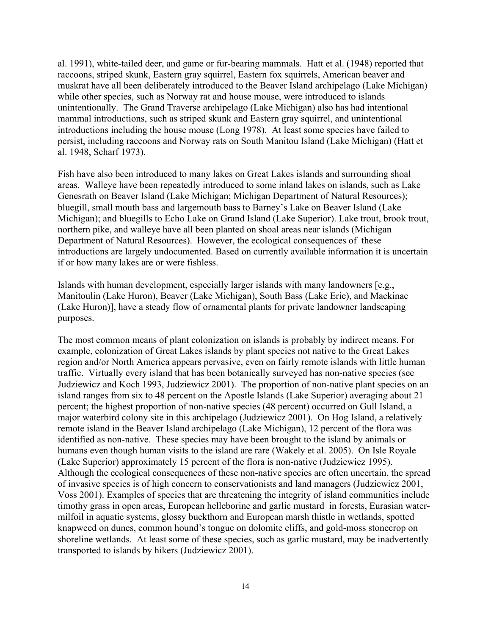al. 1991), white-tailed deer, and game or fur-bearing mammals. Hatt et al. (1948) reported that raccoons, striped skunk, Eastern gray squirrel, Eastern fox squirrels, American beaver and muskrat have all been deliberately introduced to the Beaver Island archipelago (Lake Michigan) while other species, such as Norway rat and house mouse, were introduced to islands unintentionally. The Grand Traverse archipelago (Lake Michigan) also has had intentional mammal introductions, such as striped skunk and Eastern gray squirrel, and unintentional introductions including the house mouse (Long 1978). At least some species have failed to persist, including raccoons and Norway rats on South Manitou Island (Lake Michigan) (Hatt et al. 1948, Scharf 1973).

Fish have also been introduced to many lakes on Great Lakes islands and surrounding shoal areas. Walleye have been repeatedly introduced to some inland lakes on islands, such as Lake Genesrath on Beaver Island (Lake Michigan; Michigan Department of Natural Resources); bluegill, small mouth bass and largemouth bass to Barney's Lake on Beaver Island (Lake Michigan); and bluegills to Echo Lake on Grand Island (Lake Superior). Lake trout, brook trout, northern pike, and walleye have all been planted on shoal areas near islands (Michigan Department of Natural Resources). However, the ecological consequences of these introductions are largely undocumented. Based on currently available information it is uncertain if or how many lakes are or were fishless.

Islands with human development, especially larger islands with many landowners [e.g., Manitoulin (Lake Huron), Beaver (Lake Michigan), South Bass (Lake Erie), and Mackinac (Lake Huron)], have a steady flow of ornamental plants for private landowner landscaping purposes.

The most common means of plant colonization on islands is probably by indirect means. For example, colonization of Great Lakes islands by plant species not native to the Great Lakes region and/or North America appears pervasive, even on fairly remote islands with little human traffic. Virtually every island that has been botanically surveyed has non-native species (see Judziewicz and Koch 1993, Judziewicz 2001). The proportion of non-native plant species on an island ranges from six to 48 percent on the Apostle Islands (Lake Superior) averaging about 21 percent; the highest proportion of non-native species (48 percent) occurred on Gull Island, a major waterbird colony site in this archipelago (Judziewicz 2001). On Hog Island, a relatively remote island in the Beaver Island archipelago (Lake Michigan), 12 percent of the flora was identified as non-native. These species may have been brought to the island by animals or humans even though human visits to the island are rare (Wakely et al. 2005). On Isle Royale (Lake Superior) approximately 15 percent of the flora is non-native (Judziewicz 1995). Although the ecological consequences of these non-native species are often uncertain, the spread of invasive species is of high concern to conservationists and land managers (Judziewicz 2001, Voss 2001). Examples of species that are threatening the integrity of island communities include timothy grass in open areas, European helleborine and garlic mustard in forests, Eurasian watermilfoil in aquatic systems, glossy buckthorn and European marsh thistle in wetlands, spotted knapweed on dunes, common hound's tongue on dolomite cliffs, and gold-moss stonecrop on shoreline wetlands. At least some of these species, such as garlic mustard, may be inadvertently transported to islands by hikers (Judziewicz 2001).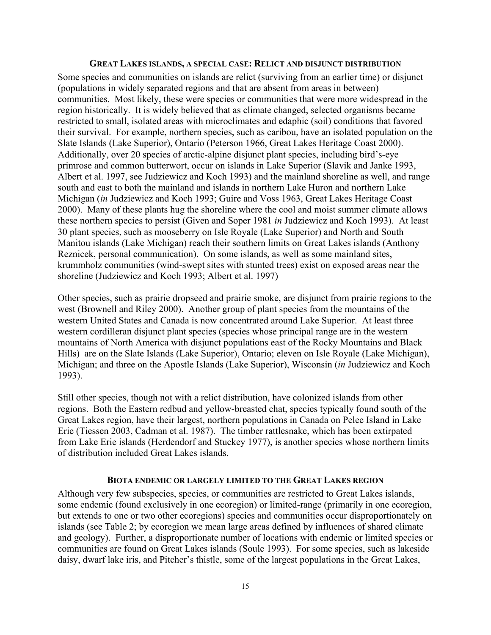#### **GREAT LAKES ISLANDS, A SPECIAL CASE: RELICT AND DISJUNCT DISTRIBUTION**

Some species and communities on islands are relict (surviving from an earlier time) or disjunct (populations in widely separated regions and that are absent from areas in between) communities. Most likely, these were species or communities that were more widespread in the region historically. It is widely believed that as climate changed, selected organisms became restricted to small, isolated areas with microclimates and edaphic (soil) conditions that favored their survival. For example, northern species, such as caribou, have an isolated population on the Slate Islands (Lake Superior), Ontario (Peterson 1966, Great Lakes Heritage Coast 2000). Additionally, over 20 species of arctic-alpine disjunct plant species, including bird's-eye primrose and common butterwort, occur on islands in Lake Superior (Slavik and Janke 1993, Albert et al. 1997, see Judziewicz and Koch 1993) and the mainland shoreline as well, and range south and east to both the mainland and islands in northern Lake Huron and northern Lake Michigan (*in* Judziewicz and Koch 1993; Guire and Voss 1963, Great Lakes Heritage Coast 2000). Many of these plants hug the shoreline where the cool and moist summer climate allows these northern species to persist (Given and Soper 1981 *in* Judziewicz and Koch 1993). At least 30 plant species, such as mooseberry on Isle Royale (Lake Superior) and North and South Manitou islands (Lake Michigan) reach their southern limits on Great Lakes islands (Anthony Reznicek, personal communication). On some islands, as well as some mainland sites, krummholz communities (wind-swept sites with stunted trees) exist on exposed areas near the shoreline (Judziewicz and Koch 1993; Albert et al. 1997)

Other species, such as prairie dropseed and prairie smoke, are disjunct from prairie regions to the west (Brownell and Riley 2000). Another group of plant species from the mountains of the western United States and Canada is now concentrated around Lake Superior. At least three western cordilleran disjunct plant species (species whose principal range are in the western mountains of North America with disjunct populations east of the Rocky Mountains and Black Hills) are on the Slate Islands (Lake Superior), Ontario; eleven on Isle Royale (Lake Michigan), Michigan; and three on the Apostle Islands (Lake Superior), Wisconsin (*in* Judziewicz and Koch 1993).

Still other species, though not with a relict distribution, have colonized islands from other regions. Both the Eastern redbud and yellow-breasted chat, species typically found south of the Great Lakes region, have their largest, northern populations in Canada on Pelee Island in Lake Erie (Tiessen 2003, Cadman et al. 1987). The timber rattlesnake, which has been extirpated from Lake Erie islands (Herdendorf and Stuckey 1977), is another species whose northern limits of distribution included Great Lakes islands.

#### **BIOTA ENDEMIC OR LARGELY LIMITED TO THE GREAT LAKES REGION**

Although very few subspecies, species, or communities are restricted to Great Lakes islands, some endemic (found exclusively in one ecoregion) or limited-range (primarily in one ecoregion, but extends to one or two other ecoregions) species and communities occur disproportionately on islands (see Table 2; by ecoregion we mean large areas defined by influences of shared climate and geology). Further, a disproportionate number of locations with endemic or limited species or communities are found on Great Lakes islands (Soule 1993). For some species, such as lakeside daisy, dwarf lake iris, and Pitcher's thistle, some of the largest populations in the Great Lakes,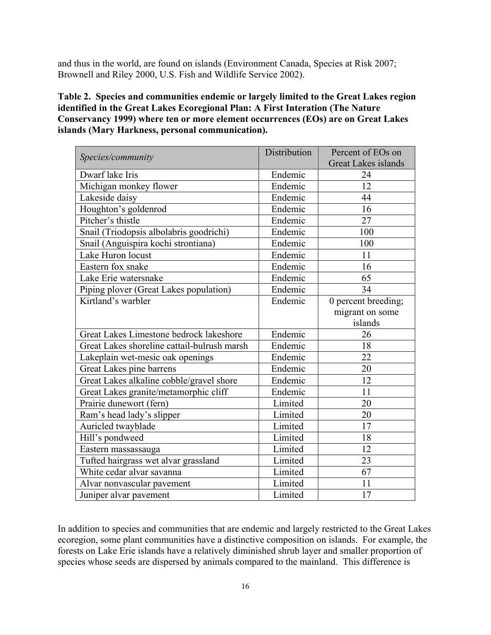and thus in the world, are found on islands (Environment Canada, Species at Risk 2007; Brownell and Riley 2000, U.S. Fish and Wildlife Service 2002).

### **Table 2. Species and communities endemic or largely limited to the Great Lakes region identified in the Great Lakes Ecoregional Plan: A First Interation (The Nature Conservancy 1999) where ten or more element occurrences (EOs) are on Great Lakes islands (Mary Harkness, personal communication).**

| Species/community                           | Distribution | Percent of EOs on          |
|---------------------------------------------|--------------|----------------------------|
|                                             |              | <b>Great Lakes islands</b> |
| Dwarf lake Iris                             | Endemic      | 24                         |
| Michigan monkey flower                      | Endemic      | 12                         |
| Lakeside daisy                              | Endemic      | 44                         |
| Houghton's goldenrod                        | Endemic      | 16                         |
| Pitcher's thistle                           | Endemic      | 27                         |
| Snail (Triodopsis albolabris goodrichi)     | Endemic      | 100                        |
| Snail (Anguispira kochi strontiana)         | Endemic      | 100                        |
| Lake Huron locust                           | Endemic      | 11                         |
| Eastern fox snake                           | Endemic      | 16                         |
| Lake Erie watersnake                        | Endemic      | 65                         |
| Piping plover (Great Lakes population)      | Endemic      | 34                         |
| Kirtland's warbler                          | Endemic      | 0 percent breeding;        |
|                                             |              | migrant on some            |
|                                             |              | islands                    |
| Great Lakes Limestone bedrock lakeshore     | Endemic      | 26                         |
| Great Lakes shoreline cattail-bulrush marsh | Endemic      | 18                         |
| Lakeplain wet-mesic oak openings            | Endemic      | 22                         |
| Great Lakes pine barrens                    | Endemic      | 20                         |
| Great Lakes alkaline cobble/gravel shore    | Endemic      | 12                         |
| Great Lakes granite/metamorphic cliff       | Endemic      | 11                         |
| Prairie dunewort (fern)                     | Limited      | 20                         |
| Ram's head lady's slipper                   | Limited      | 20                         |
| Auricled twayblade                          | Limited      | 17                         |
| Hill's pondweed                             | Limited      | 18                         |
| Eastern massassauga                         | Limited      | 12                         |
| Tufted hairgrass wet alvar grassland        | Limited      | 23                         |
| White cedar alvar savanna                   | Limited      | 67                         |
| Alvar nonvascular pavement                  | Limited      | 11                         |
| Juniper alvar pavement                      | Limited      | 17                         |

In addition to species and communities that are endemic and largely restricted to the Great Lakes ecoregion, some plant communities have a distinctive composition on islands. For example, the forests on Lake Erie islands have a relatively diminished shrub layer and smaller proportion of species whose seeds are dispersed by animals compared to the mainland. This difference is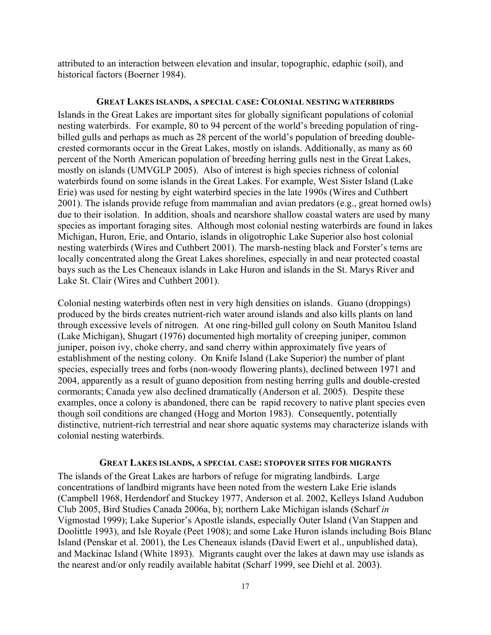attributed to an interaction between elevation and insular, topographic, edaphic (soil), and historical factors (Boerner 1984).

### **GREAT LAKES ISLANDS, A SPECIAL CASE: COLONIAL NESTING WATERBIRDS**

Islands in the Great Lakes are important sites for globally significant populations of colonial nesting waterbirds. For example, 80 to 94 percent of the world's breeding population of ringbilled gulls and perhaps as much as 28 percent of the world's population of breeding doublecrested cormorants occur in the Great Lakes, mostly on islands. Additionally, as many as 60 percent of the North American population of breeding herring gulls nest in the Great Lakes, mostly on islands (UMVGLP 2005). Also of interest is high species richness of colonial waterbirds found on some islands in the Great Lakes. For example, West Sister Island (Lake Erie) was used for nesting by eight waterbird species in the late 1990s (Wires and Cuthbert 2001). The islands provide refuge from mammalian and avian predators (e.g., great horned owls) due to their isolation. In addition, shoals and nearshore shallow coastal waters are used by many species as important foraging sites. Although most colonial nesting waterbirds are found in lakes Michigan, Huron, Erie, and Ontario, islands in oligotrophic Lake Superior also host colonial nesting waterbirds (Wires and Cuthbert 2001). The marsh-nesting black and Forster's terns are locally concentrated along the Great Lakes shorelines, especially in and near protected coastal bays such as the Les Cheneaux islands in Lake Huron and islands in the St. Marys River and Lake St. Clair (Wires and Cuthbert 2001).

Colonial nesting waterbirds often nest in very high densities on islands. Guano (droppings) produced by the birds creates nutrient-rich water around islands and also kills plants on land through excessive levels of nitrogen. At one ring-billed gull colony on South Manitou Island (Lake Michigan), Shugart (1976) documented high mortality of creeping juniper, common juniper, poison ivy, choke cherry, and sand cherry within approximately five years of establishment of the nesting colony. On Knife Island (Lake Superior) the number of plant species, especially trees and forbs (non-woody flowering plants), declined between 1971 and 2004, apparently as a result of guano deposition from nesting herring gulls and double-crested cormorants; Canada yew also declined dramatically (Anderson et al. 2005). Despite these examples, once a colony is abandoned, there can be rapid recovery to native plant species even though soil conditions are changed (Hogg and Morton 1983). Consequently, potentially distinctive, nutrient-rich terrestrial and near shore aquatic systems may characterize islands with colonial nesting waterbirds.

#### **GREAT LAKES ISLANDS, A SPECIAL CASE: STOPOVER SITES FOR MIGRANTS**

The islands of the Great Lakes are harbors of refuge for migrating landbirds. Large concentrations of landbird migrants have been noted from the western Lake Erie islands (Campbell 1968, Herdendorf and Stuckey 1977, Anderson et al. 2002, Kelleys Island Audubon Club 2005, Bird Studies Canada 2006a, b); northern Lake Michigan islands (Scharf *in* Vigmostad 1999); Lake Superior's Apostle islands, especially Outer Island (Van Stappen and Doolittle 1993), and Isle Royale (Peet 1908); and some Lake Huron islands including Bois Blanc Island (Penskar et al. 2001), the Les Cheneaux islands (David Ewert et al., unpublished data), and Mackinac Island (White 1893). Migrants caught over the lakes at dawn may use islands as the nearest and/or only readily available habitat (Scharf 1999, see Diehl et al. 2003).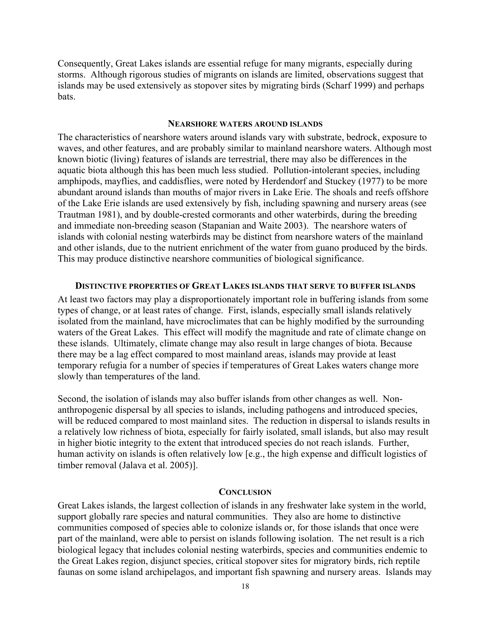Consequently, Great Lakes islands are essential refuge for many migrants, especially during storms. Although rigorous studies of migrants on islands are limited, observations suggest that islands may be used extensively as stopover sites by migrating birds (Scharf 1999) and perhaps bats.

#### **NEARSHORE WATERS AROUND ISLANDS**

The characteristics of nearshore waters around islands vary with substrate, bedrock, exposure to waves, and other features, and are probably similar to mainland nearshore waters. Although most known biotic (living) features of islands are terrestrial, there may also be differences in the aquatic biota although this has been much less studied. Pollution-intolerant species, including amphipods, mayflies, and caddisflies, were noted by Herdendorf and Stuckey (1977) to be more abundant around islands than mouths of major rivers in Lake Erie. The shoals and reefs offshore of the Lake Erie islands are used extensively by fish, including spawning and nursery areas (see Trautman 1981), and by double-crested cormorants and other waterbirds, during the breeding and immediate non-breeding season (Stapanian and Waite 2003). The nearshore waters of islands with colonial nesting waterbirds may be distinct from nearshore waters of the mainland and other islands, due to the nutrient enrichment of the water from guano produced by the birds. This may produce distinctive nearshore communities of biological significance.

#### **DISTINCTIVE PROPERTIES OF GREAT LAKES ISLANDS THAT SERVE TO BUFFER ISLANDS**

At least two factors may play a disproportionately important role in buffering islands from some types of change, or at least rates of change. First, islands, especially small islands relatively isolated from the mainland, have microclimates that can be highly modified by the surrounding waters of the Great Lakes. This effect will modify the magnitude and rate of climate change on these islands. Ultimately, climate change may also result in large changes of biota. Because there may be a lag effect compared to most mainland areas, islands may provide at least temporary refugia for a number of species if temperatures of Great Lakes waters change more slowly than temperatures of the land.

Second, the isolation of islands may also buffer islands from other changes as well. Nonanthropogenic dispersal by all species to islands, including pathogens and introduced species, will be reduced compared to most mainland sites. The reduction in dispersal to islands results in a relatively low richness of biota, especially for fairly isolated, small islands, but also may result in higher biotic integrity to the extent that introduced species do not reach islands. Further, human activity on islands is often relatively low [e.g., the high expense and difficult logistics of timber removal (Jalava et al. 2005)].

### **CONCLUSION**

Great Lakes islands, the largest collection of islands in any freshwater lake system in the world, support globally rare species and natural communities. They also are home to distinctive communities composed of species able to colonize islands or, for those islands that once were part of the mainland, were able to persist on islands following isolation. The net result is a rich biological legacy that includes colonial nesting waterbirds, species and communities endemic to the Great Lakes region, disjunct species, critical stopover sites for migratory birds, rich reptile faunas on some island archipelagos, and important fish spawning and nursery areas. Islands may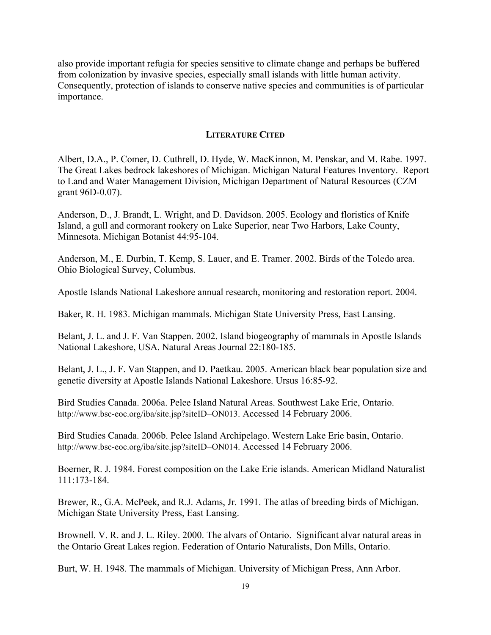also provide important refugia for species sensitive to climate change and perhaps be buffered from colonization by invasive species, especially small islands with little human activity. Consequently, protection of islands to conserve native species and communities is of particular importance.

### **LITERATURE CITED**

Albert, D.A., P. Comer, D. Cuthrell, D. Hyde, W. MacKinnon, M. Penskar, and M. Rabe. 1997. The Great Lakes bedrock lakeshores of Michigan. Michigan Natural Features Inventory. Report to Land and Water Management Division, Michigan Department of Natural Resources (CZM grant 96D-0.07).

Anderson, D., J. Brandt, L. Wright, and D. Davidson. 2005. Ecology and floristics of Knife Island, a gull and cormorant rookery on Lake Superior, near Two Harbors, Lake County, Minnesota. Michigan Botanist 44:95-104.

Anderson, M., E. Durbin, T. Kemp, S. Lauer, and E. Tramer. 2002. Birds of the Toledo area. Ohio Biological Survey, Columbus.

Apostle Islands National Lakeshore annual research, monitoring and restoration report. 2004.

Baker, R. H. 1983. Michigan mammals. Michigan State University Press, East Lansing.

Belant, J. L. and J. F. Van Stappen. 2002. Island biogeography of mammals in Apostle Islands National Lakeshore, USA. Natural Areas Journal 22:180-185.

Belant, J. L., J. F. Van Stappen, and D. Paetkau. 2005. American black bear population size and genetic diversity at Apostle Islands National Lakeshore. Ursus 16:85-92.

Bird Studies Canada. 2006a. Pelee Island Natural Areas. Southwest Lake Erie, Ontario. http://www.bsc-eoc.org/iba/site.jsp?siteID=ON013. Accessed 14 February 2006.

Bird Studies Canada. 2006b. Pelee Island Archipelago. Western Lake Erie basin, Ontario. http://www.bsc-eoc.org/iba/site.jsp?siteID=ON014. Accessed 14 February 2006.

Boerner, R. J. 1984. Forest composition on the Lake Erie islands. American Midland Naturalist 111:173-184.

Brewer, R., G.A. McPeek, and R.J. Adams, Jr. 1991. The atlas of breeding birds of Michigan. Michigan State University Press, East Lansing.

Brownell. V. R. and J. L. Riley. 2000. The alvars of Ontario. Significant alvar natural areas in the Ontario Great Lakes region. Federation of Ontario Naturalists, Don Mills, Ontario.

Burt, W. H. 1948. The mammals of Michigan. University of Michigan Press, Ann Arbor.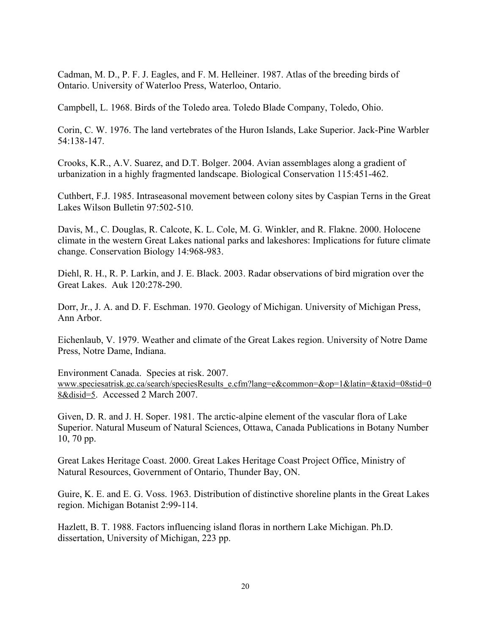Cadman, M. D., P. F. J. Eagles, and F. M. Helleiner. 1987. Atlas of the breeding birds of Ontario. University of Waterloo Press, Waterloo, Ontario.

Campbell, L. 1968. Birds of the Toledo area. Toledo Blade Company, Toledo, Ohio.

Corin, C. W. 1976. The land vertebrates of the Huron Islands, Lake Superior. Jack-Pine Warbler 54:138-147.

Crooks, K.R., A.V. Suarez, and D.T. Bolger. 2004. Avian assemblages along a gradient of urbanization in a highly fragmented landscape. Biological Conservation 115:451-462.

Cuthbert, F.J. 1985. Intraseasonal movement between colony sites by Caspian Terns in the Great Lakes Wilson Bulletin 97:502-510.

Davis, M., C. Douglas, R. Calcote, K. L. Cole, M. G. Winkler, and R. Flakne. 2000. Holocene climate in the western Great Lakes national parks and lakeshores: Implications for future climate change. Conservation Biology 14:968-983.

Diehl, R. H., R. P. Larkin, and J. E. Black. 2003. Radar observations of bird migration over the Great Lakes. Auk 120:278-290.

Dorr, Jr., J. A. and D. F. Eschman. 1970. Geology of Michigan. University of Michigan Press, Ann Arbor.

Eichenlaub, V. 1979. Weather and climate of the Great Lakes region. University of Notre Dame Press, Notre Dame, Indiana.

Environment Canada. Species at risk. 2007. www.speciesatrisk.gc.ca/search/speciesResults\_e.cfm?lang=e&common=&op=1&latin=&taxid=08stid=0 8&disid=5. Accessed 2 March 2007.

Given, D. R. and J. H. Soper. 1981. The arctic-alpine element of the vascular flora of Lake Superior. Natural Museum of Natural Sciences, Ottawa, Canada Publications in Botany Number 10, 70 pp.

Great Lakes Heritage Coast. 2000. Great Lakes Heritage Coast Project Office, Ministry of Natural Resources, Government of Ontario, Thunder Bay, ON.

Guire, K. E. and E. G. Voss. 1963. Distribution of distinctive shoreline plants in the Great Lakes region. Michigan Botanist 2:99-114.

Hazlett, B. T. 1988. Factors influencing island floras in northern Lake Michigan. Ph.D. dissertation, University of Michigan, 223 pp.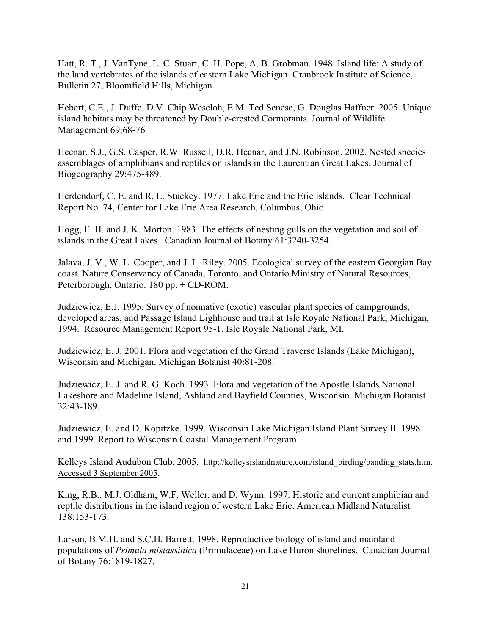Hatt, R. T., J. VanTyne, L. C. Stuart, C. H. Pope, A. B. Grobman. 1948. Island life: A study of the land vertebrates of the islands of eastern Lake Michigan. Cranbrook Institute of Science, Bulletin 27, Bloomfield Hills, Michigan.

Hebert, C.E., J. Duffe, D.V. Chip Weseloh, E.M. Ted Senese, G. Douglas Haffner. 2005. Unique island habitats may be threatened by Double-crested Cormorants. Journal of Wildlife Management 69:68-76

Hecnar, S.J., G.S. Casper, R.W. Russell, D.R. Hecnar, and J.N. Robinson. 2002. Nested species assemblages of amphibians and reptiles on islands in the Laurentian Great Lakes. Journal of Biogeography 29:475-489.

Herdendorf, C. E. and R. L. Stuckey. 1977. Lake Erie and the Erie islands. Clear Technical Report No. 74, Center for Lake Erie Area Research, Columbus, Ohio.

Hogg, E. H. and J. K. Morton. 1983. The effects of nesting gulls on the vegetation and soil of islands in the Great Lakes. Canadian Journal of Botany 61:3240-3254.

Jalava, J. V., W. L. Cooper, and J. L. Riley. 2005. Ecological survey of the eastern Georgian Bay coast. Nature Conservancy of Canada, Toronto, and Ontario Ministry of Natural Resources, Peterborough, Ontario. 180 pp. + CD-ROM.

Judziewicz, E.J. 1995. Survey of nonnative (exotic) vascular plant species of campgrounds, developed areas, and Passage Island Lighhouse and trail at Isle Royale National Park, Michigan, 1994. Resource Management Report 95-1, Isle Royale National Park, MI.

Judziewicz, E. J. 2001. Flora and vegetation of the Grand Traverse Islands (Lake Michigan), Wisconsin and Michigan. Michigan Botanist 40:81-208.

Judziewicz, E. J. and R. G. Koch. 1993. Flora and vegetation of the Apostle Islands National Lakeshore and Madeline Island, Ashland and Bayfield Counties, Wisconsin. Michigan Botanist 32:43-189.

Judziewicz, E. and D. Kopitzke. 1999. Wisconsin Lake Michigan Island Plant Survey II. 1998 and 1999. Report to Wisconsin Coastal Management Program.

Kelleys Island Audubon Club. 2005. http://kelleysislandnature.com/island\_birding/banding\_stats.htm. Accessed 3 September 2005.

King, R.B., M.J. Oldham, W.F. Weller, and D. Wynn. 1997. Historic and current amphibian and reptile distributions in the island region of western Lake Erie. American Midland Naturalist 138:153-173.

Larson, B.M.H. and S.C.H. Barrett. 1998. Reproductive biology of island and mainland populations of *Primula mistassinica* (Primulaceae) on Lake Huron shorelines. Canadian Journal of Botany 76:1819-1827.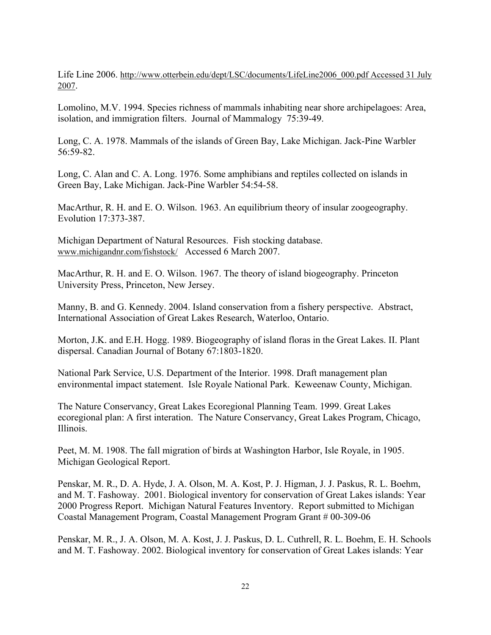Life Line 2006. http://www.otterbein.edu/dept/LSC/documents/LifeLine2006\_000.pdf Accessed 31 July 2007.

Lomolino, M.V. 1994. Species richness of mammals inhabiting near shore archipelagoes: Area, isolation, and immigration filters. Journal of Mammalogy 75:39-49.

Long, C. A. 1978. Mammals of the islands of Green Bay, Lake Michigan. Jack-Pine Warbler 56:59-82.

Long, C. Alan and C. A. Long. 1976. Some amphibians and reptiles collected on islands in Green Bay, Lake Michigan. Jack-Pine Warbler 54:54-58.

MacArthur, R. H. and E. O. Wilson. 1963. An equilibrium theory of insular zoogeography. Evolution 17:373-387.

Michigan Department of Natural Resources. Fish stocking database. www.michigandnr.com/fishstock/ Accessed 6 March 2007.

MacArthur, R. H. and E. O. Wilson. 1967. The theory of island biogeography. Princeton University Press, Princeton, New Jersey.

Manny, B. and G. Kennedy. 2004. Island conservation from a fishery perspective. Abstract, International Association of Great Lakes Research, Waterloo, Ontario.

Morton, J.K. and E.H. Hogg. 1989. Biogeography of island floras in the Great Lakes. II. Plant dispersal. Canadian Journal of Botany 67:1803-1820.

National Park Service, U.S. Department of the Interior. 1998. Draft management plan environmental impact statement. Isle Royale National Park. Keweenaw County, Michigan.

The Nature Conservancy, Great Lakes Ecoregional Planning Team. 1999. Great Lakes ecoregional plan: A first interation. The Nature Conservancy, Great Lakes Program, Chicago, Illinois.

Peet, M. M. 1908. The fall migration of birds at Washington Harbor, Isle Royale, in 1905. Michigan Geological Report.

Penskar, M. R., D. A. Hyde, J. A. Olson, M. A. Kost, P. J. Higman, J. J. Paskus, R. L. Boehm, and M. T. Fashoway. 2001. Biological inventory for conservation of Great Lakes islands: Year 2000 Progress Report. Michigan Natural Features Inventory. Report submitted to Michigan Coastal Management Program, Coastal Management Program Grant # 00-309-06

Penskar, M. R., J. A. Olson, M. A. Kost, J. J. Paskus, D. L. Cuthrell, R. L. Boehm, E. H. Schools and M. T. Fashoway. 2002. Biological inventory for conservation of Great Lakes islands: Year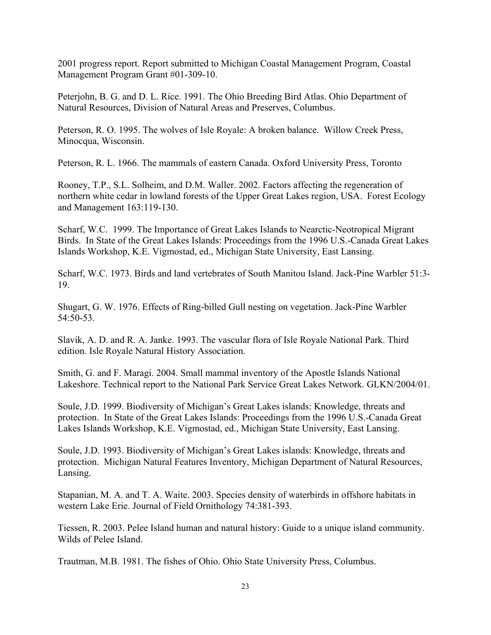2001 progress report. Report submitted to Michigan Coastal Management Program, Coastal Management Program Grant #01-309-10.

Peterjohn, B. G. and D. L. Rice. 1991. The Ohio Breeding Bird Atlas. Ohio Department of Natural Resources, Division of Natural Areas and Preserves, Columbus.

Peterson, R. O. 1995. The wolves of Isle Royale: A broken balance. Willow Creek Press, Minocqua, Wisconsin.

Peterson, R. L. 1966. The mammals of eastern Canada. Oxford University Press, Toronto

Rooney, T.P., S.L. Solheim, and D.M. Waller. 2002. Factors affecting the regeneration of northern white cedar in lowland forests of the Upper Great Lakes region, USA. Forest Ecology and Management 163:119-130.

Scharf, W.C. 1999. The Importance of Great Lakes Islands to Nearctic-Neotropical Migrant Birds. In State of the Great Lakes Islands: Proceedings from the 1996 U.S.-Canada Great Lakes Islands Workshop, K.E. Vigmostad, ed., Michigan State University, East Lansing.

Scharf, W.C. 1973. Birds and land vertebrates of South Manitou Island. Jack-Pine Warbler 51:3- 19.

Shugart, G. W. 1976. Effects of Ring-billed Gull nesting on vegetation. Jack-Pine Warbler 54:50-53.

Slavik, A. D. and R. A. Janke. 1993. The vascular flora of Isle Royale National Park. Third edition. Isle Royale Natural History Association.

Smith, G. and F. Maragi. 2004. Small mammal inventory of the Apostle Islands National Lakeshore. Technical report to the National Park Service Great Lakes Network. GLKN/2004/01.

Soule, J.D. 1999. Biodiversity of Michigan's Great Lakes islands: Knowledge, threats and protection. In State of the Great Lakes Islands: Proceedings from the 1996 U.S.-Canada Great Lakes Islands Workshop, K.E. Vigmostad, ed., Michigan State University, East Lansing.

Soule, J.D. 1993. Biodiversity of Michigan's Great Lakes islands: Knowledge, threats and protection. Michigan Natural Features Inventory, Michigan Department of Natural Resources, Lansing.

Stapanian, M. A. and T. A. Waite. 2003. Species density of waterbirds in offshore habitats in western Lake Erie. Journal of Field Ornithology 74:381-393.

Tiessen, R. 2003. Pelee Island human and natural history: Guide to a unique island community. Wilds of Pelee Island.

Trautman, M.B. 1981. The fishes of Ohio. Ohio State University Press, Columbus.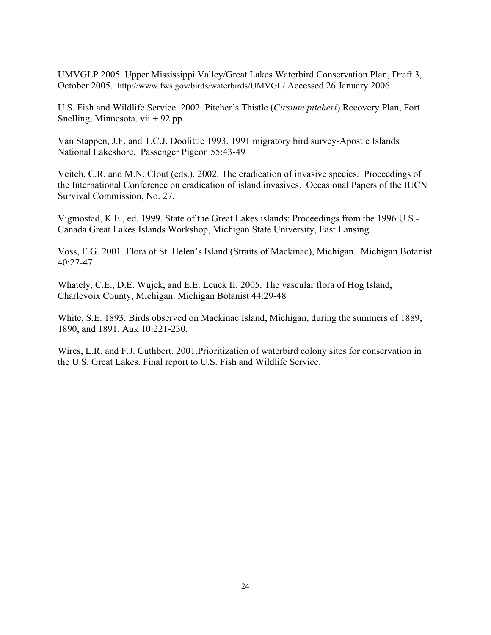UMVGLP 2005. Upper Mississippi Valley/Great Lakes Waterbird Conservation Plan, Draft 3, October 2005. http://www.fws.gov/birds/waterbirds/UMVGL/ Accessed 26 January 2006.

U.S. Fish and Wildlife Service. 2002. Pitcher's Thistle (*Cirsium pitcheri*) Recovery Plan, Fort Snelling, Minnesota. vii + 92 pp.

Van Stappen, J.F. and T.C.J. Doolittle 1993. 1991 migratory bird survey-Apostle Islands National Lakeshore. Passenger Pigeon 55:43-49

Veitch, C.R. and M.N. Clout (eds.). 2002. The eradication of invasive species. Proceedings of the International Conference on eradication of island invasives. Occasional Papers of the IUCN Survival Commission, No. 27.

Vigmostad, K.E., ed. 1999. State of the Great Lakes islands: Proceedings from the 1996 U.S.- Canada Great Lakes Islands Workshop, Michigan State University, East Lansing.

Voss, E.G. 2001. Flora of St. Helen's Island (Straits of Mackinac), Michigan. Michigan Botanist 40:27-47.

Whately, C.E., D.E. Wujek, and E.E. Leuck II. 2005. The vascular flora of Hog Island, Charlevoix County, Michigan. Michigan Botanist 44:29-48

White, S.E. 1893. Birds observed on Mackinac Island, Michigan, during the summers of 1889, 1890, and 1891. Auk 10:221-230.

Wires, L.R. and F.J. Cuthbert. 2001.Prioritization of waterbird colony sites for conservation in the U.S. Great Lakes. Final report to U.S. Fish and Wildlife Service.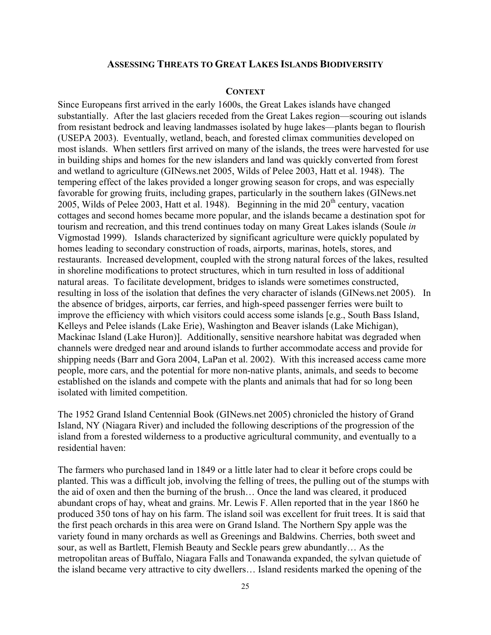### **ASSESSING THREATS TO GREAT LAKES ISLANDS BIODIVERSITY**

#### **CONTEXT**

Since Europeans first arrived in the early 1600s, the Great Lakes islands have changed substantially. After the last glaciers receded from the Great Lakes region—scouring out islands from resistant bedrock and leaving landmasses isolated by huge lakes—plants began to flourish (USEPA 2003). Eventually, wetland, beach, and forested climax communities developed on most islands. When settlers first arrived on many of the islands, the trees were harvested for use in building ships and homes for the new islanders and land was quickly converted from forest and wetland to agriculture (GINews.net 2005, Wilds of Pelee 2003, Hatt et al. 1948). The tempering effect of the lakes provided a longer growing season for crops, and was especially favorable for growing fruits, including grapes, particularly in the southern lakes (GINews.net 2005, Wilds of Pelee 2003, Hatt et al. 1948). Beginning in the mid  $20<sup>th</sup>$  century, vacation cottages and second homes became more popular, and the islands became a destination spot for tourism and recreation, and this trend continues today on many Great Lakes islands (Soule *in* Vigmostad 1999). Islands characterized by significant agriculture were quickly populated by homes leading to secondary construction of roads, airports, marinas, hotels, stores, and restaurants. Increased development, coupled with the strong natural forces of the lakes, resulted in shoreline modifications to protect structures, which in turn resulted in loss of additional natural areas. To facilitate development, bridges to islands were sometimes constructed, resulting in loss of the isolation that defines the very character of islands (GINews.net 2005). In the absence of bridges, airports, car ferries, and high-speed passenger ferries were built to improve the efficiency with which visitors could access some islands [e.g., South Bass Island, Kelleys and Pelee islands (Lake Erie), Washington and Beaver islands (Lake Michigan), Mackinac Island (Lake Huron)]. Additionally, sensitive nearshore habitat was degraded when channels were dredged near and around islands to further accommodate access and provide for shipping needs (Barr and Gora 2004, LaPan et al. 2002). With this increased access came more people, more cars, and the potential for more non-native plants, animals, and seeds to become established on the islands and compete with the plants and animals that had for so long been isolated with limited competition.

The 1952 Grand Island Centennial Book (GINews.net 2005) chronicled the history of Grand Island, NY (Niagara River) and included the following descriptions of the progression of the island from a forested wilderness to a productive agricultural community, and eventually to a residential haven:

The farmers who purchased land in 1849 or a little later had to clear it before crops could be planted. This was a difficult job, involving the felling of trees, the pulling out of the stumps with the aid of oxen and then the burning of the brush… Once the land was cleared, it produced abundant crops of hay, wheat and grains. Mr. Lewis F. Allen reported that in the year 1860 he produced 350 tons of hay on his farm. The island soil was excellent for fruit trees. It is said that the first peach orchards in this area were on Grand Island. The Northern Spy apple was the variety found in many orchards as well as Greenings and Baldwins. Cherries, both sweet and sour, as well as Bartlett, Flemish Beauty and Seckle pears grew abundantly… As the metropolitan areas of Buffalo, Niagara Falls and Tonawanda expanded, the sylvan quietude of the island became very attractive to city dwellers… Island residents marked the opening of the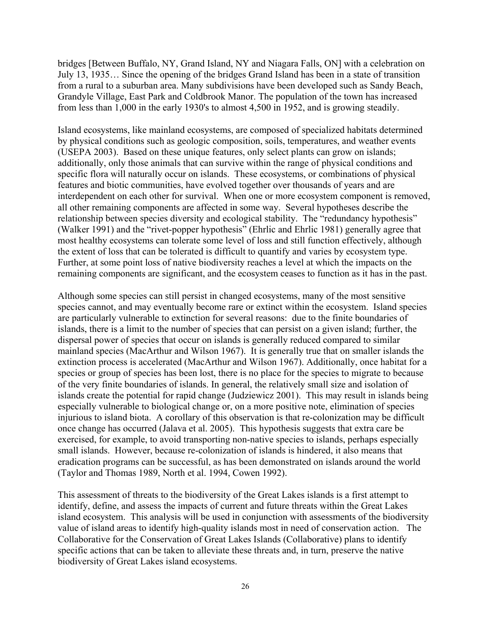bridges [Between Buffalo, NY, Grand Island, NY and Niagara Falls, ON] with a celebration on July 13, 1935… Since the opening of the bridges Grand Island has been in a state of transition from a rural to a suburban area. Many subdivisions have been developed such as Sandy Beach, Grandyle Village, East Park and Coldbrook Manor. The population of the town has increased from less than 1,000 in the early 1930's to almost 4,500 in 1952, and is growing steadily.

Island ecosystems, like mainland ecosystems, are composed of specialized habitats determined by physical conditions such as geologic composition, soils, temperatures, and weather events (USEPA 2003). Based on these unique features, only select plants can grow on islands; additionally, only those animals that can survive within the range of physical conditions and specific flora will naturally occur on islands. These ecosystems, or combinations of physical features and biotic communities, have evolved together over thousands of years and are interdependent on each other for survival. When one or more ecosystem component is removed, all other remaining components are affected in some way. Several hypotheses describe the relationship between species diversity and ecological stability. The "redundancy hypothesis" (Walker 1991) and the "rivet-popper hypothesis" (Ehrlic and Ehrlic 1981) generally agree that most healthy ecosystems can tolerate some level of loss and still function effectively, although the extent of loss that can be tolerated is difficult to quantify and varies by ecosystem type. Further, at some point loss of native biodiversity reaches a level at which the impacts on the remaining components are significant, and the ecosystem ceases to function as it has in the past.

Although some species can still persist in changed ecosystems, many of the most sensitive species cannot, and may eventually become rare or extinct within the ecosystem. Island species are particularly vulnerable to extinction for several reasons: due to the finite boundaries of islands, there is a limit to the number of species that can persist on a given island; further, the dispersal power of species that occur on islands is generally reduced compared to similar mainland species (MacArthur and Wilson 1967). It is generally true that on smaller islands the extinction process is accelerated (MacArthur and Wilson 1967). Additionally, once habitat for a species or group of species has been lost, there is no place for the species to migrate to because of the very finite boundaries of islands. In general, the relatively small size and isolation of islands create the potential for rapid change (Judziewicz 2001). This may result in islands being especially vulnerable to biological change or, on a more positive note, elimination of species injurious to island biota. A corollary of this observation is that re-colonization may be difficult once change has occurred (Jalava et al. 2005). This hypothesis suggests that extra care be exercised, for example, to avoid transporting non-native species to islands, perhaps especially small islands. However, because re-colonization of islands is hindered, it also means that eradication programs can be successful, as has been demonstrated on islands around the world (Taylor and Thomas 1989, North et al. 1994, Cowen 1992).

This assessment of threats to the biodiversity of the Great Lakes islands is a first attempt to identify, define, and assess the impacts of current and future threats within the Great Lakes island ecosystem. This analysis will be used in conjunction with assessments of the biodiversity value of island areas to identify high-quality islands most in need of conservation action. The Collaborative for the Conservation of Great Lakes Islands (Collaborative) plans to identify specific actions that can be taken to alleviate these threats and, in turn, preserve the native biodiversity of Great Lakes island ecosystems.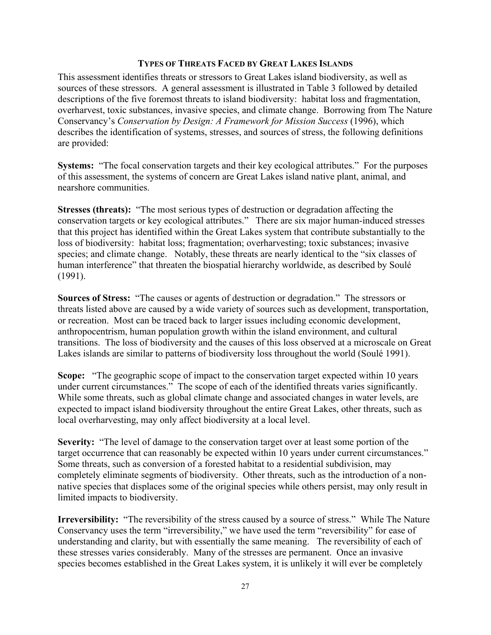### **TYPES OF THREATS FACED BY GREAT LAKES ISLANDS**

This assessment identifies threats or stressors to Great Lakes island biodiversity, as well as sources of these stressors. A general assessment is illustrated in Table 3 followed by detailed descriptions of the five foremost threats to island biodiversity: habitat loss and fragmentation, overharvest, toxic substances, invasive species, and climate change. Borrowing from The Nature Conservancy's *Conservation by Design: A Framework for Mission Success* (1996), which describes the identification of systems, stresses, and sources of stress, the following definitions are provided:

**Systems:** "The focal conservation targets and their key ecological attributes." For the purposes of this assessment, the systems of concern are Great Lakes island native plant, animal, and nearshore communities.

**Stresses (threats):** "The most serious types of destruction or degradation affecting the conservation targets or key ecological attributes." There are six major human-induced stresses that this project has identified within the Great Lakes system that contribute substantially to the loss of biodiversity: habitat loss; fragmentation; overharvesting; toxic substances; invasive species; and climate change. Notably, these threats are nearly identical to the "six classes of human interference" that threaten the biospatial hierarchy worldwide, as described by Soulé (1991).

**Sources of Stress:** "The causes or agents of destruction or degradation." The stressors or threats listed above are caused by a wide variety of sources such as development, transportation, or recreation. Most can be traced back to larger issues including economic development, anthropocentrism, human population growth within the island environment, and cultural transitions. The loss of biodiversity and the causes of this loss observed at a microscale on Great Lakes islands are similar to patterns of biodiversity loss throughout the world (Soulé 1991).

**Scope:** "The geographic scope of impact to the conservation target expected within 10 years under current circumstances." The scope of each of the identified threats varies significantly. While some threats, such as global climate change and associated changes in water levels, are expected to impact island biodiversity throughout the entire Great Lakes, other threats, such as local overharvesting, may only affect biodiversity at a local level.

**Severity:** "The level of damage to the conservation target over at least some portion of the target occurrence that can reasonably be expected within 10 years under current circumstances." Some threats, such as conversion of a forested habitat to a residential subdivision, may completely eliminate segments of biodiversity. Other threats, such as the introduction of a nonnative species that displaces some of the original species while others persist, may only result in limited impacts to biodiversity.

**Irreversibility:** "The reversibility of the stress caused by a source of stress." While The Nature Conservancy uses the term "irreversibility," we have used the term "reversibility" for ease of understanding and clarity, but with essentially the same meaning. The reversibility of each of these stresses varies considerably. Many of the stresses are permanent. Once an invasive species becomes established in the Great Lakes system, it is unlikely it will ever be completely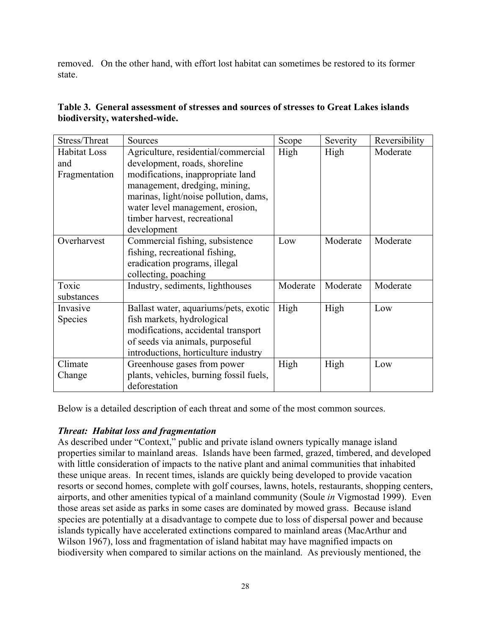removed. On the other hand, with effort lost habitat can sometimes be restored to its former state.

| Stress/Threat       | Sources                                 | Scope    | Severity | Reversibility |
|---------------------|-----------------------------------------|----------|----------|---------------|
| <b>Habitat Loss</b> | Agriculture, residential/commercial     | High     | High     | Moderate      |
| and                 | development, roads, shoreline           |          |          |               |
| Fragmentation       | modifications, inappropriate land       |          |          |               |
|                     | management, dredging, mining,           |          |          |               |
|                     | marinas, light/noise pollution, dams,   |          |          |               |
|                     | water level management, erosion,        |          |          |               |
|                     | timber harvest, recreational            |          |          |               |
|                     | development                             |          |          |               |
| Overharvest         | Commercial fishing, subsistence         | Low      | Moderate | Moderate      |
|                     | fishing, recreational fishing,          |          |          |               |
|                     | eradication programs, illegal           |          |          |               |
|                     | collecting, poaching                    |          |          |               |
| Toxic               | Industry, sediments, lighthouses        | Moderate | Moderate | Moderate      |
| substances          |                                         |          |          |               |
| Invasive            | Ballast water, aquariums/pets, exotic   | High     | High     | Low           |
| <b>Species</b>      | fish markets, hydrological              |          |          |               |
|                     | modifications, accidental transport     |          |          |               |
|                     | of seeds via animals, purposeful        |          |          |               |
|                     | introductions, horticulture industry    |          |          |               |
| Climate             | Greenhouse gases from power             | High     | High     | Low           |
| Change              | plants, vehicles, burning fossil fuels, |          |          |               |
|                     | deforestation                           |          |          |               |

### **Table 3. General assessment of stresses and sources of stresses to Great Lakes islands biodiversity, watershed-wide.**

Below is a detailed description of each threat and some of the most common sources.

### *Threat: Habitat loss and fragmentation*

As described under "Context," public and private island owners typically manage island properties similar to mainland areas. Islands have been farmed, grazed, timbered, and developed with little consideration of impacts to the native plant and animal communities that inhabited these unique areas. In recent times, islands are quickly being developed to provide vacation resorts or second homes, complete with golf courses, lawns, hotels, restaurants, shopping centers, airports, and other amenities typical of a mainland community (Soule *in* Vigmostad 1999). Even those areas set aside as parks in some cases are dominated by mowed grass. Because island species are potentially at a disadvantage to compete due to loss of dispersal power and because islands typically have accelerated extinctions compared to mainland areas (MacArthur and Wilson 1967), loss and fragmentation of island habitat may have magnified impacts on biodiversity when compared to similar actions on the mainland. As previously mentioned, the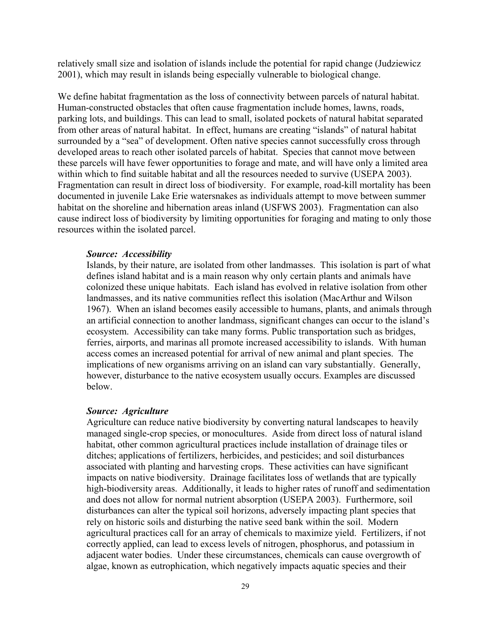relatively small size and isolation of islands include the potential for rapid change (Judziewicz 2001), which may result in islands being especially vulnerable to biological change.

We define habitat fragmentation as the loss of connectivity between parcels of natural habitat. Human-constructed obstacles that often cause fragmentation include homes, lawns, roads, parking lots, and buildings. This can lead to small, isolated pockets of natural habitat separated from other areas of natural habitat. In effect, humans are creating "islands" of natural habitat surrounded by a "sea" of development. Often native species cannot successfully cross through developed areas to reach other isolated parcels of habitat. Species that cannot move between these parcels will have fewer opportunities to forage and mate, and will have only a limited area within which to find suitable habitat and all the resources needed to survive (USEPA 2003). Fragmentation can result in direct loss of biodiversity. For example, road-kill mortality has been documented in juvenile Lake Erie watersnakes as individuals attempt to move between summer habitat on the shoreline and hibernation areas inland (USFWS 2003). Fragmentation can also cause indirect loss of biodiversity by limiting opportunities for foraging and mating to only those resources within the isolated parcel.

#### *Source: Accessibility*

Islands, by their nature, are isolated from other landmasses. This isolation is part of what defines island habitat and is a main reason why only certain plants and animals have colonized these unique habitats. Each island has evolved in relative isolation from other landmasses, and its native communities reflect this isolation (MacArthur and Wilson 1967). When an island becomes easily accessible to humans, plants, and animals through an artificial connection to another landmass, significant changes can occur to the island's ecosystem. Accessibility can take many forms. Public transportation such as bridges, ferries, airports, and marinas all promote increased accessibility to islands. With human access comes an increased potential for arrival of new animal and plant species. The implications of new organisms arriving on an island can vary substantially. Generally, however, disturbance to the native ecosystem usually occurs. Examples are discussed below.

#### *Source: Agriculture*

Agriculture can reduce native biodiversity by converting natural landscapes to heavily managed single-crop species, or monocultures. Aside from direct loss of natural island habitat, other common agricultural practices include installation of drainage tiles or ditches; applications of fertilizers, herbicides, and pesticides; and soil disturbances associated with planting and harvesting crops. These activities can have significant impacts on native biodiversity. Drainage facilitates loss of wetlands that are typically high-biodiversity areas. Additionally, it leads to higher rates of runoff and sedimentation and does not allow for normal nutrient absorption (USEPA 2003). Furthermore, soil disturbances can alter the typical soil horizons, adversely impacting plant species that rely on historic soils and disturbing the native seed bank within the soil. Modern agricultural practices call for an array of chemicals to maximize yield. Fertilizers, if not correctly applied, can lead to excess levels of nitrogen, phosphorus, and potassium in adjacent water bodies. Under these circumstances, chemicals can cause overgrowth of algae, known as eutrophication, which negatively impacts aquatic species and their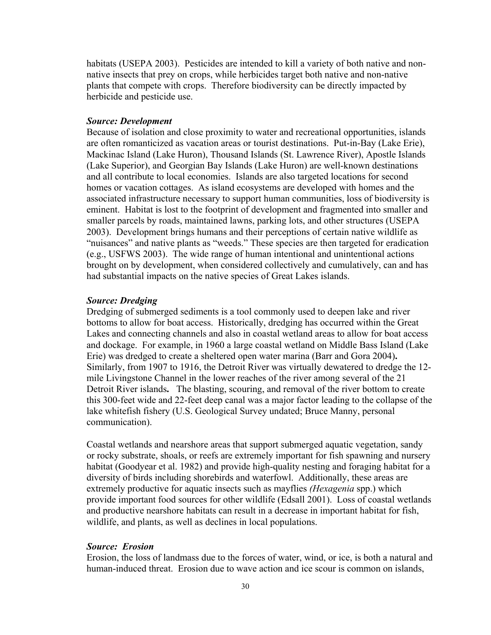habitats (USEPA 2003). Pesticides are intended to kill a variety of both native and nonnative insects that prey on crops, while herbicides target both native and non-native plants that compete with crops. Therefore biodiversity can be directly impacted by herbicide and pesticide use.

### *Source: Development*

Because of isolation and close proximity to water and recreational opportunities, islands are often romanticized as vacation areas or tourist destinations. Put-in-Bay (Lake Erie), Mackinac Island (Lake Huron), Thousand Islands (St. Lawrence River), Apostle Islands (Lake Superior), and Georgian Bay Islands (Lake Huron) are well-known destinations and all contribute to local economies. Islands are also targeted locations for second homes or vacation cottages. As island ecosystems are developed with homes and the associated infrastructure necessary to support human communities, loss of biodiversity is eminent. Habitat is lost to the footprint of development and fragmented into smaller and smaller parcels by roads, maintained lawns, parking lots, and other structures (USEPA 2003). Development brings humans and their perceptions of certain native wildlife as "nuisances" and native plants as "weeds." These species are then targeted for eradication (e.g., USFWS 2003). The wide range of human intentional and unintentional actions brought on by development, when considered collectively and cumulatively, can and has had substantial impacts on the native species of Great Lakes islands.

#### *Source: Dredging*

Dredging of submerged sediments is a tool commonly used to deepen lake and river bottoms to allow for boat access. Historically, dredging has occurred within the Great Lakes and connecting channels and also in coastal wetland areas to allow for boat access and dockage. For example, in 1960 a large coastal wetland on Middle Bass Island (Lake Erie) was dredged to create a sheltered open water marina (Barr and Gora 2004)**.** Similarly, from 1907 to 1916, the Detroit River was virtually dewatered to dredge the 12 mile Livingstone Channel in the lower reaches of the river among several of the 21 Detroit River islands**.** The blasting, scouring, and removal of the river bottom to create this 300-feet wide and 22-feet deep canal was a major factor leading to the collapse of the lake whitefish fishery (U.S. Geological Survey undated; Bruce Manny, personal communication).

Coastal wetlands and nearshore areas that support submerged aquatic vegetation, sandy or rocky substrate, shoals, or reefs are extremely important for fish spawning and nursery habitat (Goodyear et al. 1982) and provide high-quality nesting and foraging habitat for a diversity of birds including shorebirds and waterfowl. Additionally, these areas are extremely productive for aquatic insects such as mayflies *(Hexagenia* spp.) which provide important food sources for other wildlife (Edsall 2001). Loss of coastal wetlands and productive nearshore habitats can result in a decrease in important habitat for fish, wildlife, and plants, as well as declines in local populations.

#### *Source: Erosion*

Erosion, the loss of landmass due to the forces of water, wind, or ice, is both a natural and human-induced threat. Erosion due to wave action and ice scour is common on islands,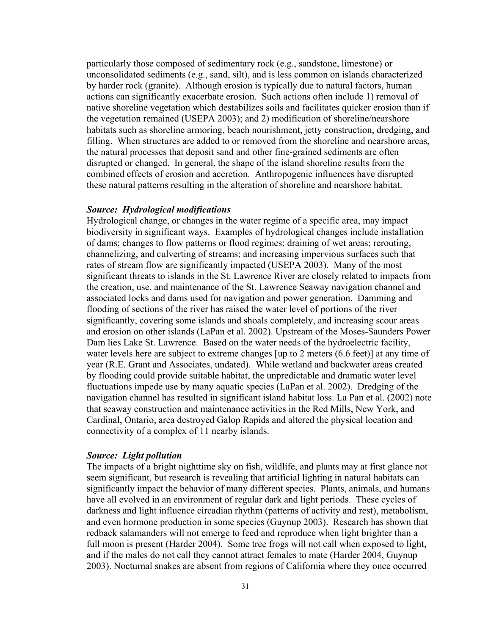particularly those composed of sedimentary rock (e.g., sandstone, limestone) or unconsolidated sediments (e.g., sand, silt), and is less common on islands characterized by harder rock (granite). Although erosion is typically due to natural factors, human actions can significantly exacerbate erosion. Such actions often include 1) removal of native shoreline vegetation which destabilizes soils and facilitates quicker erosion than if the vegetation remained (USEPA 2003); and 2) modification of shoreline/nearshore habitats such as shoreline armoring, beach nourishment, jetty construction, dredging, and filling. When structures are added to or removed from the shoreline and nearshore areas, the natural processes that deposit sand and other fine-grained sediments are often disrupted or changed. In general, the shape of the island shoreline results from the combined effects of erosion and accretion. Anthropogenic influences have disrupted these natural patterns resulting in the alteration of shoreline and nearshore habitat.

#### *Source: Hydrological modifications*

Hydrological change, or changes in the water regime of a specific area, may impact biodiversity in significant ways. Examples of hydrological changes include installation of dams; changes to flow patterns or flood regimes; draining of wet areas; rerouting, channelizing, and culverting of streams; and increasing impervious surfaces such that rates of stream flow are significantly impacted (USEPA 2003). Many of the most significant threats to islands in the St. Lawrence River are closely related to impacts from the creation, use, and maintenance of the St. Lawrence Seaway navigation channel and associated locks and dams used for navigation and power generation. Damming and flooding of sections of the river has raised the water level of portions of the river significantly, covering some islands and shoals completely, and increasing scour areas and erosion on other islands (LaPan et al. 2002). Upstream of the Moses-Saunders Power Dam lies Lake St. Lawrence. Based on the water needs of the hydroelectric facility, water levels here are subject to extreme changes [up to 2 meters (6.6 feet)] at any time of year (R.E. Grant and Associates, undated). While wetland and backwater areas created by flooding could provide suitable habitat, the unpredictable and dramatic water level fluctuations impede use by many aquatic species (LaPan et al. 2002). Dredging of the navigation channel has resulted in significant island habitat loss. La Pan et al. (2002) note that seaway construction and maintenance activities in the Red Mills, New York, and Cardinal, Ontario, area destroyed Galop Rapids and altered the physical location and connectivity of a complex of 11 nearby islands.

#### *Source: Light pollution*

The impacts of a bright nighttime sky on fish, wildlife, and plants may at first glance not seem significant, but research is revealing that artificial lighting in natural habitats can significantly impact the behavior of many different species. Plants, animals, and humans have all evolved in an environment of regular dark and light periods. These cycles of darkness and light influence circadian rhythm (patterns of activity and rest), metabolism, and even hormone production in some species (Guynup 2003). Research has shown that redback salamanders will not emerge to feed and reproduce when light brighter than a full moon is present (Harder 2004). Some tree frogs will not call when exposed to light, and if the males do not call they cannot attract females to mate (Harder 2004, Guynup 2003). Nocturnal snakes are absent from regions of California where they once occurred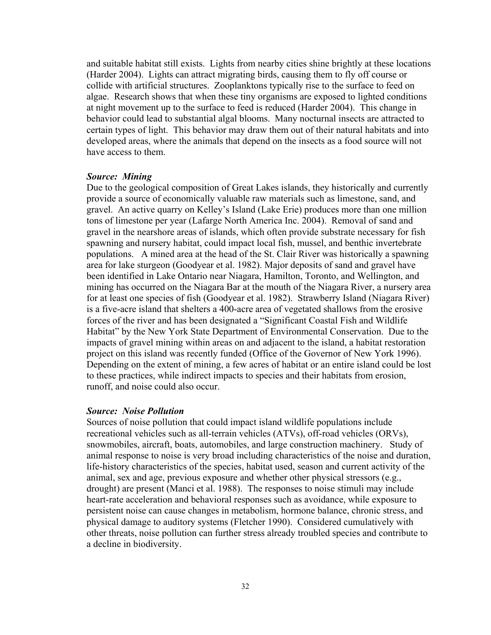and suitable habitat still exists. Lights from nearby cities shine brightly at these locations (Harder 2004). Lights can attract migrating birds, causing them to fly off course or collide with artificial structures. Zooplanktons typically rise to the surface to feed on algae. Research shows that when these tiny organisms are exposed to lighted conditions at night movement up to the surface to feed is reduced (Harder 2004). This change in behavior could lead to substantial algal blooms. Many nocturnal insects are attracted to certain types of light. This behavior may draw them out of their natural habitats and into developed areas, where the animals that depend on the insects as a food source will not have access to them.

#### *Source: Mining*

Due to the geological composition of Great Lakes islands, they historically and currently provide a source of economically valuable raw materials such as limestone, sand, and gravel. An active quarry on Kelley's Island (Lake Erie) produces more than one million tons of limestone per year (Lafarge North America Inc. 2004). Removal of sand and gravel in the nearshore areas of islands, which often provide substrate necessary for fish spawning and nursery habitat, could impact local fish, mussel, and benthic invertebrate populations. A mined area at the head of the St. Clair River was historically a spawning area for lake sturgeon (Goodyear et al. 1982). Major deposits of sand and gravel have been identified in Lake Ontario near Niagara, Hamilton, Toronto, and Wellington, and mining has occurred on the Niagara Bar at the mouth of the Niagara River, a nursery area for at least one species of fish (Goodyear et al. 1982). Strawberry Island (Niagara River) is a five-acre island that shelters a 400-acre area of vegetated shallows from the erosive forces of the river and has been designated a "Significant Coastal Fish and Wildlife Habitat" by the New York State Department of Environmental Conservation. Due to the impacts of gravel mining within areas on and adjacent to the island, a habitat restoration project on this island was recently funded (Office of the Governor of New York 1996). Depending on the extent of mining, a few acres of habitat or an entire island could be lost to these practices, while indirect impacts to species and their habitats from erosion, runoff, and noise could also occur.

#### *Source: Noise Pollution*

Sources of noise pollution that could impact island wildlife populations include recreational vehicles such as all-terrain vehicles (ATVs), off-road vehicles (ORVs), snowmobiles, aircraft, boats, automobiles, and large construction machinery. Study of animal response to noise is very broad including characteristics of the noise and duration, life-history characteristics of the species, habitat used, season and current activity of the animal, sex and age, previous exposure and whether other physical stressors (e.g., drought) are present (Manci et al. 1988). The responses to noise stimuli may include heart-rate acceleration and behavioral responses such as avoidance, while exposure to persistent noise can cause changes in metabolism, hormone balance, chronic stress, and physical damage to auditory systems (Fletcher 1990). Considered cumulatively with other threats, noise pollution can further stress already troubled species and contribute to a decline in biodiversity.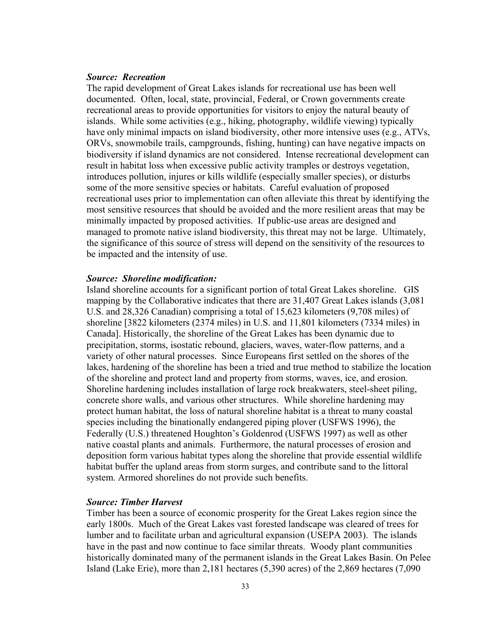### *Source: Recreation*

The rapid development of Great Lakes islands for recreational use has been well documented. Often, local, state, provincial, Federal, or Crown governments create recreational areas to provide opportunities for visitors to enjoy the natural beauty of islands. While some activities (e.g., hiking, photography, wildlife viewing) typically have only minimal impacts on island biodiversity, other more intensive uses (e.g., ATVs, ORVs, snowmobile trails, campgrounds, fishing, hunting) can have negative impacts on biodiversity if island dynamics are not considered. Intense recreational development can result in habitat loss when excessive public activity tramples or destroys vegetation, introduces pollution, injures or kills wildlife (especially smaller species), or disturbs some of the more sensitive species or habitats. Careful evaluation of proposed recreational uses prior to implementation can often alleviate this threat by identifying the most sensitive resources that should be avoided and the more resilient areas that may be minimally impacted by proposed activities. If public-use areas are designed and managed to promote native island biodiversity, this threat may not be large. Ultimately, the significance of this source of stress will depend on the sensitivity of the resources to be impacted and the intensity of use.

### *Source: Shoreline modification:*

Island shoreline accounts for a significant portion of total Great Lakes shoreline. GIS mapping by the Collaborative indicates that there are 31,407 Great Lakes islands (3,081 U.S. and 28,326 Canadian) comprising a total of 15,623 kilometers (9,708 miles) of shoreline [3822 kilometers (2374 miles) in U.S. and 11,801 kilometers (7334 miles) in Canada]. Historically, the shoreline of the Great Lakes has been dynamic due to precipitation, storms, isostatic rebound, glaciers, waves, water-flow patterns, and a variety of other natural processes. Since Europeans first settled on the shores of the lakes, hardening of the shoreline has been a tried and true method to stabilize the location of the shoreline and protect land and property from storms, waves, ice, and erosion. Shoreline hardening includes installation of large rock breakwaters, steel-sheet piling, concrete shore walls, and various other structures. While shoreline hardening may protect human habitat, the loss of natural shoreline habitat is a threat to many coastal species including the binationally endangered piping plover (USFWS 1996), the Federally (U.S.) threatened Houghton's Goldenrod (USFWS 1997) as well as other native coastal plants and animals. Furthermore, the natural processes of erosion and deposition form various habitat types along the shoreline that provide essential wildlife habitat buffer the upland areas from storm surges, and contribute sand to the littoral system. Armored shorelines do not provide such benefits.

#### *Source: Timber Harvest*

Timber has been a source of economic prosperity for the Great Lakes region since the early 1800s. Much of the Great Lakes vast forested landscape was cleared of trees for lumber and to facilitate urban and agricultural expansion (USEPA 2003). The islands have in the past and now continue to face similar threats. Woody plant communities historically dominated many of the permanent islands in the Great Lakes Basin. On Pelee Island (Lake Erie), more than 2,181 hectares (5,390 acres) of the 2,869 hectares (7,090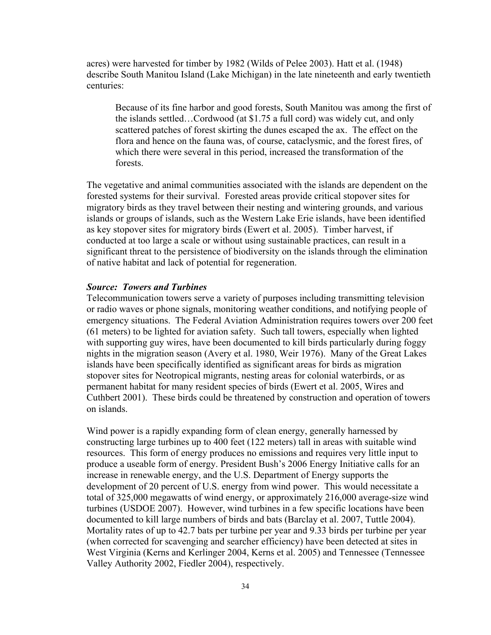acres) were harvested for timber by 1982 (Wilds of Pelee 2003). Hatt et al. (1948) describe South Manitou Island (Lake Michigan) in the late nineteenth and early twentieth centuries:

Because of its fine harbor and good forests, South Manitou was among the first of the islands settled…Cordwood (at \$1.75 a full cord) was widely cut, and only scattered patches of forest skirting the dunes escaped the ax. The effect on the flora and hence on the fauna was, of course, cataclysmic, and the forest fires, of which there were several in this period, increased the transformation of the forests.

The vegetative and animal communities associated with the islands are dependent on the forested systems for their survival. Forested areas provide critical stopover sites for migratory birds as they travel between their nesting and wintering grounds, and various islands or groups of islands, such as the Western Lake Erie islands, have been identified as key stopover sites for migratory birds (Ewert et al. 2005). Timber harvest, if conducted at too large a scale or without using sustainable practices, can result in a significant threat to the persistence of biodiversity on the islands through the elimination of native habitat and lack of potential for regeneration.

### *Source: Towers and Turbines*

Telecommunication towers serve a variety of purposes including transmitting television or radio waves or phone signals, monitoring weather conditions, and notifying people of emergency situations. The Federal Aviation Administration requires towers over 200 feet (61 meters) to be lighted for aviation safety. Such tall towers, especially when lighted with supporting guy wires, have been documented to kill birds particularly during foggy nights in the migration season (Avery et al. 1980, Weir 1976). Many of the Great Lakes islands have been specifically identified as significant areas for birds as migration stopover sites for Neotropical migrants, nesting areas for colonial waterbirds, or as permanent habitat for many resident species of birds (Ewert et al. 2005, Wires and Cuthbert 2001). These birds could be threatened by construction and operation of towers on islands.

Wind power is a rapidly expanding form of clean energy, generally harnessed by constructing large turbines up to 400 feet (122 meters) tall in areas with suitable wind resources. This form of energy produces no emissions and requires very little input to produce a useable form of energy. President Bush's 2006 Energy Initiative calls for an increase in renewable energy, and the U.S. Department of Energy supports the development of 20 percent of U.S. energy from wind power. This would necessitate a total of 325,000 megawatts of wind energy, or approximately 216,000 average-size wind turbines (USDOE 2007). However, wind turbines in a few specific locations have been documented to kill large numbers of birds and bats (Barclay et al. 2007, Tuttle 2004). Mortality rates of up to 42.7 bats per turbine per year and 9.33 birds per turbine per year (when corrected for scavenging and searcher efficiency) have been detected at sites in West Virginia (Kerns and Kerlinger 2004, Kerns et al. 2005) and Tennessee (Tennessee Valley Authority 2002, Fiedler 2004), respectively.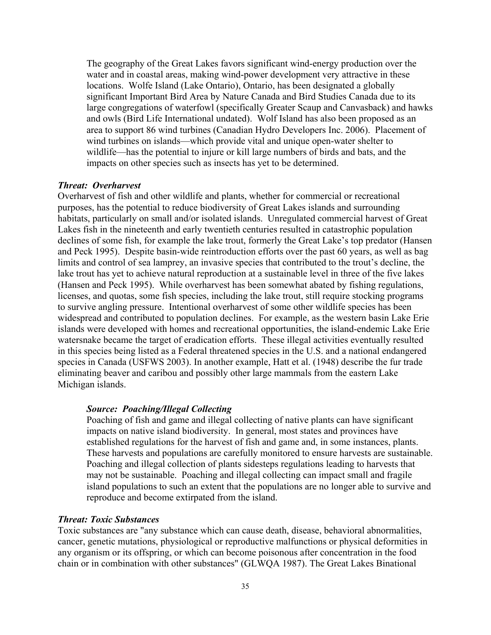The geography of the Great Lakes favors significant wind-energy production over the water and in coastal areas, making wind-power development very attractive in these locations. Wolfe Island (Lake Ontario), Ontario, has been designated a globally significant Important Bird Area by Nature Canada and Bird Studies Canada due to its large congregations of waterfowl (specifically Greater Scaup and Canvasback) and hawks and owls (Bird Life International undated). Wolf Island has also been proposed as an area to support 86 wind turbines (Canadian Hydro Developers Inc. 2006). Placement of wind turbines on islands—which provide vital and unique open-water shelter to wildlife—has the potential to injure or kill large numbers of birds and bats, and the impacts on other species such as insects has yet to be determined.

### *Threat: Overharvest*

Overharvest of fish and other wildlife and plants, whether for commercial or recreational purposes, has the potential to reduce biodiversity of Great Lakes islands and surrounding habitats, particularly on small and/or isolated islands. Unregulated commercial harvest of Great Lakes fish in the nineteenth and early twentieth centuries resulted in catastrophic population declines of some fish, for example the lake trout, formerly the Great Lake's top predator (Hansen and Peck 1995). Despite basin-wide reintroduction efforts over the past 60 years, as well as bag limits and control of sea lamprey, an invasive species that contributed to the trout's decline, the lake trout has yet to achieve natural reproduction at a sustainable level in three of the five lakes (Hansen and Peck 1995). While overharvest has been somewhat abated by fishing regulations, licenses, and quotas, some fish species, including the lake trout, still require stocking programs to survive angling pressure. Intentional overharvest of some other wildlife species has been widespread and contributed to population declines. For example, as the western basin Lake Erie islands were developed with homes and recreational opportunities, the island-endemic Lake Erie watersnake became the target of eradication efforts. These illegal activities eventually resulted in this species being listed as a Federal threatened species in the U.S. and a national endangered species in Canada (USFWS 2003). In another example, Hatt et al. (1948) describe the fur trade eliminating beaver and caribou and possibly other large mammals from the eastern Lake Michigan islands.

### *Source: Poaching/Illegal Collecting*

Poaching of fish and game and illegal collecting of native plants can have significant impacts on native island biodiversity. In general, most states and provinces have established regulations for the harvest of fish and game and, in some instances, plants. These harvests and populations are carefully monitored to ensure harvests are sustainable. Poaching and illegal collection of plants sidesteps regulations leading to harvests that may not be sustainable. Poaching and illegal collecting can impact small and fragile island populations to such an extent that the populations are no longer able to survive and reproduce and become extirpated from the island.

#### *Threat: Toxic Substances*

Toxic substances are "any substance which can cause death, disease, behavioral abnormalities, cancer, genetic mutations, physiological or reproductive malfunctions or physical deformities in any organism or its offspring, or which can become poisonous after concentration in the food chain or in combination with other substances" (GLWQA 1987). The Great Lakes Binational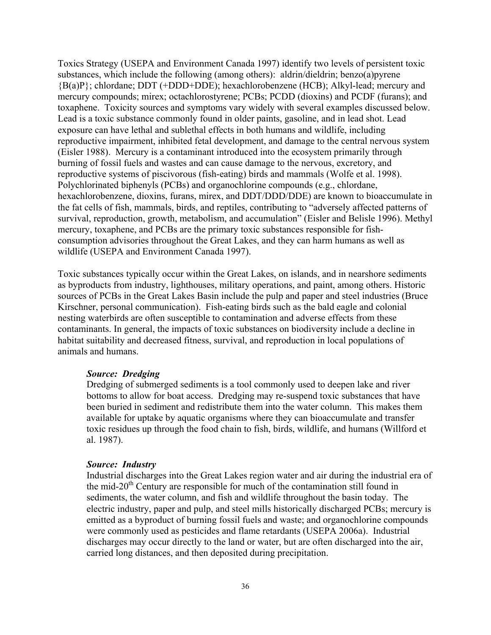Toxics Strategy (USEPA and Environment Canada 1997) identify two levels of persistent toxic substances, which include the following (among others): aldrin/dieldrin; benzo(a)pyrene {B(a)P}; chlordane; DDT (+DDD+DDE); hexachlorobenzene (HCB); Alkyl-lead; mercury and mercury compounds; mirex; octachlorostyrene; PCBs; PCDD (dioxins) and PCDF (furans); and toxaphene. Toxicity sources and symptoms vary widely with several examples discussed below. Lead is a toxic substance commonly found in older paints, gasoline, and in lead shot. Lead exposure can have lethal and sublethal effects in both humans and wildlife, including reproductive impairment, inhibited fetal development, and damage to the central nervous system (Eisler 1988). Mercury is a contaminant introduced into the ecosystem primarily through burning of fossil fuels and wastes and can cause damage to the nervous, excretory, and reproductive systems of piscivorous (fish-eating) birds and mammals (Wolfe et al. 1998). Polychlorinated biphenyls (PCBs) and organochlorine compounds (e.g., chlordane, hexachlorobenzene, dioxins, furans, mirex, and DDT/DDD/DDE) are known to bioaccumulate in the fat cells of fish, mammals, birds, and reptiles, contributing to "adversely affected patterns of survival, reproduction, growth, metabolism, and accumulation" (Eisler and Belisle 1996). Methyl mercury, toxaphene, and PCBs are the primary toxic substances responsible for fishconsumption advisories throughout the Great Lakes, and they can harm humans as well as wildlife (USEPA and Environment Canada 1997).

Toxic substances typically occur within the Great Lakes, on islands, and in nearshore sediments as byproducts from industry, lighthouses, military operations, and paint, among others. Historic sources of PCBs in the Great Lakes Basin include the pulp and paper and steel industries (Bruce Kirschner, personal communication). Fish-eating birds such as the bald eagle and colonial nesting waterbirds are often susceptible to contamination and adverse effects from these contaminants. In general, the impacts of toxic substances on biodiversity include a decline in habitat suitability and decreased fitness, survival, and reproduction in local populations of animals and humans.

#### *Source: Dredging*

Dredging of submerged sediments is a tool commonly used to deepen lake and river bottoms to allow for boat access. Dredging may re-suspend toxic substances that have been buried in sediment and redistribute them into the water column. This makes them available for uptake by aquatic organisms where they can bioaccumulate and transfer toxic residues up through the food chain to fish, birds, wildlife, and humans (Willford et al. 1987).

#### *Source: Industry*

Industrial discharges into the Great Lakes region water and air during the industrial era of the mid-20<sup>th</sup> Century are responsible for much of the contamination still found in sediments, the water column, and fish and wildlife throughout the basin today. The electric industry, paper and pulp, and steel mills historically discharged PCBs; mercury is emitted as a byproduct of burning fossil fuels and waste; and organochlorine compounds were commonly used as pesticides and flame retardants (USEPA 2006a). Industrial discharges may occur directly to the land or water, but are often discharged into the air, carried long distances, and then deposited during precipitation.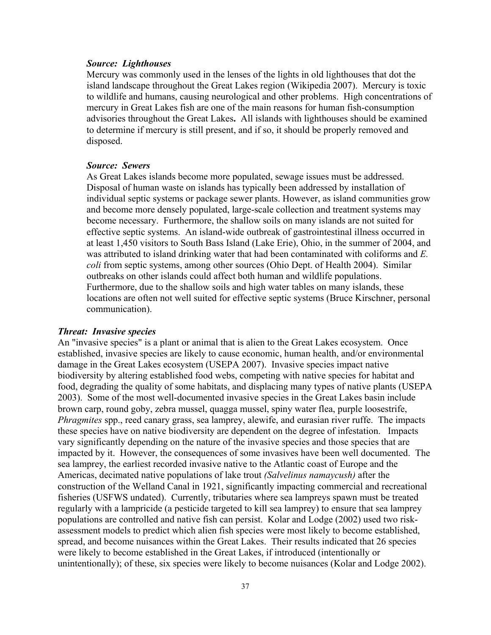### *Source: Lighthouses*

Mercury was commonly used in the lenses of the lights in old lighthouses that dot the island landscape throughout the Great Lakes region (Wikipedia 2007). Mercury is toxic to wildlife and humans, causing neurological and other problems. High concentrations of mercury in Great Lakes fish are one of the main reasons for human fish-consumption advisories throughout the Great Lakes**.** All islands with lighthouses should be examined to determine if mercury is still present, and if so, it should be properly removed and disposed.

#### *Source: Sewers*

As Great Lakes islands become more populated, sewage issues must be addressed. Disposal of human waste on islands has typically been addressed by installation of individual septic systems or package sewer plants. However, as island communities grow and become more densely populated, large-scale collection and treatment systems may become necessary. Furthermore, the shallow soils on many islands are not suited for effective septic systems. An island-wide outbreak of gastrointestinal illness occurred in at least 1,450 visitors to South Bass Island (Lake Erie), Ohio, in the summer of 2004, and was attributed to island drinking water that had been contaminated with coliforms and *E. coli* from septic systems, among other sources (Ohio Dept. of Health 2004). Similar outbreaks on other islands could affect both human and wildlife populations. Furthermore, due to the shallow soils and high water tables on many islands, these locations are often not well suited for effective septic systems (Bruce Kirschner, personal communication).

#### *Threat: Invasive species*

An "invasive species" is a plant or animal that is alien to the Great Lakes ecosystem. Once established, invasive species are likely to cause economic, human health, and/or environmental damage in the Great Lakes ecosystem (USEPA 2007). Invasive species impact native biodiversity by altering established food webs, competing with native species for habitat and food, degrading the quality of some habitats, and displacing many types of native plants (USEPA 2003). Some of the most well-documented invasive species in the Great Lakes basin include brown carp, round goby, zebra mussel, quagga mussel, spiny water flea, purple loosestrife, *Phragmites* spp., reed canary grass, sea lamprey, alewife, and eurasian river ruffe. The impacts these species have on native biodiversity are dependent on the degree of infestation. Impacts vary significantly depending on the nature of the invasive species and those species that are impacted by it. However, the consequences of some invasives have been well documented. The sea lamprey, the earliest recorded invasive native to the Atlantic coast of Europe and the Americas, decimated native populations of lake trout *(Salvelinus namaycush)* after the construction of the Welland Canal in 1921, significantly impacting commercial and recreational fisheries (USFWS undated). Currently, tributaries where sea lampreys spawn must be treated regularly with a lampricide (a pesticide targeted to kill sea lamprey) to ensure that sea lamprey populations are controlled and native fish can persist. Kolar and Lodge (2002) used two riskassessment models to predict which alien fish species were most likely to become established, spread, and become nuisances within the Great Lakes. Their results indicated that 26 species were likely to become established in the Great Lakes, if introduced (intentionally or unintentionally); of these, six species were likely to become nuisances (Kolar and Lodge 2002).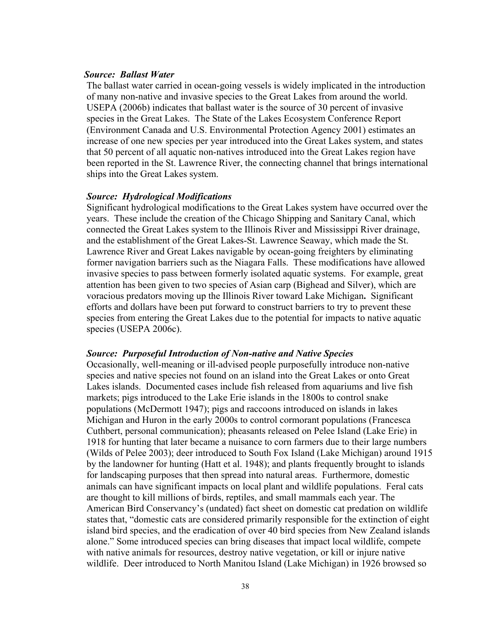### *Source: Ballast Water*

The ballast water carried in ocean-going vessels is widely implicated in the introduction of many non-native and invasive species to the Great Lakes from around the world. USEPA (2006b) indicates that ballast water is the source of 30 percent of invasive species in the Great Lakes. The State of the Lakes Ecosystem Conference Report (Environment Canada and U.S. Environmental Protection Agency 2001) estimates an increase of one new species per year introduced into the Great Lakes system, and states that 50 percent of all aquatic non-natives introduced into the Great Lakes region have been reported in the St. Lawrence River, the connecting channel that brings international ships into the Great Lakes system.

#### *Source: Hydrological Modifications*

Significant hydrological modifications to the Great Lakes system have occurred over the years. These include the creation of the Chicago Shipping and Sanitary Canal, which connected the Great Lakes system to the Illinois River and Mississippi River drainage, and the establishment of the Great Lakes-St. Lawrence Seaway, which made the St. Lawrence River and Great Lakes navigable by ocean-going freighters by eliminating former navigation barriers such as the Niagara Falls. These modifications have allowed invasive species to pass between formerly isolated aquatic systems. For example, great attention has been given to two species of Asian carp (Bighead and Silver), which are voracious predators moving up the Illinois River toward Lake Michigan**.** Significant efforts and dollars have been put forward to construct barriers to try to prevent these species from entering the Great Lakes due to the potential for impacts to native aquatic species (USEPA 2006c).

#### *Source: Purposeful Introduction of Non-native and Native Species*

Occasionally, well-meaning or ill-advised people purposefully introduce non-native species and native species not found on an island into the Great Lakes or onto Great Lakes islands. Documented cases include fish released from aquariums and live fish markets; pigs introduced to the Lake Erie islands in the 1800s to control snake populations (McDermott 1947); pigs and raccoons introduced on islands in lakes Michigan and Huron in the early 2000s to control cormorant populations (Francesca Cuthbert, personal communication); pheasants released on Pelee Island (Lake Erie) in 1918 for hunting that later became a nuisance to corn farmers due to their large numbers (Wilds of Pelee 2003); deer introduced to South Fox Island (Lake Michigan) around 1915 by the landowner for hunting (Hatt et al. 1948); and plants frequently brought to islands for landscaping purposes that then spread into natural areas. Furthermore, domestic animals can have significant impacts on local plant and wildlife populations. Feral cats are thought to kill millions of birds, reptiles, and small mammals each year. The American Bird Conservancy's (undated) fact sheet on domestic cat predation on wildlife states that, "domestic cats are considered primarily responsible for the extinction of eight island bird species, and the eradication of over 40 bird species from New Zealand islands alone." Some introduced species can bring diseases that impact local wildlife, compete with native animals for resources, destroy native vegetation, or kill or injure native wildlife. Deer introduced to North Manitou Island (Lake Michigan) in 1926 browsed so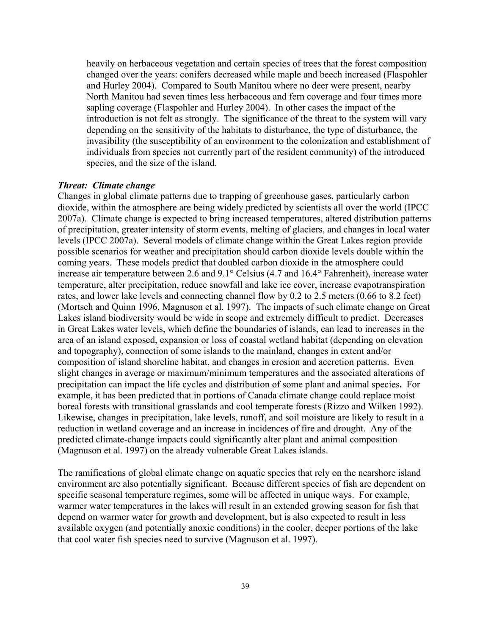heavily on herbaceous vegetation and certain species of trees that the forest composition changed over the years: conifers decreased while maple and beech increased (Flaspohler and Hurley 2004). Compared to South Manitou where no deer were present, nearby North Manitou had seven times less herbaceous and fern coverage and four times more sapling coverage (Flaspohler and Hurley 2004). In other cases the impact of the introduction is not felt as strongly. The significance of the threat to the system will vary depending on the sensitivity of the habitats to disturbance, the type of disturbance, the invasibility (the susceptibility of an environment to the colonization and establishment of individuals from species not currently part of the resident community) of the introduced species, and the size of the island.

### *Threat: Climate change*

Changes in global climate patterns due to trapping of greenhouse gases, particularly carbon dioxide, within the atmosphere are being widely predicted by scientists all over the world (IPCC 2007a). Climate change is expected to bring increased temperatures, altered distribution patterns of precipitation, greater intensity of storm events, melting of glaciers, and changes in local water levels (IPCC 2007a). Several models of climate change within the Great Lakes region provide possible scenarios for weather and precipitation should carbon dioxide levels double within the coming years. These models predict that doubled carbon dioxide in the atmosphere could increase air temperature between 2.6 and 9.1° Celsius (4.7 and 16.4° Fahrenheit), increase water temperature, alter precipitation, reduce snowfall and lake ice cover, increase evapotranspiration rates, and lower lake levels and connecting channel flow by 0.2 to 2.5 meters (0.66 to 8.2 feet) (Mortsch and Quinn 1996, Magnuson et al. 1997). The impacts of such climate change on Great Lakes island biodiversity would be wide in scope and extremely difficult to predict. Decreases in Great Lakes water levels, which define the boundaries of islands, can lead to increases in the area of an island exposed, expansion or loss of coastal wetland habitat (depending on elevation and topography), connection of some islands to the mainland, changes in extent and/or composition of island shoreline habitat, and changes in erosion and accretion patterns. Even slight changes in average or maximum/minimum temperatures and the associated alterations of precipitation can impact the life cycles and distribution of some plant and animal species**.** For example, it has been predicted that in portions of Canada climate change could replace moist boreal forests with transitional grasslands and cool temperate forests (Rizzo and Wilken 1992). Likewise, changes in precipitation, lake levels, runoff, and soil moisture are likely to result in a reduction in wetland coverage and an increase in incidences of fire and drought. Any of the predicted climate-change impacts could significantly alter plant and animal composition (Magnuson et al. 1997) on the already vulnerable Great Lakes islands.

The ramifications of global climate change on aquatic species that rely on the nearshore island environment are also potentially significant. Because different species of fish are dependent on specific seasonal temperature regimes, some will be affected in unique ways. For example, warmer water temperatures in the lakes will result in an extended growing season for fish that depend on warmer water for growth and development, but is also expected to result in less available oxygen (and potentially anoxic conditions) in the cooler, deeper portions of the lake that cool water fish species need to survive (Magnuson et al. 1997).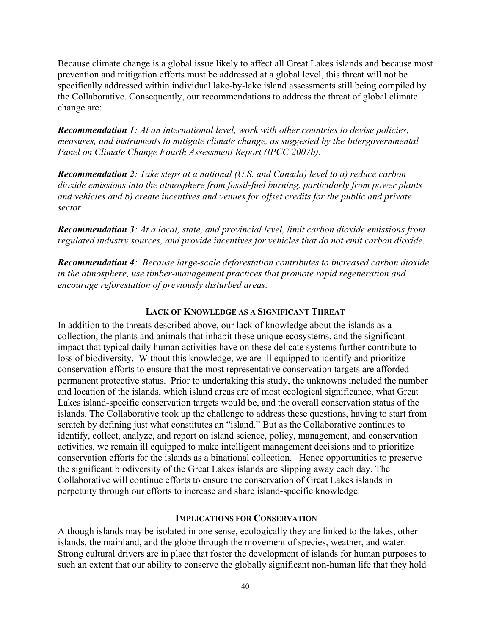Because climate change is a global issue likely to affect all Great Lakes islands and because most prevention and mitigation efforts must be addressed at a global level, this threat will not be specifically addressed within individual lake-by-lake island assessments still being compiled by the Collaborative. Consequently, our recommendations to address the threat of global climate change are:

*Recommendation 1: At an international level, work with other countries to devise policies, measures, and instruments to mitigate climate change, as suggested by the Intergovernmental Panel on Climate Change Fourth Assessment Report (IPCC 2007b).* 

*Recommendation 2: Take steps at a national (U.S. and Canada) level to a) reduce carbon dioxide emissions into the atmosphere from fossil-fuel burning, particularly from power plants and vehicles and b) create incentives and venues for offset credits for the public and private sector.* 

*Recommendation 3: At a local, state, and provincial level, limit carbon dioxide emissions from regulated industry sources, and provide incentives for vehicles that do not emit carbon dioxide.* 

*Recommendation 4: Because large-scale deforestation contributes to increased carbon dioxide in the atmosphere, use timber-management practices that promote rapid regeneration and encourage reforestation of previously disturbed areas.* 

### **LACK OF KNOWLEDGE AS A SIGNIFICANT THREAT**

In addition to the threats described above, our lack of knowledge about the islands as a collection, the plants and animals that inhabit these unique ecosystems, and the significant impact that typical daily human activities have on these delicate systems further contribute to loss of biodiversity. Without this knowledge, we are ill equipped to identify and prioritize conservation efforts to ensure that the most representative conservation targets are afforded permanent protective status. Prior to undertaking this study, the unknowns included the number and location of the islands, which island areas are of most ecological significance, what Great Lakes island-specific conservation targets would be, and the overall conservation status of the islands. The Collaborative took up the challenge to address these questions, having to start from scratch by defining just what constitutes an "island." But as the Collaborative continues to identify, collect, analyze, and report on island science, policy, management, and conservation activities, we remain ill equipped to make intelligent management decisions and to prioritize conservation efforts for the islands as a binational collection. Hence opportunities to preserve the significant biodiversity of the Great Lakes islands are slipping away each day. The Collaborative will continue efforts to ensure the conservation of Great Lakes islands in perpetuity through our efforts to increase and share island-specific knowledge.

### **IMPLICATIONS FOR CONSERVATION**

Although islands may be isolated in one sense, ecologically they are linked to the lakes, other islands, the mainland, and the globe through the movement of species, weather, and water. Strong cultural drivers are in place that foster the development of islands for human purposes to such an extent that our ability to conserve the globally significant non-human life that they hold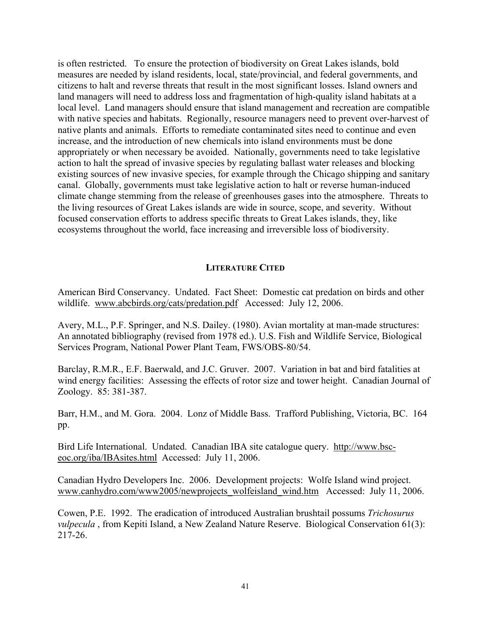is often restricted. To ensure the protection of biodiversity on Great Lakes islands, bold measures are needed by island residents, local, state/provincial, and federal governments, and citizens to halt and reverse threats that result in the most significant losses. Island owners and land managers will need to address loss and fragmentation of high-quality island habitats at a local level. Land managers should ensure that island management and recreation are compatible with native species and habitats. Regionally, resource managers need to prevent over-harvest of native plants and animals. Efforts to remediate contaminated sites need to continue and even increase, and the introduction of new chemicals into island environments must be done appropriately or when necessary be avoided. Nationally, governments need to take legislative action to halt the spread of invasive species by regulating ballast water releases and blocking existing sources of new invasive species, for example through the Chicago shipping and sanitary canal. Globally, governments must take legislative action to halt or reverse human-induced climate change stemming from the release of greenhouses gases into the atmosphere. Threats to the living resources of Great Lakes islands are wide in source, scope, and severity. Without focused conservation efforts to address specific threats to Great Lakes islands, they, like ecosystems throughout the world, face increasing and irreversible loss of biodiversity.

### **LITERATURE CITED**

American Bird Conservancy. Undated.Fact Sheet: Domestic cat predation on birds and other wildlife. www.abcbirds.org/cats/predation.pdf Accessed: July 12, 2006.

Avery, M.L., P.F. Springer, and N.S. Dailey. (1980). Avian mortality at man-made structures: An annotated bibliography (revised from 1978 ed.). U.S. Fish and Wildlife Service, Biological Services Program, National Power Plant Team, FWS/OBS-80/54.

Barclay, R.M.R., E.F. Baerwald, and J.C. Gruver. 2007. Variation in bat and bird fatalities at wind energy facilities: Assessing the effects of rotor size and tower height. Canadian Journal of Zoology. 85: 381-387.

Barr, H.M., and M. Gora. 2004. Lonz of Middle Bass. Trafford Publishing, Victoria, BC. 164 pp.

Bird Life International. Undated. Canadian IBA site catalogue query. http://www.bsceoc.org/iba/IBAsites.html Accessed: July 11, 2006.

Canadian Hydro Developers Inc. 2006. Development projects: Wolfe Island wind project. www.canhydro.com/www2005/newprojects\_wolfeisland\_wind.htm Accessed: July 11, 2006.

Cowen, P.E. 1992. The eradication of introduced Australian brushtail possums *Trichosurus vulpecula*, from Kepiti Island, a New Zealand Nature Reserve. Biological Conservation 61(3): 217-26.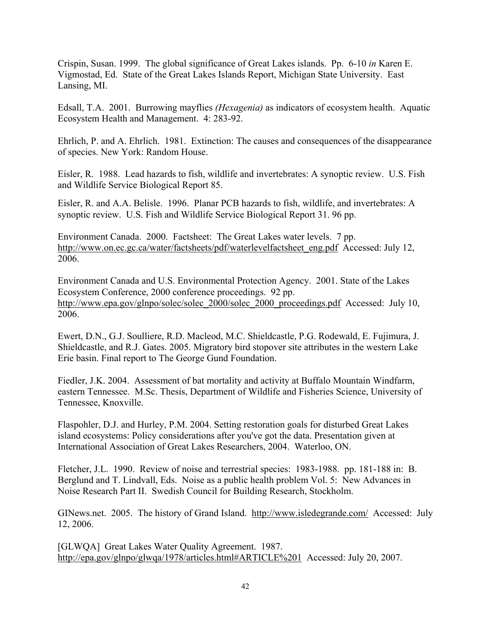Crispin, Susan. 1999. The global significance of Great Lakes islands. Pp. 6-10 *in* Karen E. Vigmostad, Ed. State of the Great Lakes Islands Report, Michigan State University. East Lansing, MI.

Edsall, T.A. 2001. Burrowing mayflies *(Hexagenia)* as indicators of ecosystem health. Aquatic Ecosystem Health and Management. 4: 283-92.

Ehrlich, P. and A. Ehrlich. 1981. Extinction: The causes and consequences of the disappearance of species. New York: Random House.

Eisler, R. 1988. Lead hazards to fish, wildlife and invertebrates: A synoptic review. U.S. Fish and Wildlife Service Biological Report 85.

Eisler, R. and A.A. Belisle. 1996. Planar PCB hazards to fish, wildlife, and invertebrates: A synoptic review. U.S. Fish and Wildlife Service Biological Report 31. 96 pp.

Environment Canada. 2000. Factsheet: The Great Lakes water levels. 7 pp. http://www.on.ec.gc.ca/water/factsheets/pdf/waterlevelfactsheet\_eng.pdf Accessed: July 12, 2006.

Environment Canada and U.S. Environmental Protection Agency. 2001. State of the Lakes Ecosystem Conference, 2000 conference proceedings. 92 pp. http://www.epa.gov/glnpo/solec/solec\_2000/solec\_2000\_proceedings.pdf Accessed: July 10, 2006.

Ewert, D.N., G.J. Soulliere, R.D. Macleod, M.C. Shieldcastle, P.G. Rodewald, E. Fujimura, J. Shieldcastle, and R.J. Gates. 2005. Migratory bird stopover site attributes in the western Lake Erie basin. Final report to The George Gund Foundation.

Fiedler, J.K. 2004. Assessment of bat mortality and activity at Buffalo Mountain Windfarm, eastern Tennessee. M.Sc. Thesis, Department of Wildlife and Fisheries Science, University of Tennessee, Knoxville.

Flaspohler, D.J. and Hurley, P.M. 2004. Setting restoration goals for disturbed Great Lakes island ecosystems: Policy considerations after you've got the data. Presentation given at International Association of Great Lakes Researchers, 2004. Waterloo, ON.

Fletcher, J.L. 1990. Review of noise and terrestrial species: 1983-1988. pp. 181-188 in: B. Berglund and T. Lindvall, Eds. Noise as a public health problem Vol. 5: New Advances in Noise Research Part II. Swedish Council for Building Research, Stockholm.

GINews.net. 2005. The history of Grand Island. http://www.isledegrande.com/ Accessed: July 12, 2006.

[GLWQA] Great Lakes Water Quality Agreement. 1987. http://epa.gov/glnpo/glwqa/1978/articles.html#ARTICLE%201 Accessed: July 20, 2007.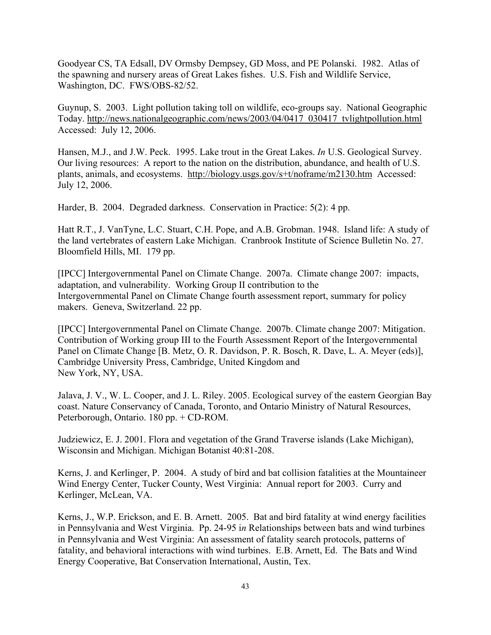Goodyear CS, TA Edsall, DV Ormsby Dempsey, GD Moss, and PE Polanski. 1982. Atlas of the spawning and nursery areas of Great Lakes fishes. U.S. Fish and Wildlife Service, Washington, DC. FWS/OBS-82/52.

Guynup, S. 2003. Light pollution taking toll on wildlife, eco-groups say. National Geographic Today. http://news.nationalgeographic.com/news/2003/04/0417\_030417\_tvlightpollution.html Accessed: July 12, 2006.

Hansen, M.J., and J.W. Peck. 1995. Lake trout in the Great Lakes. *In* U.S. Geological Survey. Our living resources: A report to the nation on the distribution, abundance, and health of U.S. plants, animals, and ecosystems. http://biology.usgs.gov/s+t/noframe/m2130.htm Accessed: July 12, 2006.

Harder, B. 2004. Degraded darkness. Conservation in Practice: 5(2): 4 pp.

Hatt R.T., J. VanTyne, L.C. Stuart, C.H. Pope, and A.B. Grobman. 1948. Island life: A study of the land vertebrates of eastern Lake Michigan. Cranbrook Institute of Science Bulletin No. 27. Bloomfield Hills, MI. 179 pp.

[IPCC] Intergovernmental Panel on Climate Change. 2007a. Climate change 2007: impacts, adaptation, and vulnerability. Working Group II contribution to the Intergovernmental Panel on Climate Change fourth assessment report, summary for policy makers. Geneva, Switzerland. 22 pp.

[IPCC] Intergovernmental Panel on Climate Change. 2007b. Climate change 2007: Mitigation. Contribution of Working group III to the Fourth Assessment Report of the Intergovernmental Panel on Climate Change [B. Metz, O. R. Davidson, P. R. Bosch, R. Dave, L. A. Meyer (eds)], Cambridge University Press, Cambridge, United Kingdom and New York, NY, USA.

Jalava, J. V., W. L. Cooper, and J. L. Riley. 2005. Ecological survey of the eastern Georgian Bay coast. Nature Conservancy of Canada, Toronto, and Ontario Ministry of Natural Resources, Peterborough, Ontario. 180 pp. + CD-ROM.

Judziewicz, E. J. 2001. Flora and vegetation of the Grand Traverse islands (Lake Michigan), Wisconsin and Michigan. Michigan Botanist 40:81-208.

Kerns, J. and Kerlinger, P. 2004. A study of bird and bat collision fatalities at the Mountaineer Wind Energy Center, Tucker County, West Virginia: Annual report for 2003. Curry and Kerlinger, McLean, VA.

Kerns, J., W.P. Erickson, and E. B. Arnett. 2005. Bat and bird fatality at wind energy facilities in Pennsylvania and West Virginia. Pp. 24-95 i*n* Relationships between bats and wind turbines in Pennsylvania and West Virginia: An assessment of fatality search protocols, patterns of fatality, and behavioral interactions with wind turbines. E.B. Arnett, Ed. The Bats and Wind Energy Cooperative, Bat Conservation International, Austin, Tex.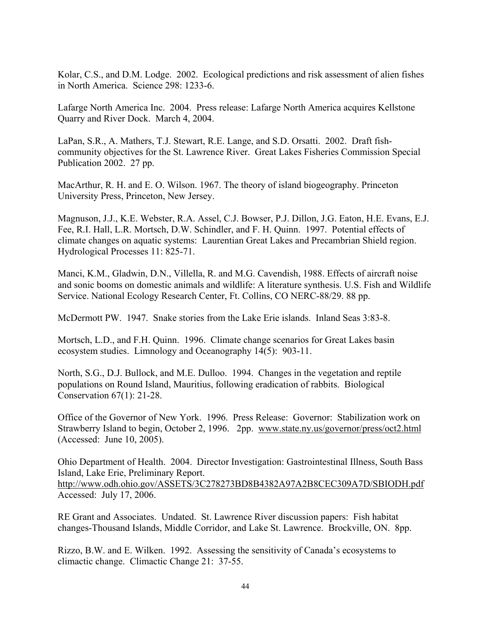Kolar, C.S., and D.M. Lodge. 2002. Ecological predictions and risk assessment of alien fishes in North America. Science 298: 1233-6.

Lafarge North America Inc. 2004. Press release: Lafarge North America acquires Kellstone Quarry and River Dock. March 4, 2004.

LaPan, S.R., A. Mathers, T.J. Stewart, R.E. Lange, and S.D. Orsatti. 2002. Draft fishcommunity objectives for the St. Lawrence River. Great Lakes Fisheries Commission Special Publication 2002. 27 pp.

MacArthur, R. H. and E. O. Wilson. 1967. The theory of island biogeography. Princeton University Press, Princeton, New Jersey.

Magnuson, J.J., K.E. Webster, R.A. Assel, C.J. Bowser, P.J. Dillon, J.G. Eaton, H.E. Evans, E.J. Fee, R.I. Hall, L.R. Mortsch, D.W. Schindler, and F. H. Quinn. 1997. Potential effects of climate changes on aquatic systems: Laurentian Great Lakes and Precambrian Shield region. Hydrological Processes 11: 825-71.

Manci, K.M., Gladwin, D.N., Villella, R. and M.G. Cavendish, 1988. Effects of aircraft noise and sonic booms on domestic animals and wildlife: A literature synthesis. U.S. Fish and Wildlife Service. National Ecology Research Center, Ft. Collins, CO NERC-88/29. 88 pp.

McDermott PW. 1947. Snake stories from the Lake Erie islands. Inland Seas 3:83-8.

Mortsch, L.D., and F.H. Quinn. 1996. Climate change scenarios for Great Lakes basin ecosystem studies. Limnology and Oceanography 14(5): 903-11.

North, S.G., D.J. Bullock, and M.E. Dulloo. 1994. Changes in the vegetation and reptile populations on Round Island, Mauritius, following eradication of rabbits. Biological Conservation 67(1): 21-28.

Office of the Governor of New York. 1996. Press Release: Governor: Stabilization work on Strawberry Island to begin, October 2, 1996. 2pp. www.state.ny.us/governor/press/oct2.html (Accessed: June 10, 2005).

Ohio Department of Health. 2004. Director Investigation: Gastrointestinal Illness, South Bass Island, Lake Erie, Preliminary Report. http://www.odh.ohio.gov/ASSETS/3C278273BD8B4382A97A2B8CEC309A7D/SBIODH.pdf Accessed: July 17, 2006.

RE Grant and Associates. Undated. St. Lawrence River discussion papers: Fish habitat changes-Thousand Islands, Middle Corridor, and Lake St. Lawrence. Brockville, ON. 8pp.

Rizzo, B.W. and E. Wilken. 1992. Assessing the sensitivity of Canada's ecosystems to climactic change. Climactic Change 21: 37-55.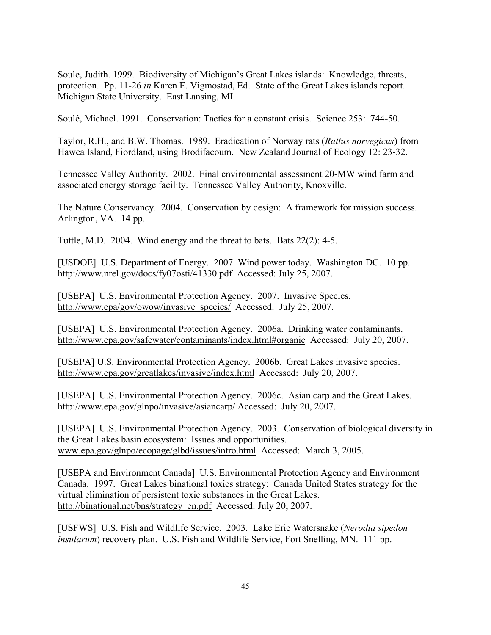Soule, Judith. 1999. Biodiversity of Michigan's Great Lakes islands: Knowledge, threats, protection. Pp. 11-26 *in* Karen E. Vigmostad, Ed. State of the Great Lakes islands report. Michigan State University. East Lansing, MI.

Soulé, Michael. 1991. Conservation: Tactics for a constant crisis. Science 253: 744-50.

Taylor, R.H., and B.W. Thomas. 1989. Eradication of Norway rats (*Rattus norvegicus*) from Hawea Island, Fiordland, using Brodifacoum. New Zealand Journal of Ecology 12: 23-32.

Tennessee Valley Authority. 2002. Final environmental assessment 20-MW wind farm and associated energy storage facility. Tennessee Valley Authority, Knoxville.

The Nature Conservancy. 2004. Conservation by design: A framework for mission success. Arlington, VA. 14 pp.

Tuttle, M.D. 2004. Wind energy and the threat to bats. Bats 22(2): 4-5.

[USDOE] U.S. Department of Energy. 2007. Wind power today. Washington DC. 10 pp. http://www.nrel.gov/docs/fy07osti/41330.pdf Accessed: July 25, 2007.

[USEPA] U.S. Environmental Protection Agency. 2007. Invasive Species. http://www.epa/gov/owow/invasive\_species/\_Accessed: July 25, 2007.

[USEPA] U.S. Environmental Protection Agency. 2006a. Drinking water contaminants. http://www.epa.gov/safewater/contaminants/index.html#organic Accessed: July 20, 2007.

[USEPA] U.S. Environmental Protection Agency. 2006b. Great Lakes invasive species. http://www.epa.gov/greatlakes/invasive/index.html Accessed: July 20, 2007.

[USEPA] U.S. Environmental Protection Agency. 2006c. Asian carp and the Great Lakes. http://www.epa.gov/glnpo/invasive/asiancarp/ Accessed: July 20, 2007.

[USEPA] U.S. Environmental Protection Agency. 2003. Conservation of biological diversity in the Great Lakes basin ecosystem: Issues and opportunities. www.epa.gov/glnpo/ecopage/glbd/issues/intro.html Accessed: March 3, 2005.

[USEPA and Environment Canada] U.S. Environmental Protection Agency and Environment Canada. 1997. Great Lakes binational toxics strategy: Canada United States strategy for the virtual elimination of persistent toxic substances in the Great Lakes. http://binational.net/bns/strategy\_en.pdf Accessed: July 20, 2007.

[USFWS] U.S. Fish and Wildlife Service. 2003. Lake Erie Watersnake (*Nerodia sipedon insularum*) recovery plan. U.S. Fish and Wildlife Service, Fort Snelling, MN. 111 pp.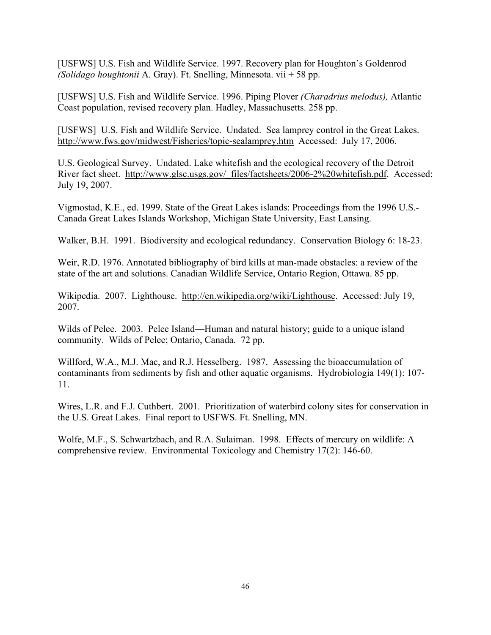[USFWS] U.S. Fish and Wildlife Service. 1997. Recovery plan for Houghton's Goldenrod *(Solidago houghtonii* A. Gray). Ft. Snelling, Minnesota. vii **+** 58 pp.

[USFWS] U.S. Fish and Wildlife Service. 1996. Piping Plover *(Charadrius melodus),* Atlantic Coast population, revised recovery plan. Hadley, Massachusetts. 258 pp.

[USFWS] U.S. Fish and Wildlife Service. Undated. Sea lamprey control in the Great Lakes. http://www.fws.gov/midwest/Fisheries/topic-sealamprey.htm Accessed: July 17, 2006.

U.S. Geological Survey. Undated. Lake whitefish and the ecological recovery of the Detroit River fact sheet. http://www.glsc.usgs.gov/\_files/factsheets/2006-2%20whitefish.pdf. Accessed: July 19, 2007.

Vigmostad, K.E., ed. 1999. State of the Great Lakes islands: Proceedings from the 1996 U.S.- Canada Great Lakes Islands Workshop, Michigan State University, East Lansing.

Walker, B.H. 1991. Biodiversity and ecological redundancy. Conservation Biology 6: 18-23.

Weir, R.D. 1976. Annotated bibliography of bird kills at man-made obstacles: a review of the state of the art and solutions. Canadian Wildlife Service, Ontario Region, Ottawa. 85 pp.

Wikipedia. 2007. Lighthouse. http://en.wikipedia.org/wiki/Lighthouse. Accessed: July 19, 2007.

Wilds of Pelee. 2003. Pelee Island—Human and natural history; guide to a unique island community. Wilds of Pelee; Ontario, Canada. 72 pp.

Willford, W.A., M.J. Mac, and R.J. Hesselberg. 1987. Assessing the bioaccumulation of contaminants from sediments by fish and other aquatic organisms. Hydrobiologia 149(1): 107- 11.

Wires, L.R. and F.J. Cuthbert. 2001. Prioritization of waterbird colony sites for conservation in the U.S. Great Lakes. Final report to USFWS. Ft. Snelling, MN.

Wolfe, M.F., S. Schwartzbach, and R.A. Sulaiman. 1998. Effects of mercury on wildlife: A comprehensive review. Environmental Toxicology and Chemistry 17(2): 146-60.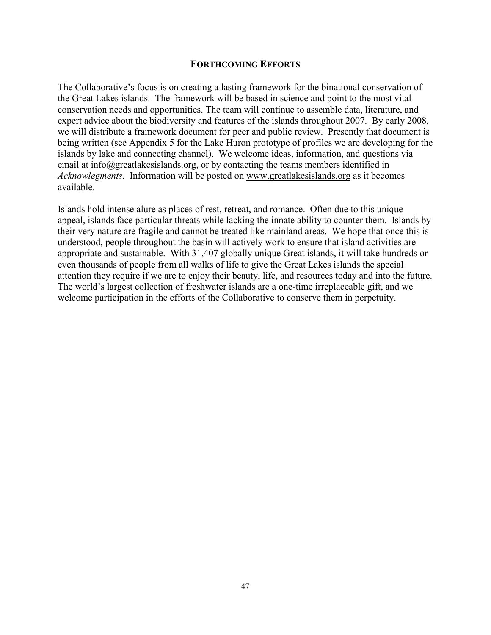### **FORTHCOMING EFFORTS**

The Collaborative's focus is on creating a lasting framework for the binational conservation of the Great Lakes islands. The framework will be based in science and point to the most vital conservation needs and opportunities. The team will continue to assemble data, literature, and expert advice about the biodiversity and features of the islands throughout 2007. By early 2008, we will distribute a framework document for peer and public review. Presently that document is being written (see Appendix 5 for the Lake Huron prototype of profiles we are developing for the islands by lake and connecting channel). We welcome ideas, information, and questions via email at info@greatlakesislands.org, or by contacting the teams members identified in *Acknowlegments*. Information will be posted on www.greatlakesislands.org as it becomes available.

Islands hold intense alure as places of rest, retreat, and romance. Often due to this unique appeal, islands face particular threats while lacking the innate ability to counter them. Islands by their very nature are fragile and cannot be treated like mainland areas. We hope that once this is understood, people throughout the basin will actively work to ensure that island activities are appropriate and sustainable. With 31,407 globally unique Great islands, it will take hundreds or even thousands of people from all walks of life to give the Great Lakes islands the special attention they require if we are to enjoy their beauty, life, and resources today and into the future. The world's largest collection of freshwater islands are a one-time irreplaceable gift, and we welcome participation in the efforts of the Collaborative to conserve them in perpetuity.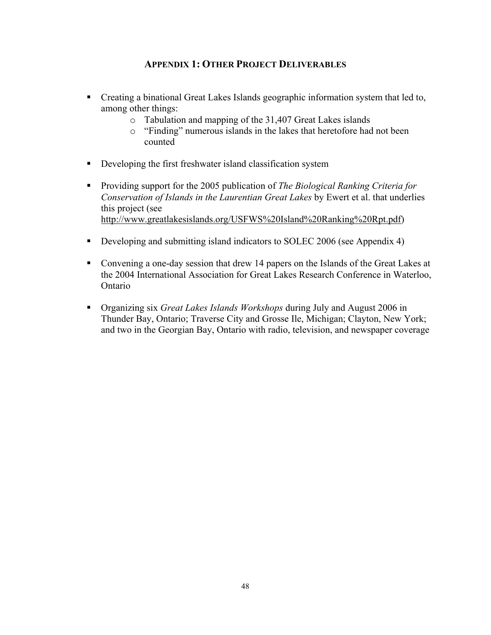## **APPENDIX 1: OTHER PROJECT DELIVERABLES**

- Creating a binational Great Lakes Islands geographic information system that led to, among other things:
	- o Tabulation and mapping of the 31,407 Great Lakes islands
	- o "Finding" numerous islands in the lakes that heretofore had not been counted
- Developing the first freshwater island classification system
- Providing support for the 2005 publication of *The Biological Ranking Criteria for Conservation of Islands in the Laurentian Great Lakes* by Ewert et al. that underlies this project (see http://www.greatlakesislands.org/USFWS%20Island%20Ranking%20Rpt.pdf)
- Developing and submitting island indicators to SOLEC 2006 (see Appendix 4)
- Convening a one-day session that drew 14 papers on the Islands of the Great Lakes at the 2004 International Association for Great Lakes Research Conference in Waterloo, Ontario
- Organizing six *Great Lakes Islands Workshops* during July and August 2006 in Thunder Bay, Ontario; Traverse City and Grosse Ile, Michigan; Clayton, New York; and two in the Georgian Bay, Ontario with radio, television, and newspaper coverage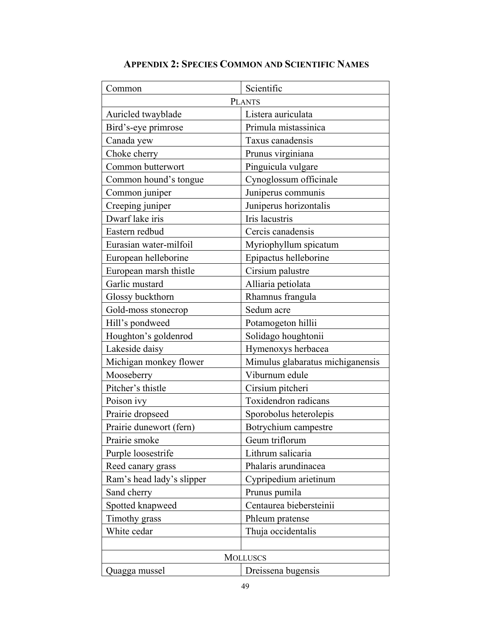| Common                    | Scientific                       |  |
|---------------------------|----------------------------------|--|
|                           | <b>PLANTS</b>                    |  |
| Auricled twayblade        | Listera auriculata               |  |
| Bird's-eye primrose       | Primula mistassinica             |  |
| Canada yew                | Taxus canadensis                 |  |
| Choke cherry              | Prunus virginiana                |  |
| Common butterwort         | Pinguicula vulgare               |  |
| Common hound's tongue     | Cynoglossum officinale           |  |
| Common juniper            | Juniperus communis               |  |
| Creeping juniper          | Juniperus horizontalis           |  |
| Dwarf lake iris           | Iris lacustris                   |  |
| Eastern redbud            | Cercis canadensis                |  |
| Eurasian water-milfoil    | Myriophyllum spicatum            |  |
| European helleborine      | Epipactus helleborine            |  |
| European marsh thistle    | Cirsium palustre                 |  |
| Garlic mustard            | Alliaria petiolata               |  |
| Glossy buckthorn          | Rhamnus frangula                 |  |
| Gold-moss stonecrop       | Sedum acre                       |  |
| Hill's pondweed           | Potamogeton hillii               |  |
| Houghton's goldenrod      | Solidago houghtonii              |  |
| Lakeside daisy            | Hymenoxys herbacea               |  |
| Michigan monkey flower    | Mimulus glabaratus michiganensis |  |
| Mooseberry                | Viburnum edule                   |  |
| Pitcher's thistle         | Cirsium pitcheri                 |  |
| Poison ivy                | Toxidendron radicans             |  |
| Prairie dropseed          | Sporobolus heterolepis           |  |
| Prairie dunewort (fern)   | Botrychium campestre             |  |
| Prairie smoke             | Geum triflorum                   |  |
| Purple loosestrife        | Lithrum salicaria                |  |
| Reed canary grass         | Phalaris arundinacea             |  |
| Ram's head lady's slipper | Cypripedium arietinum            |  |
| Sand cherry               | Prunus pumila                    |  |
| Spotted knapweed          | Centaurea biebersteinii          |  |
| Timothy grass             | Phleum pratense                  |  |
| White cedar               | Thuja occidentalis               |  |
|                           |                                  |  |
| <b>MOLLUSCS</b>           |                                  |  |
| Quagga mussel             | Dreissena bugensis               |  |

# **APPENDIX 2: SPECIES COMMON AND SCIENTIFIC NAMES**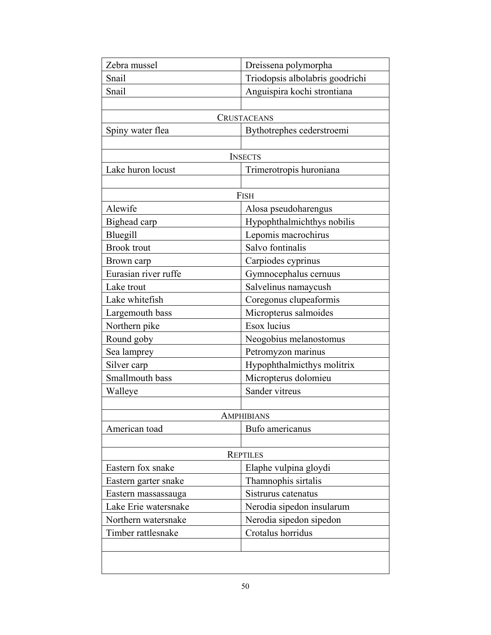| Zebra mussel         | Dreissena polymorpha            |
|----------------------|---------------------------------|
| Snail                | Triodopsis albolabris goodrichi |
| Snail                | Anguispira kochi strontiana     |
|                      |                                 |
|                      | CRUSTACEANS                     |
| Spiny water flea     | Bythotrephes cederstroemi       |
|                      |                                 |
|                      | <b>INSECTS</b>                  |
| Lake huron locust    | Trimerotropis huroniana         |
|                      |                                 |
|                      | <b>FISH</b>                     |
| Alewife              | Alosa pseudoharengus            |
| Bighead carp         | Hypophthalmichthys nobilis      |
| Bluegill             | Lepomis macrochirus             |
| <b>Brook</b> trout   | Salvo fontinalis                |
| Brown carp           | Carpiodes cyprinus              |
| Eurasian river ruffe | Gymnocephalus cernuus           |
| Lake trout           | Salvelinus namaycush            |
| Lake whitefish       | Coregonus clupeaformis          |
| Largemouth bass      | Micropterus salmoides           |
| Northern pike        | Esox lucius                     |
| Round goby           | Neogobius melanostomus          |
| Sea lamprey          | Petromyzon marinus              |
| Silver carp          | Hypophthalmicthys molitrix      |
| Smallmouth bass      | Micropterus dolomieu            |
| Walleye              | Sander vitreus                  |
|                      |                                 |
|                      | AMPHIBIANS                      |
| American toad        | Bufo americanus                 |
|                      |                                 |
|                      | <b>REPTILES</b>                 |
| Eastern fox snake    | Elaphe vulpina gloydi           |
| Eastern garter snake | Thamnophis sirtalis             |
| Eastern massassauga  | Sistrurus catenatus             |
| Lake Erie watersnake | Nerodia sipedon insularum       |
| Northern watersnake  | Nerodia sipedon sipedon         |
| Timber rattlesnake   | Crotalus horridus               |
|                      |                                 |
|                      |                                 |
|                      |                                 |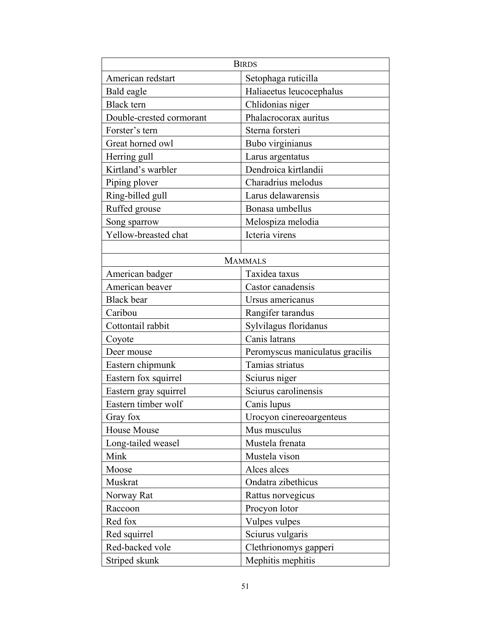| <b>BIRDS</b>             |                                 |  |
|--------------------------|---------------------------------|--|
| American redstart        | Setophaga ruticilla             |  |
| Bald eagle               | Haliaeetus leucocephalus        |  |
| <b>Black</b> tern        | Chlidonias niger                |  |
| Double-crested cormorant | Phalacrocorax auritus           |  |
| Forster's tern           | Sterna forsteri                 |  |
| Great horned owl         | Bubo virginianus                |  |
| Herring gull             | Larus argentatus                |  |
| Kirtland's warbler       | Dendroica kirtlandii            |  |
| Piping plover            | Charadrius melodus              |  |
| Ring-billed gull         | Larus delawarensis              |  |
| Ruffed grouse            | Bonasa umbellus                 |  |
| Song sparrow             | Melospiza melodia               |  |
| Yellow-breasted chat     | Icteria virens                  |  |
|                          |                                 |  |
|                          | <b>MAMMALS</b>                  |  |
| American badger          | Taxidea taxus                   |  |
| American beaver          | Castor canadensis               |  |
| <b>Black</b> bear        | Ursus americanus                |  |
| Caribou                  | Rangifer tarandus               |  |
| Cottontail rabbit        | Sylvilagus floridanus           |  |
| Coyote                   | Canis latrans                   |  |
| Deer mouse               | Peromyscus maniculatus gracilis |  |
| Eastern chipmunk         | Tamias striatus                 |  |
| Eastern fox squirrel     | Sciurus niger                   |  |
| Eastern gray squirrel    | Sciurus carolinensis            |  |
| Eastern timber wolf      | Canis lupus                     |  |
| Gray fox                 | Urocyon cinereoargenteus        |  |
| House Mouse              | Mus musculus                    |  |
| Long-tailed weasel       | Mustela frenata                 |  |
| Mink                     | Mustela vison                   |  |
| Moose                    | Alces alces                     |  |
| Muskrat                  | Ondatra zibethicus              |  |
| Norway Rat               | Rattus norvegicus               |  |
| Raccoon                  | Procyon lotor                   |  |
| Red fox                  | Vulpes vulpes                   |  |
| Red squirrel             | Sciurus vulgaris                |  |
| Red-backed vole          | Clethrionomys gapperi           |  |
| Striped skunk            | Mephitis mephitis               |  |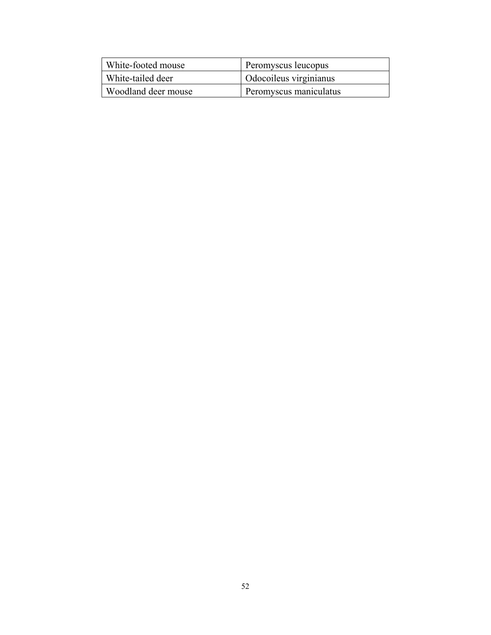| White-footed mouse  | Peromyscus leucopus           |
|---------------------|-------------------------------|
| White-tailed deer   | <b>Odocoileus</b> virginianus |
| Woodland deer mouse | Peromyscus maniculatus        |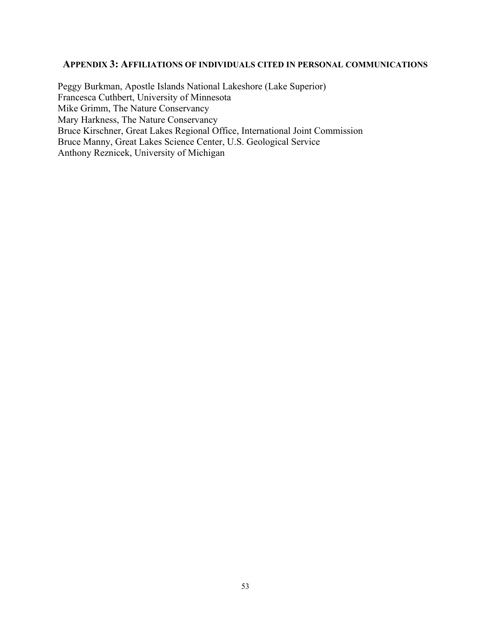### **APPENDIX 3: AFFILIATIONS OF INDIVIDUALS CITED IN PERSONAL COMMUNICATIONS**

Peggy Burkman, Apostle Islands National Lakeshore (Lake Superior) Francesca Cuthbert, University of Minnesota Mike Grimm, The Nature Conservancy Mary Harkness, The Nature Conservancy Bruce Kirschner, Great Lakes Regional Office, International Joint Commission Bruce Manny, Great Lakes Science Center, U.S. Geological Service Anthony Reznicek, University of Michigan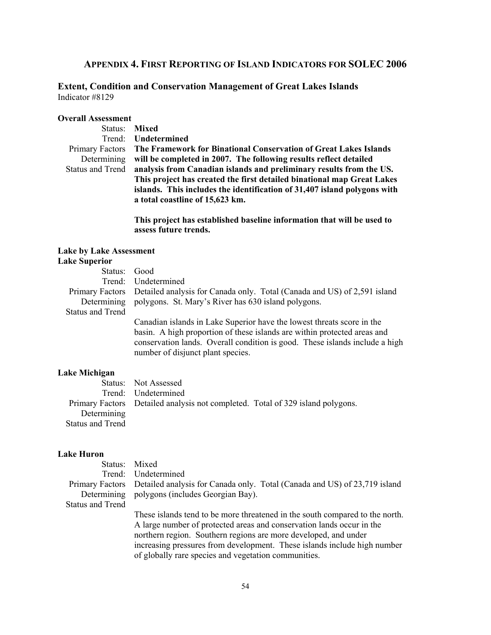### **APPENDIX 4. FIRST REPORTING OF ISLAND INDICATORS FOR SOLEC 2006**

### **Extent, Condition and Conservation Management of Great Lakes Islands**  Indicator #8129

### **Overall Assessment**

| Status: Mixed                                                                        |
|--------------------------------------------------------------------------------------|
| Trend: <b>Undetermined</b>                                                           |
| Primary Factors The Framework for Binational Conservation of Great Lakes Islands     |
| Determining will be completed in 2007. The following results reflect detailed        |
| Status and Trend analysis from Canadian islands and preliminary results from the US. |
| This project has created the first detailed binational map Great Lakes               |
| islands. This includes the identification of 31,407 island polygons with             |
| a total coastline of 15,623 km.                                                      |
|                                                                                      |

**This project has established baseline information that will be used to assess future trends.** 

#### **Lake by Lake Assessment Lake Superior**

| Status: Good     |                                                                                                                                                                                              |
|------------------|----------------------------------------------------------------------------------------------------------------------------------------------------------------------------------------------|
|                  | Trend: Undetermined                                                                                                                                                                          |
|                  | Primary Factors Detailed analysis for Canada only. Total (Canada and US) of 2,591 island                                                                                                     |
|                  | Determining polygons. St. Mary's River has 630 island polygons.                                                                                                                              |
| Status and Trend |                                                                                                                                                                                              |
|                  | Canadian islands in Lake Superior have the lowest threats score in the                                                                                                                       |
|                  | basin. A high proportion of these islands are within protected areas and<br>conservation lands. Overall condition is good. These islands include a high<br>number of disjunct plant species. |
|                  |                                                                                                                                                                                              |

### **Lake Michigan**

|                  | Status: Not Assessed                                                           |  |
|------------------|--------------------------------------------------------------------------------|--|
|                  | Trend: Undetermined                                                            |  |
|                  | Primary Factors Detailed analysis not completed. Total of 329 island polygons. |  |
| Determining      |                                                                                |  |
| Status and Trend |                                                                                |  |

#### **Lake Huron**

| Status: Mixed           |                                                                                           |
|-------------------------|-------------------------------------------------------------------------------------------|
|                         | Trend: Undetermined                                                                       |
|                         | Primary Factors Detailed analysis for Canada only. Total (Canada and US) of 23,719 island |
|                         | Determining polygons (includes Georgian Bay).                                             |
| <b>Status and Trend</b> |                                                                                           |
|                         | These islands tend to be more threatened in the south compared to the north.              |
|                         | A large number of protected areas and conservation lands occur in the                     |
|                         | northern region. Southern regions are more developed, and under                           |

increasing pressures from development. These islands include high number of globally rare species and vegetation communities.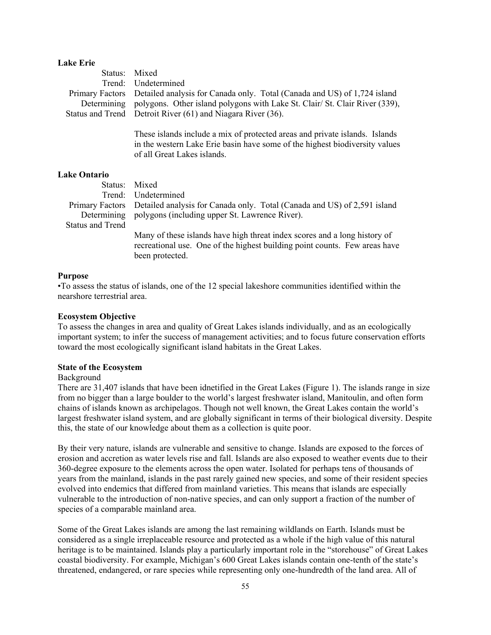#### **Lake Erie**

| Status: Mixed |                                                                                          |
|---------------|------------------------------------------------------------------------------------------|
|               | Trend: Undetermined                                                                      |
|               | Primary Factors Detailed analysis for Canada only. Total (Canada and US) of 1,724 island |
|               | Determining polygons. Other island polygons with Lake St. Clair/ St. Clair River (339),  |
|               | Status and Trend Detroit River (61) and Niagara River (36).                              |
|               | These islands include a mix of protected areas and private islands. Islands              |

in the western Lake Erie basin have some of the highest biodiversity values of all Great Lakes islands.

### **Lake Ontario**

| Status: Mixed           |                                                                                                                                                                            |
|-------------------------|----------------------------------------------------------------------------------------------------------------------------------------------------------------------------|
|                         | Trend: Undetermined                                                                                                                                                        |
|                         | Primary Factors Detailed analysis for Canada only. Total (Canada and US) of 2,591 island                                                                                   |
|                         | Determining polygons (including upper St. Lawrence River).                                                                                                                 |
| <b>Status and Trend</b> |                                                                                                                                                                            |
|                         | Many of these islands have high threat index scores and a long history of<br>recreational use. One of the highest building point counts. Few areas have<br>been protected. |

#### **Purpose**

•To assess the status of islands, one of the 12 special lakeshore communities identified within the nearshore terrestrial area.

#### **Ecosystem Objective**

To assess the changes in area and quality of Great Lakes islands individually, and as an ecologically important system; to infer the success of management activities; and to focus future conservation efforts toward the most ecologically significant island habitats in the Great Lakes.

#### **State of the Ecosystem**

#### Background

There are 31,407 islands that have been idnetified in the Great Lakes (Figure 1). The islands range in size from no bigger than a large boulder to the world's largest freshwater island, Manitoulin, and often form chains of islands known as archipelagos. Though not well known, the Great Lakes contain the world's largest freshwater island system, and are globally significant in terms of their biological diversity. Despite this, the state of our knowledge about them as a collection is quite poor.

By their very nature, islands are vulnerable and sensitive to change. Islands are exposed to the forces of erosion and accretion as water levels rise and fall. Islands are also exposed to weather events due to their 360-degree exposure to the elements across the open water. Isolated for perhaps tens of thousands of years from the mainland, islands in the past rarely gained new species, and some of their resident species evolved into endemics that differed from mainland varieties. This means that islands are especially vulnerable to the introduction of non-native species, and can only support a fraction of the number of species of a comparable mainland area.

Some of the Great Lakes islands are among the last remaining wildlands on Earth. Islands must be considered as a single irreplaceable resource and protected as a whole if the high value of this natural heritage is to be maintained. Islands play a particularly important role in the "storehouse" of Great Lakes coastal biodiversity. For example, Michigan's 600 Great Lakes islands contain one-tenth of the state's threatened, endangered, or rare species while representing only one-hundredth of the land area. All of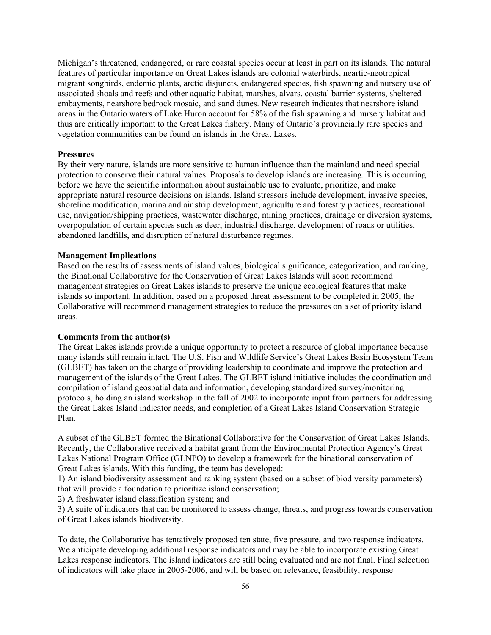Michigan's threatened, endangered, or rare coastal species occur at least in part on its islands. The natural features of particular importance on Great Lakes islands are colonial waterbirds, neartic-neotropical migrant songbirds, endemic plants, arctic disjuncts, endangered species, fish spawning and nursery use of associated shoals and reefs and other aquatic habitat, marshes, alvars, coastal barrier systems, sheltered embayments, nearshore bedrock mosaic, and sand dunes. New research indicates that nearshore island areas in the Ontario waters of Lake Huron account for 58% of the fish spawning and nursery habitat and thus are critically important to the Great Lakes fishery. Many of Ontario's provincially rare species and vegetation communities can be found on islands in the Great Lakes.

#### **Pressures**

By their very nature, islands are more sensitive to human influence than the mainland and need special protection to conserve their natural values. Proposals to develop islands are increasing. This is occurring before we have the scientific information about sustainable use to evaluate, prioritize, and make appropriate natural resource decisions on islands. Island stressors include development, invasive species, shoreline modification, marina and air strip development, agriculture and forestry practices, recreational use, navigation/shipping practices, wastewater discharge, mining practices, drainage or diversion systems, overpopulation of certain species such as deer, industrial discharge, development of roads or utilities, abandoned landfills, and disruption of natural disturbance regimes.

#### **Management Implications**

Based on the results of assessments of island values, biological significance, categorization, and ranking, the Binational Collaborative for the Conservation of Great Lakes Islands will soon recommend management strategies on Great Lakes islands to preserve the unique ecological features that make islands so important. In addition, based on a proposed threat assessment to be completed in 2005, the Collaborative will recommend management strategies to reduce the pressures on a set of priority island areas.

#### **Comments from the author(s)**

The Great Lakes islands provide a unique opportunity to protect a resource of global importance because many islands still remain intact. The U.S. Fish and Wildlife Service's Great Lakes Basin Ecosystem Team (GLBET) has taken on the charge of providing leadership to coordinate and improve the protection and management of the islands of the Great Lakes. The GLBET island initiative includes the coordination and compilation of island geospatial data and information, developing standardized survey/monitoring protocols, holding an island workshop in the fall of 2002 to incorporate input from partners for addressing the Great Lakes Island indicator needs, and completion of a Great Lakes Island Conservation Strategic Plan.

A subset of the GLBET formed the Binational Collaborative for the Conservation of Great Lakes Islands. Recently, the Collaborative received a habitat grant from the Environmental Protection Agency's Great Lakes National Program Office (GLNPO) to develop a framework for the binational conservation of Great Lakes islands. With this funding, the team has developed:

1) An island biodiversity assessment and ranking system (based on a subset of biodiversity parameters) that will provide a foundation to prioritize island conservation;

2) A freshwater island classification system; and

3) A suite of indicators that can be monitored to assess change, threats, and progress towards conservation of Great Lakes islands biodiversity.

To date, the Collaborative has tentatively proposed ten state, five pressure, and two response indicators. We anticipate developing additional response indicators and may be able to incorporate existing Great Lakes response indicators. The island indicators are still being evaluated and are not final. Final selection of indicators will take place in 2005-2006, and will be based on relevance, feasibility, response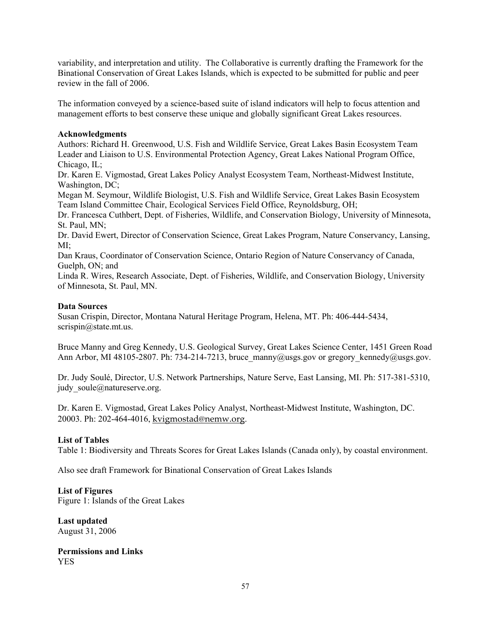variability, and interpretation and utility. The Collaborative is currently drafting the Framework for the Binational Conservation of Great Lakes Islands, which is expected to be submitted for public and peer review in the fall of 2006.

The information conveyed by a science-based suite of island indicators will help to focus attention and management efforts to best conserve these unique and globally significant Great Lakes resources.

### **Acknowledgments**

Authors: Richard H. Greenwood, U.S. Fish and Wildlife Service, Great Lakes Basin Ecosystem Team Leader and Liaison to U.S. Environmental Protection Agency, Great Lakes National Program Office, Chicago, IL;

Dr. Karen E. Vigmostad, Great Lakes Policy Analyst Ecosystem Team, Northeast-Midwest Institute, Washington, DC;

Megan M. Seymour, Wildlife Biologist, U.S. Fish and Wildlife Service, Great Lakes Basin Ecosystem Team Island Committee Chair, Ecological Services Field Office, Reynoldsburg, OH;

Dr. Francesca Cuthbert, Dept. of Fisheries, Wildlife, and Conservation Biology, University of Minnesota, St. Paul, MN;

Dr. David Ewert, Director of Conservation Science, Great Lakes Program, Nature Conservancy, Lansing, MI;

Dan Kraus, Coordinator of Conservation Science, Ontario Region of Nature Conservancy of Canada, Guelph, ON; and

Linda R. Wires, Research Associate, Dept. of Fisheries, Wildlife, and Conservation Biology, University of Minnesota, St. Paul, MN.

#### **Data Sources**

Susan Crispin, Director, Montana Natural Heritage Program, Helena, MT. Ph: 406-444-5434, scrispin@state.mt.us.

Bruce Manny and Greg Kennedy, U.S. Geological Survey, Great Lakes Science Center, 1451 Green Road Ann Arbor, MI 48105-2807. Ph: 734-214-7213, bruce\_manny@usgs.gov or gregory\_kennedy@usgs.gov.

Dr. Judy Soulé, Director, U.S. Network Partnerships, Nature Serve, East Lansing, MI. Ph: 517-381-5310, judy soule@natureserve.org.

Dr. Karen E. Vigmostad, Great Lakes Policy Analyst, Northeast-Midwest Institute, Washington, DC. 20003. Ph: 202-464-4016, kvigmostad@nemw.org.

### **List of Tables**

Table 1: Biodiversity and Threats Scores for Great Lakes Islands (Canada only), by coastal environment.

Also see draft Framework for Binational Conservation of Great Lakes Islands

### **List of Figures**

Figure 1: Islands of the Great Lakes

**Last updated**  August 31, 2006

**Permissions and Links**  YES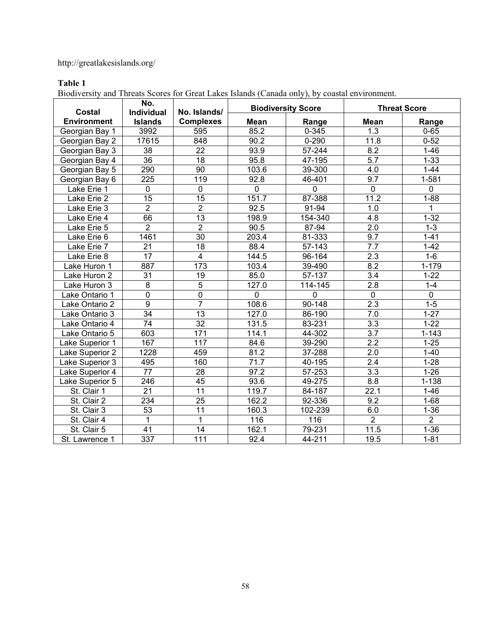# http://greatlakesislands.org/

# **Table 1**

Biodiversity and Threats Scores for Great Lakes Islands (Canada only), by coastal environment.

| <b>Costal</b>      | No.<br>Individual | No. Islands/     | <b>Biodiversity Score</b> |                | <b>Threat Score</b> |                |
|--------------------|-------------------|------------------|---------------------------|----------------|---------------------|----------------|
| <b>Environment</b> | <b>Islands</b>    | <b>Complexes</b> | <b>Mean</b>               | Range          | Mean                | Range          |
| Georgian Bay 1     | 3992              | 595              | 85.2                      | $0 - 345$      | 1.3                 | $0 - 65$       |
| Georgian Bay 2     | 17615             | 848              | 90.2                      | $0 - 290$      | 11.8                | $0 - 52$       |
| Georgian Bay 3     | $\overline{38}$   | $\overline{22}$  | 93.9                      | $57 - 244$     | $\overline{8.2}$    | $1 - 46$       |
| Georgian Bay 4     | $\overline{36}$   | $\overline{18}$  | 95.8                      | 47-195         | $\overline{5.7}$    | $1 - 33$       |
| Georgian Bay 5     | 290               | $\overline{90}$  | 103.6                     | 39-300         | 4.0                 | $1 - 44$       |
| Georgian Bay 6     | $\overline{225}$  | 119              | 92.8                      | 46-401         | $\overline{9.7}$    | $1 - 581$      |
| Lake Erie 1        | $\mathbf 0$       | $\mathbf 0$      | $\mathbf 0$               | $\overline{0}$ | $\mathbf 0$         | $\mathbf 0$    |
| Lake Erie 2        | $\overline{15}$   | $\overline{15}$  | 151.7                     | 87-388         | 11.2                | $1 - 88$       |
| Lake Erie 3        | $\overline{2}$    | $\overline{2}$   | 92.5                      | $91 - 94$      | $\overline{1.0}$    | 1              |
| Lake Erie 4        | 66                | $\overline{13}$  | 198.9                     | 154-340        | $\overline{4.8}$    | $1 - 32$       |
| Lake Erie 5        | $\overline{2}$    | $\overline{2}$   | 90.5                      | 87-94          | $\overline{2.0}$    | $1 - 3$        |
| Lake Erie 6        | 1461              | $\overline{30}$  | 203.4                     | 81-333         | $\overline{9.7}$    | $1 - 41$       |
| Lake Erie 7        | $\overline{21}$   | 18               | 88.4                      | $57 - 143$     | 7.7                 | $1 - 42$       |
| Lake Erie 8        | 17                | $\overline{4}$   | 144.5                     | 96-164         | 2.3                 | $1-6$          |
| Lake Huron 1       | 887               | 173              | 103.4                     | 39-490         | $\overline{8.2}$    | $1 - 179$      |
| Lake Huron 2       | $\overline{31}$   | $\overline{19}$  | 85.0                      | 57-137         | $\overline{3.4}$    | $1 - 22$       |
| Lake Huron 3       | $\overline{8}$    | $\overline{5}$   | 127.0                     | 114-145        | 2.8                 | $1 - 4$        |
| Lake Ontario 1     | $\mathbf 0$       | $\overline{0}$   | $\mathbf 0$               | $\mathbf 0$    | $\mathbf 0$         | $\overline{0}$ |
| Lake Ontario 2     | $\overline{9}$    | $\overline{7}$   | 108.6                     | 90-148         | 2.3                 | $1 - 5$        |
| Lake Ontario 3     | $\overline{34}$   | $\overline{13}$  | 127.0                     | 86-190         | $\overline{7.0}$    | $1 - 27$       |
| Lake Ontario 4     | $\overline{74}$   | $\overline{32}$  | 131.5                     | 83-231         | $\overline{3.3}$    | $1 - 22$       |
| Lake Ontario 5     | 603               | 171              | 114.1                     | 44-302         | $\overline{3.7}$    | $1 - 143$      |
| Lake Superior 1    | 167               | 117              | 84.6                      | 39-290         | 2.2                 | $1 - 25$       |
| Lake Superior 2    | 1228              | 459              | 81.2                      | 37-288         | $\overline{2.0}$    | $1 - 40$       |
| Lake Superior 3    | 495               | 160              | 71.7                      | 40-195         | $\overline{2.4}$    | $1 - 28$       |
| Lake Superior 4    | $\overline{77}$   | $\overline{28}$  | 97.2                      | $57 - 253$     | $\overline{3.3}$    | $1 - 26$       |
| Lake Superior 5    | 246               | 45               | 93.6                      | 49-275         | 8.8                 | $1 - 138$      |
| St. Clair 1        | $\overline{21}$   | $\overline{11}$  | 119.7                     | 84-187         | 22.1                | $1 - 46$       |
| St. Clair 2        | 234               | $\overline{25}$  | 162.2                     | 92-336         | $\overline{9.2}$    | $1 - 68$       |
| St. Clair 3        | 53                | 11               | 160.3                     | 102-239        | 6.0                 | $1 - 36$       |
| St. Clair 4        | 1                 | 1                | 116                       | 116            | $\overline{2}$      | $\overline{2}$ |
| St. Clair 5        | 41                | 14               | 162.1                     | 79-231         | 11.5                | $1 - 36$       |
| St. Lawrence 1     | 337               | 111              | 92.4                      | 44-211         | 19.5                | $1 - 81$       |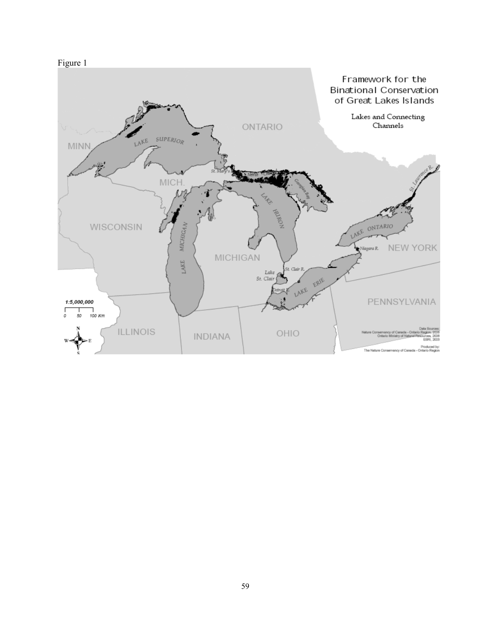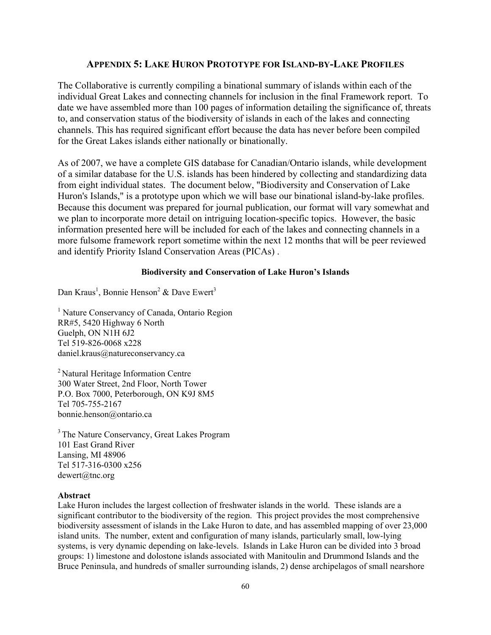### **APPENDIX 5: LAKE HURON PROTOTYPE FOR ISLAND-BY-LAKE PROFILES**

The Collaborative is currently compiling a binational summary of islands within each of the individual Great Lakes and connecting channels for inclusion in the final Framework report. To date we have assembled more than 100 pages of information detailing the significance of, threats to, and conservation status of the biodiversity of islands in each of the lakes and connecting channels. This has required significant effort because the data has never before been compiled for the Great Lakes islands either nationally or binationally.

As of 2007, we have a complete GIS database for Canadian/Ontario islands, while development of a similar database for the U.S. islands has been hindered by collecting and standardizing data from eight individual states. The document below, "Biodiversity and Conservation of Lake Huron's Islands," is a prototype upon which we will base our binational island-by-lake profiles. Because this document was prepared for journal publication, our format will vary somewhat and we plan to incorporate more detail on intriguing location-specific topics. However, the basic information presented here will be included for each of the lakes and connecting channels in a more fulsome framework report sometime within the next 12 months that will be peer reviewed and identify Priority Island Conservation Areas (PICAs) .

### **Biodiversity and Conservation of Lake Huron's Islands**

Dan Kraus<sup>1</sup>, Bonnie Henson<sup>2</sup> & Dave Ewert<sup>3</sup>

<sup>1</sup> Nature Conservancy of Canada, Ontario Region RR#5, 5420 Highway 6 North Guelph, ON N1H 6J2 Tel 519-826-0068 x228 daniel.kraus@natureconservancy.ca

2 Natural Heritage Information Centre 300 Water Street, 2nd Floor, North Tower P.O. Box 7000, Peterborough, ON K9J 8M5 Tel 705-755-2167 bonnie.henson@ontario.ca

<sup>3</sup> The Nature Conservancy, Great Lakes Program 101 East Grand River Lansing, MI 48906 Tel 517-316-0300 x256 dewert@tnc.org

#### **Abstract**

Lake Huron includes the largest collection of freshwater islands in the world. These islands are a significant contributor to the biodiversity of the region. This project provides the most comprehensive biodiversity assessment of islands in the Lake Huron to date, and has assembled mapping of over 23,000 island units. The number, extent and configuration of many islands, particularly small, low-lying systems, is very dynamic depending on lake-levels. Islands in Lake Huron can be divided into 3 broad groups: 1) limestone and dolostone islands associated with Manitoulin and Drummond Islands and the Bruce Peninsula, and hundreds of smaller surrounding islands, 2) dense archipelagos of small nearshore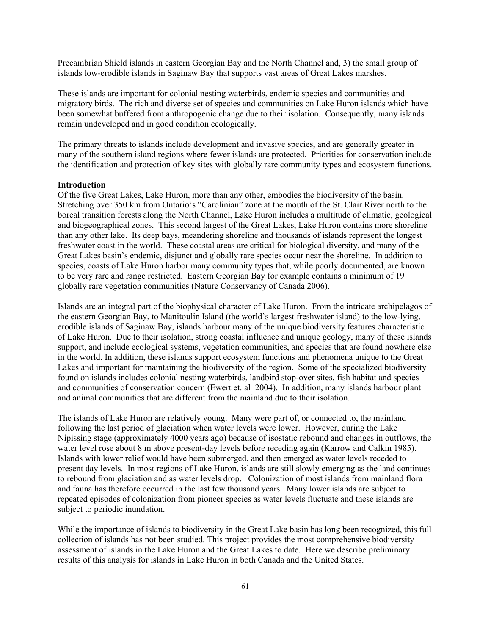Precambrian Shield islands in eastern Georgian Bay and the North Channel and, 3) the small group of islands low-erodible islands in Saginaw Bay that supports vast areas of Great Lakes marshes.

These islands are important for colonial nesting waterbirds, endemic species and communities and migratory birds. The rich and diverse set of species and communities on Lake Huron islands which have been somewhat buffered from anthropogenic change due to their isolation. Consequently, many islands remain undeveloped and in good condition ecologically.

The primary threats to islands include development and invasive species, and are generally greater in many of the southern island regions where fewer islands are protected. Priorities for conservation include the identification and protection of key sites with globally rare community types and ecosystem functions.

#### **Introduction**

Of the five Great Lakes, Lake Huron, more than any other, embodies the biodiversity of the basin. Stretching over 350 km from Ontario's "Carolinian" zone at the mouth of the St. Clair River north to the boreal transition forests along the North Channel, Lake Huron includes a multitude of climatic, geological and biogeographical zones. This second largest of the Great Lakes, Lake Huron contains more shoreline than any other lake. Its deep bays, meandering shoreline and thousands of islands represent the longest freshwater coast in the world. These coastal areas are critical for biological diversity, and many of the Great Lakes basin's endemic, disjunct and globally rare species occur near the shoreline. In addition to species, coasts of Lake Huron harbor many community types that, while poorly documented, are known to be very rare and range restricted. Eastern Georgian Bay for example contains a minimum of 19 globally rare vegetation communities (Nature Conservancy of Canada 2006).

Islands are an integral part of the biophysical character of Lake Huron. From the intricate archipelagos of the eastern Georgian Bay, to Manitoulin Island (the world's largest freshwater island) to the low-lying, erodible islands of Saginaw Bay, islands harbour many of the unique biodiversity features characteristic of Lake Huron. Due to their isolation, strong coastal influence and unique geology, many of these islands support, and include ecological systems, vegetation communities, and species that are found nowhere else in the world. In addition, these islands support ecosystem functions and phenomena unique to the Great Lakes and important for maintaining the biodiversity of the region. Some of the specialized biodiversity found on islands includes colonial nesting waterbirds, landbird stop-over sites, fish habitat and species and communities of conservation concern (Ewert et. al 2004). In addition, many islands harbour plant and animal communities that are different from the mainland due to their isolation.

The islands of Lake Huron are relatively young. Many were part of, or connected to, the mainland following the last period of glaciation when water levels were lower. However, during the Lake Nipissing stage (approximately 4000 years ago) because of isostatic rebound and changes in outflows, the water level rose about 8 m above present-day levels before receding again (Karrow and Calkin 1985). Islands with lower relief would have been submerged, and then emerged as water levels receded to present day levels. In most regions of Lake Huron, islands are still slowly emerging as the land continues to rebound from glaciation and as water levels drop. Colonization of most islands from mainland flora and fauna has therefore occurred in the last few thousand years. Many lower islands are subject to repeated episodes of colonization from pioneer species as water levels fluctuate and these islands are subject to periodic inundation.

While the importance of islands to biodiversity in the Great Lake basin has long been recognized, this full collection of islands has not been studied. This project provides the most comprehensive biodiversity assessment of islands in the Lake Huron and the Great Lakes to date. Here we describe preliminary results of this analysis for islands in Lake Huron in both Canada and the United States.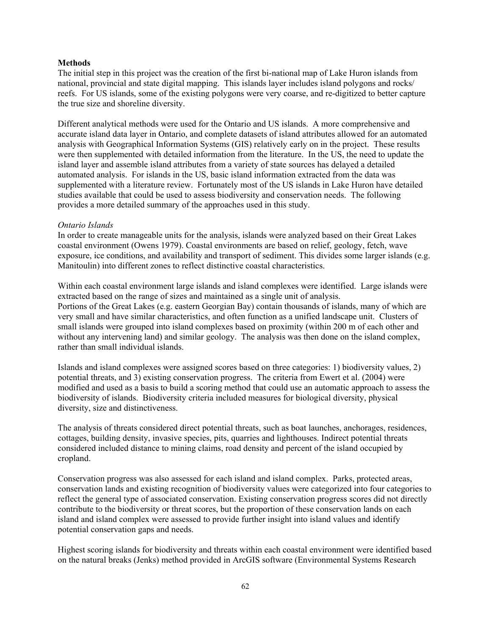#### **Methods**

The initial step in this project was the creation of the first bi-national map of Lake Huron islands from national, provincial and state digital mapping. This islands layer includes island polygons and rocks/ reefs. For US islands, some of the existing polygons were very coarse, and re-digitized to better capture the true size and shoreline diversity.

Different analytical methods were used for the Ontario and US islands. A more comprehensive and accurate island data layer in Ontario, and complete datasets of island attributes allowed for an automated analysis with Geographical Information Systems (GIS) relatively early on in the project. These results were then supplemented with detailed information from the literature. In the US, the need to update the island layer and assemble island attributes from a variety of state sources has delayed a detailed automated analysis. For islands in the US, basic island information extracted from the data was supplemented with a literature review. Fortunately most of the US islands in Lake Huron have detailed studies available that could be used to assess biodiversity and conservation needs. The following provides a more detailed summary of the approaches used in this study.

#### *Ontario Islands*

In order to create manageable units for the analysis, islands were analyzed based on their Great Lakes coastal environment (Owens 1979). Coastal environments are based on relief, geology, fetch, wave exposure, ice conditions, and availability and transport of sediment. This divides some larger islands (e.g. Manitoulin) into different zones to reflect distinctive coastal characteristics.

Within each coastal environment large islands and island complexes were identified. Large islands were extracted based on the range of sizes and maintained as a single unit of analysis. Portions of the Great Lakes (e.g. eastern Georgian Bay) contain thousands of islands, many of which are very small and have similar characteristics, and often function as a unified landscape unit. Clusters of small islands were grouped into island complexes based on proximity (within 200 m of each other and without any intervening land) and similar geology. The analysis was then done on the island complex, rather than small individual islands.

Islands and island complexes were assigned scores based on three categories: 1) biodiversity values, 2) potential threats, and 3) existing conservation progress. The criteria from Ewert et al. (2004) were modified and used as a basis to build a scoring method that could use an automatic approach to assess the biodiversity of islands. Biodiversity criteria included measures for biological diversity, physical diversity, size and distinctiveness.

The analysis of threats considered direct potential threats, such as boat launches, anchorages, residences, cottages, building density, invasive species, pits, quarries and lighthouses. Indirect potential threats considered included distance to mining claims, road density and percent of the island occupied by cropland.

Conservation progress was also assessed for each island and island complex. Parks, protected areas, conservation lands and existing recognition of biodiversity values were categorized into four categories to reflect the general type of associated conservation. Existing conservation progress scores did not directly contribute to the biodiversity or threat scores, but the proportion of these conservation lands on each island and island complex were assessed to provide further insight into island values and identify potential conservation gaps and needs.

Highest scoring islands for biodiversity and threats within each coastal environment were identified based on the natural breaks (Jenks) method provided in ArcGIS software (Environmental Systems Research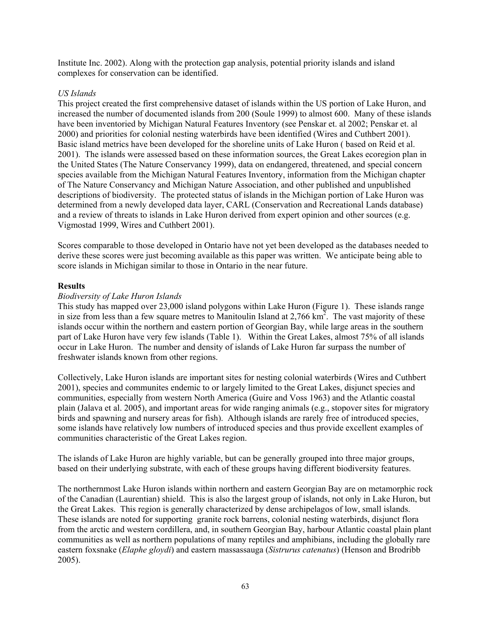Institute Inc. 2002). Along with the protection gap analysis, potential priority islands and island complexes for conservation can be identified.

### *US Islands*

This project created the first comprehensive dataset of islands within the US portion of Lake Huron, and increased the number of documented islands from 200 (Soule 1999) to almost 600. Many of these islands have been inventoried by Michigan Natural Features Inventory (see Penskar et. al 2002; Penskar et. al 2000) and priorities for colonial nesting waterbirds have been identified (Wires and Cuthbert 2001). Basic island metrics have been developed for the shoreline units of Lake Huron ( based on Reid et al. 2001). The islands were assessed based on these information sources, the Great Lakes ecoregion plan in the United States (The Nature Conservancy 1999), data on endangered, threatened, and special concern species available from the Michigan Natural Features Inventory, information from the Michigan chapter of The Nature Conservancy and Michigan Nature Association, and other published and unpublished descriptions of biodiversity. The protected status of islands in the Michigan portion of Lake Huron was determined from a newly developed data layer, CARL (Conservation and Recreational Lands database) and a review of threats to islands in Lake Huron derived from expert opinion and other sources (e.g. Vigmostad 1999, Wires and Cuthbert 2001).

Scores comparable to those developed in Ontario have not yet been developed as the databases needed to derive these scores were just becoming available as this paper was written. We anticipate being able to score islands in Michigan similar to those in Ontario in the near future.

#### **Results**

#### *Biodiversity of Lake Huron Islands*

This study has mapped over 23,000 island polygons within Lake Huron (Figure 1). These islands range in size from less than a few square metres to Manitoulin Island at  $2,766 \text{ km}^2$ . The vast majority of these islands occur within the northern and eastern portion of Georgian Bay, while large areas in the southern part of Lake Huron have very few islands (Table 1). Within the Great Lakes, almost 75% of all islands occur in Lake Huron. The number and density of islands of Lake Huron far surpass the number of freshwater islands known from other regions.

Collectively, Lake Huron islands are important sites for nesting colonial waterbirds (Wires and Cuthbert 2001), species and communites endemic to or largely limited to the Great Lakes, disjunct species and communities, especially from western North America (Guire and Voss 1963) and the Atlantic coastal plain (Jalava et al. 2005), and important areas for wide ranging animals (e.g., stopover sites for migratory birds and spawning and nursery areas for fish). Although islands are rarely free of introduced species, some islands have relatively low numbers of introduced species and thus provide excellent examples of communities characteristic of the Great Lakes region.

The islands of Lake Huron are highly variable, but can be generally grouped into three major groups, based on their underlying substrate, with each of these groups having different biodiversity features.

The northernmost Lake Huron islands within northern and eastern Georgian Bay are on metamorphic rock of the Canadian (Laurentian) shield. This is also the largest group of islands, not only in Lake Huron, but the Great Lakes. This region is generally characterized by dense archipelagos of low, small islands. These islands are noted for supporting granite rock barrens, colonial nesting waterbirds, disjunct flora from the arctic and western cordillera, and, in southern Georgian Bay, harbour Atlantic coastal plain plant communities as well as northern populations of many reptiles and amphibians, including the globally rare eastern foxsnake (*Elaphe gloydi*) and eastern massassauga (*Sistrurus catenatus*) (Henson and Brodribb 2005).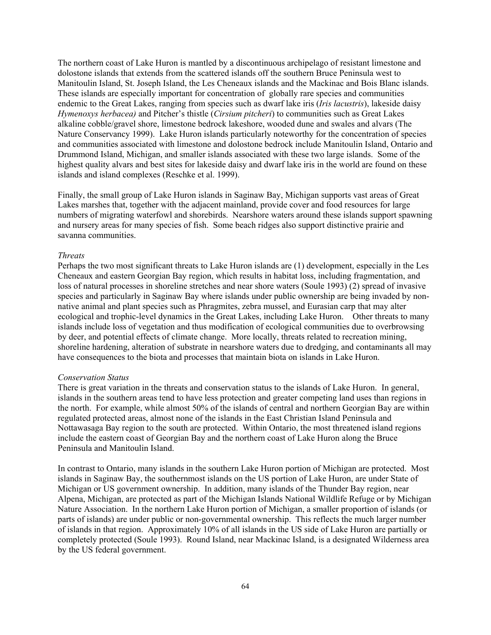The northern coast of Lake Huron is mantled by a discontinuous archipelago of resistant limestone and dolostone islands that extends from the scattered islands off the southern Bruce Peninsula west to Manitoulin Island, St. Joseph Island, the Les Cheneaux islands and the Mackinac and Bois Blanc islands. These islands are especially important for concentration of globally rare species and communities endemic to the Great Lakes, ranging from species such as dwarf lake iris (*Iris lacustris*), lakeside daisy *Hymenoxys herbacea)* and Pitcher's thistle (*Cirsium pitcheri*) to communities such as Great Lakes alkaline cobble/gravel shore, limestone bedrock lakeshore, wooded dune and swales and alvars (The Nature Conservancy 1999). Lake Huron islands particularly noteworthy for the concentration of species and communities associated with limestone and dolostone bedrock include Manitoulin Island, Ontario and Drummond Island, Michigan, and smaller islands associated with these two large islands. Some of the highest quality alvars and best sites for lakeside daisy and dwarf lake iris in the world are found on these islands and island complexes (Reschke et al. 1999).

Finally, the small group of Lake Huron islands in Saginaw Bay, Michigan supports vast areas of Great Lakes marshes that, together with the adjacent mainland, provide cover and food resources for large numbers of migrating waterfowl and shorebirds. Nearshore waters around these islands support spawning and nursery areas for many species of fish. Some beach ridges also support distinctive prairie and savanna communities.

#### *Threats*

Perhaps the two most significant threats to Lake Huron islands are (1) development, especially in the Les Cheneaux and eastern Georgian Bay region, which results in habitat loss, including fragmentation, and loss of natural processes in shoreline stretches and near shore waters (Soule 1993) (2) spread of invasive species and particularly in Saginaw Bay where islands under public ownership are being invaded by nonnative animal and plant species such as Phragmites, zebra mussel, and Eurasian carp that may alter ecological and trophic-level dynamics in the Great Lakes, including Lake Huron. Other threats to many islands include loss of vegetation and thus modification of ecological communities due to overbrowsing by deer, and potential effects of climate change. More locally, threats related to recreation mining, shoreline hardening, alteration of substrate in nearshore waters due to dredging, and contaminants all may have consequences to the biota and processes that maintain biota on islands in Lake Huron.

#### *Conservation Status*

There is great variation in the threats and conservation status to the islands of Lake Huron. In general, islands in the southern areas tend to have less protection and greater competing land uses than regions in the north. For example, while almost 50% of the islands of central and northern Georgian Bay are within regulated protected areas, almost none of the islands in the East Christian Island Peninsula and Nottawasaga Bay region to the south are protected. Within Ontario, the most threatened island regions include the eastern coast of Georgian Bay and the northern coast of Lake Huron along the Bruce Peninsula and Manitoulin Island.

In contrast to Ontario, many islands in the southern Lake Huron portion of Michigan are protected. Most islands in Saginaw Bay, the southernmost islands on the US portion of Lake Huron, are under State of Michigan or US government ownership. In addition, many islands of the Thunder Bay region, near Alpena, Michigan, are protected as part of the Michigan Islands National Wildlife Refuge or by Michigan Nature Association. In the northern Lake Huron portion of Michigan, a smaller proportion of islands (or parts of islands) are under public or non-governmental ownership. This reflects the much larger number of islands in that region. Approximately 10% of all islands in the US side of Lake Huron are partially or completely protected (Soule 1993). Round Island, near Mackinac Island, is a designated Wilderness area by the US federal government.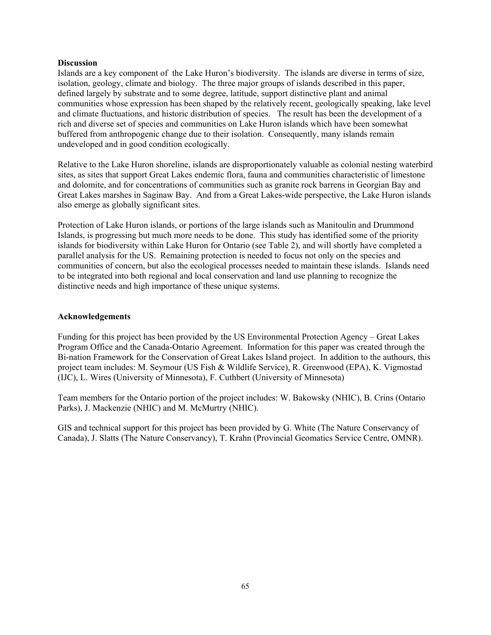#### **Discussion**

Islands are a key component of the Lake Huron's biodiversity. The islands are diverse in terms of size, isolation, geology, climate and biology. The three major groups of islands described in this paper, defined largely by substrate and to some degree, latitude, support distinctive plant and animal communities whose expression has been shaped by the relatively recent, geologically speaking, lake level and climate fluctuations, and historic distribution of species. The result has been the development of a rich and diverse set of species and communities on Lake Huron islands which have been somewhat buffered from anthropogenic change due to their isolation. Consequently, many islands remain undeveloped and in good condition ecologically.

Relative to the Lake Huron shoreline, islands are disproportionately valuable as colonial nesting waterbird sites, as sites that support Great Lakes endemic flora, fauna and communities characteristic of limestone and dolomite, and for concentrations of communities such as granite rock barrens in Georgian Bay and Great Lakes marshes in Saginaw Bay. And from a Great Lakes-wide perspective, the Lake Huron islands also emerge as globally significant sites.

Protection of Lake Huron islands, or portions of the large islands such as Manitoulin and Drummond Islands, is progressing but much more needs to be done. This study has identified some of the priority islands for biodiversity within Lake Huron for Ontario (see Table 2), and will shortly have completed a parallel analysis for the US. Remaining protection is needed to focus not only on the species and communities of concern, but also the ecological processes needed to maintain these islands. Islands need to be integrated into both regional and local conservation and land use planning to recognize the distinctive needs and high importance of these unique systems.

#### **Acknowledgements**

Funding for this project has been provided by the US Environmental Protection Agency – Great Lakes Program Office and the Canada-Ontario Agreement. Information for this paper was created through the Bi-nation Framework for the Conservation of Great Lakes Island project. In addition to the authours, this project team includes: M. Seymour (US Fish & Wildlife Service), R. Greenwood (EPA), K. Vigmostad (IJC), L. Wires (University of Minnesota), F. Cuthbert (University of Minnesota)

Team members for the Ontario portion of the project includes: W. Bakowsky (NHIC), B. Crins (Ontario Parks), J. Mackenzie (NHIC) and M. McMurtry (NHIC).

GIS and technical support for this project has been provided by G. White (The Nature Conservancy of Canada), J. Slatts (The Nature Conservancy), T. Krahn (Provincial Geomatics Service Centre, OMNR).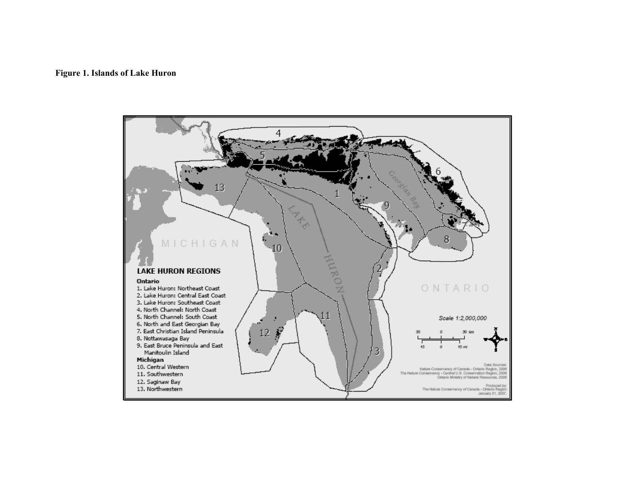### **Figure 1. Islands of Lake Huron**

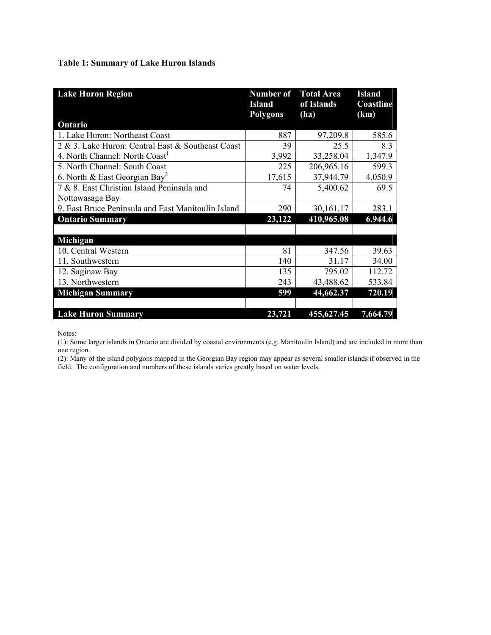### **Table 1: Summary of Lake Huron Islands**

| <b>Lake Huron Region</b>                           | <b>Number of</b><br><b>Island</b><br><b>Polygons</b> | <b>Total Area</b><br>of Islands<br>(ha) | <b>Island</b><br>Coastline<br>(km) |
|----------------------------------------------------|------------------------------------------------------|-----------------------------------------|------------------------------------|
| Ontario                                            |                                                      |                                         |                                    |
| 1. Lake Huron: Northeast Coast                     | 887                                                  | 97,209.8                                | 585.6                              |
| 2 & 3. Lake Huron: Central East & Southeast Coast  | 39                                                   | 25.5                                    | 8.3                                |
| 4. North Channel: North Coast                      | 3,992                                                | 33,258.04                               | 1,347.9                            |
| 5. North Channel: South Coast                      | 225                                                  | 206,965.16                              | 599.3                              |
| 6. North & East Georgian Bay <sup>2</sup>          | 17,615                                               | 37,944.79                               | 4,050.9                            |
| 7 & 8. East Christian Island Peninsula and         | 74                                                   | 5,400.62                                | 69.5                               |
| Nottawasaga Bay                                    |                                                      |                                         |                                    |
| 9. East Bruce Peninsula and East Manitoulin Island | 290                                                  | 30,161.17                               | 283.1                              |
| <b>Ontario Summary</b>                             | 23,122                                               | 410,965.08                              | 6,944.6                            |
|                                                    |                                                      |                                         |                                    |
| Michigan                                           |                                                      |                                         |                                    |
| 10. Central Western                                | 81                                                   | 347.56                                  | 39.63                              |
| 11. Southwestern                                   | 140                                                  | 31.17                                   | 34.00                              |
| 12. Saginaw Bay                                    | 135                                                  | 795.02                                  | 112.72                             |
| 13. Northwestern                                   | 243                                                  | 43,488.62                               | 533.84                             |
| <b>Michigan Summary</b>                            | 599                                                  | 44,662.37                               | 720.19                             |
|                                                    |                                                      |                                         |                                    |
| <b>Lake Huron Summary</b>                          | 23,721                                               | 455,627.45                              | 7,664.79                           |

Notes:

(1): Some larger islands in Ontario are divided by coastal environments (e.g. Manitoulin Island) and are included in more than one region.

(2): Many of the island polygons mapped in the Georgian Bay region may appear as several smaller islands if observed in the field. The configuration and numbers of these islands varies greatly based on water levels.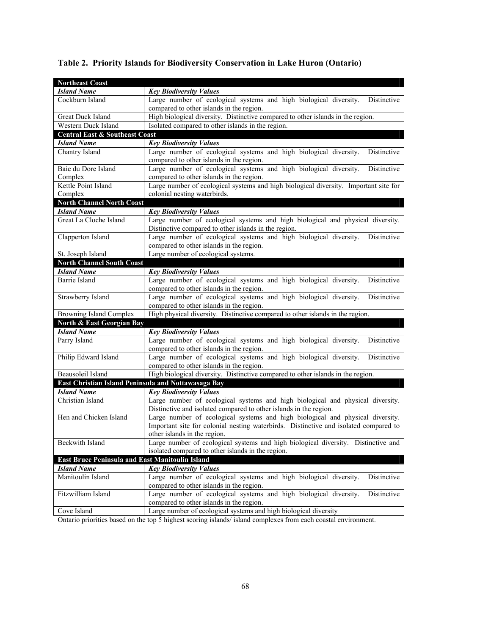| <b>Northeast Coast</b>                                 |                                                                                                                                                     |  |  |  |  |
|--------------------------------------------------------|-----------------------------------------------------------------------------------------------------------------------------------------------------|--|--|--|--|
| <b>Island Name</b>                                     | <b>Key Biodiversity Values</b>                                                                                                                      |  |  |  |  |
| Cockburn Island                                        | Large number of ecological systems and high biological diversity.<br>Distinctive                                                                    |  |  |  |  |
|                                                        | compared to other islands in the region.                                                                                                            |  |  |  |  |
| Great Duck Island                                      | High biological diversity. Distinctive compared to other islands in the region.                                                                     |  |  |  |  |
| Western Duck Island                                    | Isolated compared to other islands in the region.                                                                                                   |  |  |  |  |
| <b>Central East &amp; Southeast Coast</b>              |                                                                                                                                                     |  |  |  |  |
| <b>Island Name</b>                                     | <b>Key Biodiversity Values</b>                                                                                                                      |  |  |  |  |
| Chantry Island                                         | Large number of ecological systems and high biological diversity.<br>Distinctive<br>compared to other islands in the region.                        |  |  |  |  |
| Baie du Dore Island                                    | Large number of ecological systems and high biological diversity.<br>Distinctive                                                                    |  |  |  |  |
| Complex                                                | compared to other islands in the region.                                                                                                            |  |  |  |  |
| Kettle Point Island                                    | Large number of ecological systems and high biological diversity. Important site for                                                                |  |  |  |  |
| Complex                                                | colonial nesting waterbirds.                                                                                                                        |  |  |  |  |
| <b>North Channel North Coast</b>                       |                                                                                                                                                     |  |  |  |  |
| <b>Island Name</b>                                     | <b>Key Biodiversity Values</b>                                                                                                                      |  |  |  |  |
| Great La Cloche Island                                 | Large number of ecological systems and high biological and physical diversity.                                                                      |  |  |  |  |
|                                                        | Distinctive compared to other islands in the region.                                                                                                |  |  |  |  |
| Clapperton Island                                      | Large number of ecological systems and high biological diversity.<br>Distinctive                                                                    |  |  |  |  |
|                                                        | compared to other islands in the region.                                                                                                            |  |  |  |  |
| St. Joseph Island                                      | Large number of ecological systems.                                                                                                                 |  |  |  |  |
| <b>North Channel South Coast</b>                       |                                                                                                                                                     |  |  |  |  |
| <b>Island Name</b>                                     | <b>Key Biodiversity Values</b>                                                                                                                      |  |  |  |  |
| Barrie Island                                          | Large number of ecological systems and high biological diversity.<br>Distinctive                                                                    |  |  |  |  |
| Strawberry Island                                      | compared to other islands in the region.<br>Large number of ecological systems and high biological diversity.<br>Distinctive                        |  |  |  |  |
|                                                        | compared to other islands in the region.                                                                                                            |  |  |  |  |
| <b>Browning Island Complex</b>                         | High physical diversity. Distinctive compared to other islands in the region.                                                                       |  |  |  |  |
| North & East Georgian Bay                              |                                                                                                                                                     |  |  |  |  |
| <b>Island Name</b>                                     | <b>Key Biodiversity Values</b>                                                                                                                      |  |  |  |  |
| Parry Island                                           | Large number of ecological systems and high biological diversity.<br>Distinctive                                                                    |  |  |  |  |
|                                                        | compared to other islands in the region.                                                                                                            |  |  |  |  |
| Philip Edward Island                                   | Large number of ecological systems and high biological diversity.<br>Distinctive                                                                    |  |  |  |  |
|                                                        | compared to other islands in the region.                                                                                                            |  |  |  |  |
| <b>Beausoleil Island</b>                               | High biological diversity. Distinctive compared to other islands in the region.                                                                     |  |  |  |  |
| East Christian Island Peninsula and Nottawasaga Bay    |                                                                                                                                                     |  |  |  |  |
| <b>Island Name</b>                                     | <b>Key Biodiversity Values</b>                                                                                                                      |  |  |  |  |
| Christian Island                                       | Large number of ecological systems and high biological and physical diversity.<br>Distinctive and isolated compared to other islands in the region. |  |  |  |  |
| Hen and Chicken Island                                 | Large number of ecological systems and high biological and physical diversity.                                                                      |  |  |  |  |
|                                                        | Important site for colonial nesting waterbirds. Distinctive and isolated compared to                                                                |  |  |  |  |
|                                                        | other islands in the region.                                                                                                                        |  |  |  |  |
| Beckwith Island                                        | Large number of ecological systems and high biological diversity. Distinctive and                                                                   |  |  |  |  |
|                                                        | isolated compared to other islands in the region.                                                                                                   |  |  |  |  |
| <b>East Bruce Peninsula and East Manitoulin Island</b> |                                                                                                                                                     |  |  |  |  |
| <b>Island Name</b>                                     | <b>Key Biodiversity Values</b>                                                                                                                      |  |  |  |  |
| Manitoulin Island                                      | Large number of ecological systems and high biological diversity.<br>Distinctive                                                                    |  |  |  |  |
|                                                        | compared to other islands in the region.                                                                                                            |  |  |  |  |
| Fitzwilliam Island                                     | Large number of ecological systems and high biological diversity.<br>Distinctive                                                                    |  |  |  |  |
|                                                        | compared to other islands in the region.                                                                                                            |  |  |  |  |
| Cove Island                                            | Large number of ecological systems and high biological diversity                                                                                    |  |  |  |  |

# **Table 2. Priority Islands for Biodiversity Conservation in Lake Huron (Ontario)**

Ontario priorities based on the top 5 highest scoring islands/ island complexes from each coastal environment.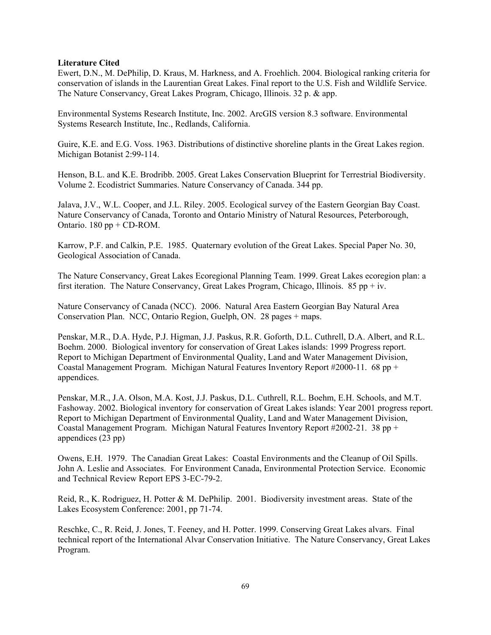#### **Literature Cited**

Ewert, D.N., M. DePhilip, D. Kraus, M. Harkness, and A. Froehlich. 2004. Biological ranking criteria for conservation of islands in the Laurentian Great Lakes. Final report to the U.S. Fish and Wildlife Service. The Nature Conservancy, Great Lakes Program, Chicago, Illinois. 32 p. & app.

Environmental Systems Research Institute, Inc. 2002. ArcGIS version 8.3 software. Environmental Systems Research Institute, Inc., Redlands, California.

Guire, K.E. and E.G. Voss. 1963. Distributions of distinctive shoreline plants in the Great Lakes region. Michigan Botanist 2:99-114.

Henson, B.L. and K.E. Brodribb. 2005. Great Lakes Conservation Blueprint for Terrestrial Biodiversity. Volume 2. Ecodistrict Summaries. Nature Conservancy of Canada. 344 pp.

Jalava, J.V., W.L. Cooper, and J.L. Riley. 2005. Ecological survey of the Eastern Georgian Bay Coast. Nature Conservancy of Canada, Toronto and Ontario Ministry of Natural Resources, Peterborough, Ontario.  $180 \text{ pp} + \text{CD-ROM}$ .

Karrow, P.F. and Calkin, P.E. 1985. Quaternary evolution of the Great Lakes. Special Paper No. 30, Geological Association of Canada.

The Nature Conservancy, Great Lakes Ecoregional Planning Team. 1999. Great Lakes ecoregion plan: a first iteration. The Nature Conservancy, Great Lakes Program, Chicago, Illinois. 85 pp + iv.

Nature Conservancy of Canada (NCC). 2006. Natural Area Eastern Georgian Bay Natural Area Conservation Plan. NCC, Ontario Region, Guelph, ON. 28 pages + maps.

Penskar, M.R., D.A. Hyde, P.J. Higman, J.J. Paskus, R.R. Goforth, D.L. Cuthrell, D.A. Albert, and R.L. Boehm. 2000. Biological inventory for conservation of Great Lakes islands: 1999 Progress report. Report to Michigan Department of Environmental Quality, Land and Water Management Division, Coastal Management Program. Michigan Natural Features Inventory Report #2000-11. 68 pp + appendices.

Penskar, M.R., J.A. Olson, M.A. Kost, J.J. Paskus, D.L. Cuthrell, R.L. Boehm, E.H. Schools, and M.T. Fashoway. 2002. Biological inventory for conservation of Great Lakes islands: Year 2001 progress report. Report to Michigan Department of Environmental Quality, Land and Water Management Division, Coastal Management Program. Michigan Natural Features Inventory Report #2002-21. 38 pp + appendices (23 pp)

Owens, E.H. 1979. The Canadian Great Lakes: Coastal Environments and the Cleanup of Oil Spills. John A. Leslie and Associates. For Environment Canada, Environmental Protection Service. Economic and Technical Review Report EPS 3-EC-79-2.

Reid, R., K. Rodriguez, H. Potter & M. DePhilip. 2001. Biodiversity investment areas. State of the Lakes Ecosystem Conference: 2001, pp 71-74.

Reschke, C., R. Reid, J. Jones, T. Feeney, and H. Potter. 1999. Conserving Great Lakes alvars. Final technical report of the International Alvar Conservation Initiative. The Nature Conservancy, Great Lakes Program.